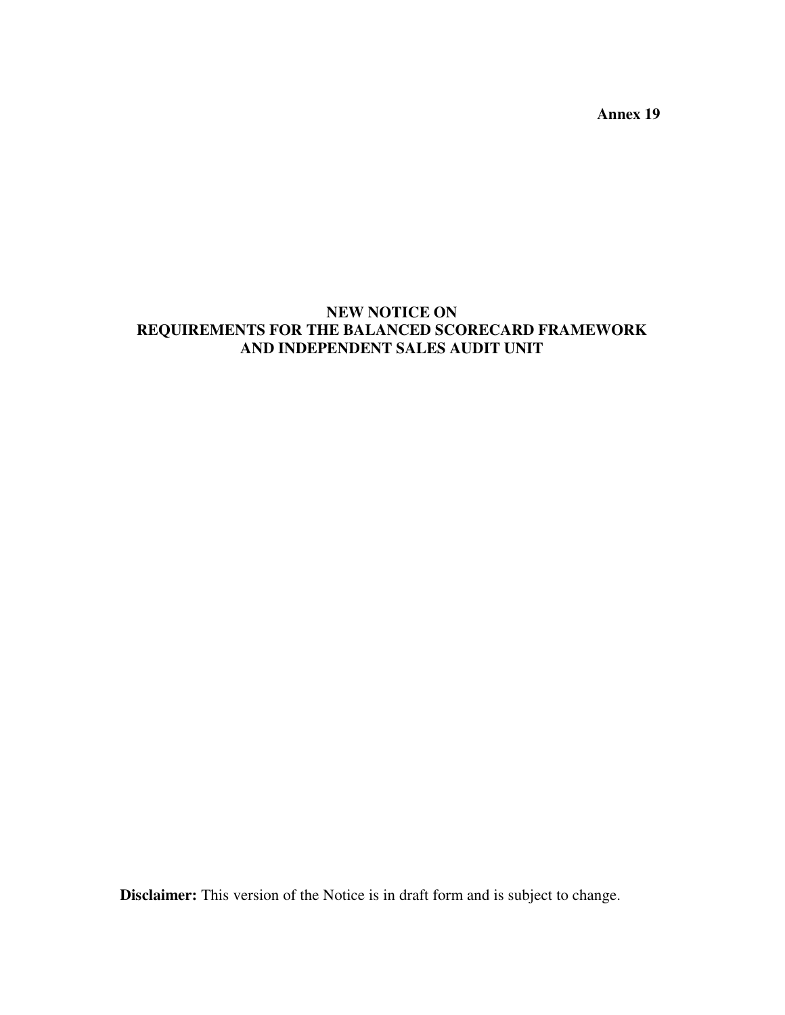**Annex 19** 

# **NEW NOTICE ON REQUIREMENTS FOR THE BALANCED SCORECARD FRAMEWORK AND INDEPENDENT SALES AUDIT UNIT**

**Disclaimer:** This version of the Notice is in draft form and is subject to change.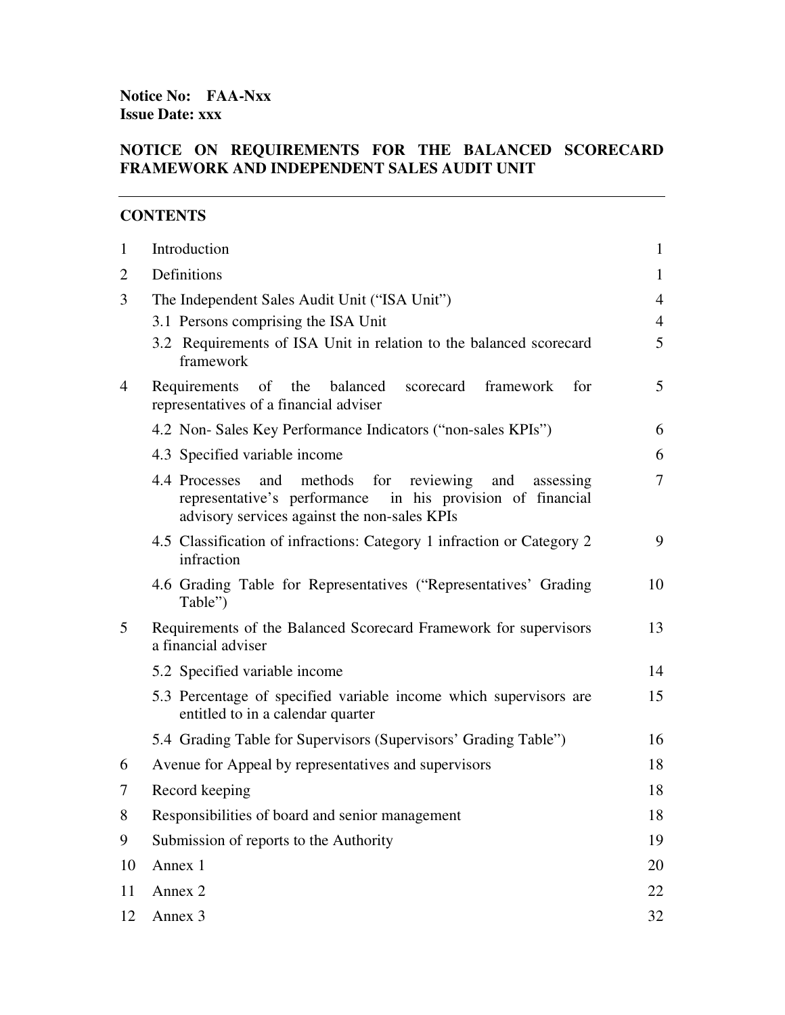**Notice No: FAA-Nxx Issue Date: xxx** 

### **NOTICE ON REQUIREMENTS FOR THE BALANCED SCORECARD FRAMEWORK AND INDEPENDENT SALES AUDIT UNIT**

### **CONTENTS**

| $\mathbf{1}$   | Introduction                                                                                                                                                                             | $\mathbf{1}$   |  |
|----------------|------------------------------------------------------------------------------------------------------------------------------------------------------------------------------------------|----------------|--|
| $\overline{2}$ | Definitions                                                                                                                                                                              | $\mathbf{1}$   |  |
| 3              | The Independent Sales Audit Unit ("ISA Unit")                                                                                                                                            | $\overline{4}$ |  |
|                | 3.1 Persons comprising the ISA Unit                                                                                                                                                      | $\overline{4}$ |  |
|                | 3.2 Requirements of ISA Unit in relation to the balanced scorecard<br>framework                                                                                                          | 5              |  |
| 4              | Requirements of the<br>balanced<br>scorecard<br>framework<br>for<br>representatives of a financial adviser                                                                               | 5              |  |
|                | 4.2 Non-Sales Key Performance Indicators ("non-sales KPIs")                                                                                                                              | 6              |  |
|                | 4.3 Specified variable income                                                                                                                                                            | 6              |  |
|                | methods<br>4.4 Processes<br>and<br>for<br>reviewing<br>and<br>assessing<br>representative's performance<br>in his provision of financial<br>advisory services against the non-sales KPIs | $\overline{7}$ |  |
|                | 4.5 Classification of infractions: Category 1 infraction or Category 2<br>infraction                                                                                                     | 9              |  |
|                | 4.6 Grading Table for Representatives ("Representatives' Grading<br>Table")                                                                                                              | 10             |  |
| 5              | Requirements of the Balanced Scorecard Framework for supervisors<br>a financial adviser                                                                                                  | 13             |  |
|                | 5.2 Specified variable income                                                                                                                                                            | 14             |  |
|                | 5.3 Percentage of specified variable income which supervisors are<br>entitled to in a calendar quarter                                                                                   | 15             |  |
|                | 5.4 Grading Table for Supervisors (Supervisors' Grading Table")                                                                                                                          | 16             |  |
| 6              | Avenue for Appeal by representatives and supervisors                                                                                                                                     | 18             |  |
| 7              | Record keeping                                                                                                                                                                           | 18             |  |
| 8              | Responsibilities of board and senior management                                                                                                                                          | 18             |  |
| 9              | Submission of reports to the Authority                                                                                                                                                   | 19             |  |
| 10             | Annex 1                                                                                                                                                                                  | 20             |  |
| 11             | Annex 2                                                                                                                                                                                  | 22             |  |
| 12             | Annex <sub>3</sub>                                                                                                                                                                       |                |  |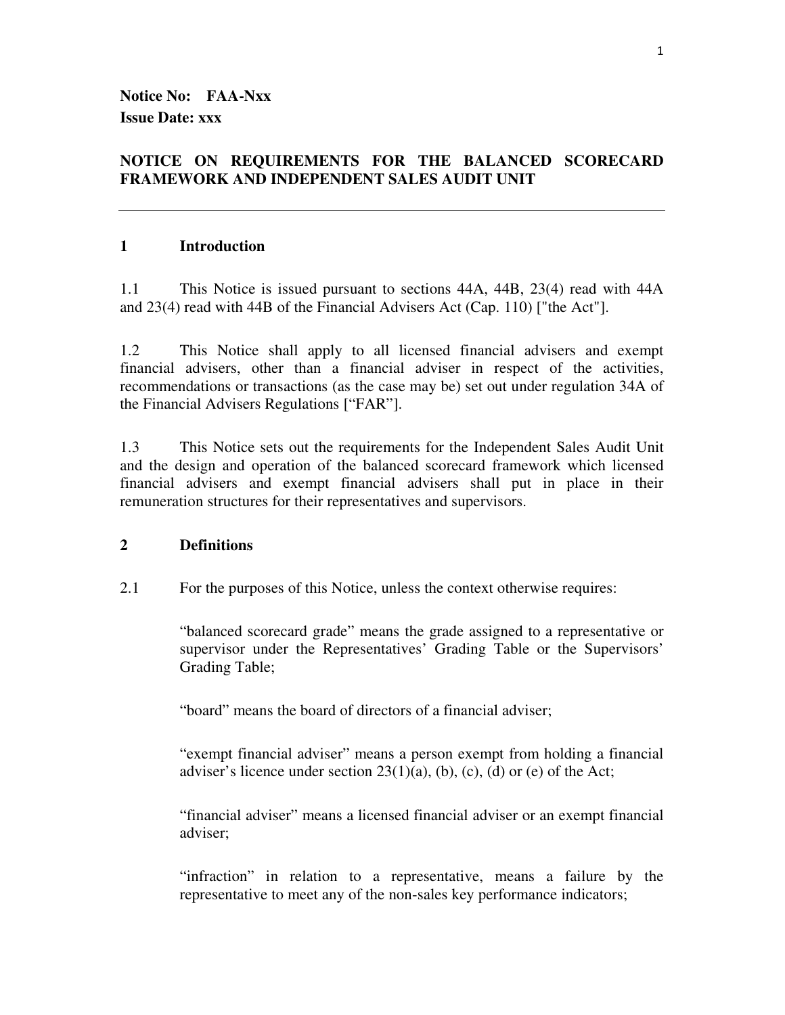**Notice No: FAA-Nxx Issue Date: xxx** 

### **NOTICE ON REQUIREMENTS FOR THE BALANCED SCORECARD FRAMEWORK AND INDEPENDENT SALES AUDIT UNIT**

#### **1 Introduction**

1.1 This Notice is issued pursuant to sections 44A, 44B, 23(4) read with 44A and 23(4) read with 44B of the Financial Advisers Act (Cap. 110) ["the Act"].

1.2 This Notice shall apply to all licensed financial advisers and exempt financial advisers, other than a financial adviser in respect of the activities, recommendations or transactions (as the case may be) set out under regulation 34A of the Financial Advisers Regulations ["FAR"].

1.3 This Notice sets out the requirements for the Independent Sales Audit Unit and the design and operation of the balanced scorecard framework which licensed financial advisers and exempt financial advisers shall put in place in their remuneration structures for their representatives and supervisors.

#### **2 Definitions**

2.1 For the purposes of this Notice, unless the context otherwise requires:

"balanced scorecard grade" means the grade assigned to a representative or supervisor under the Representatives' Grading Table or the Supervisors' Grading Table;

"board" means the board of directors of a financial adviser;

"exempt financial adviser" means a person exempt from holding a financial adviser's licence under section  $23(1)(a)$ , (b), (c), (d) or (e) of the Act;

"financial adviser" means a licensed financial adviser or an exempt financial adviser;

"infraction" in relation to a representative, means a failure by the representative to meet any of the non-sales key performance indicators;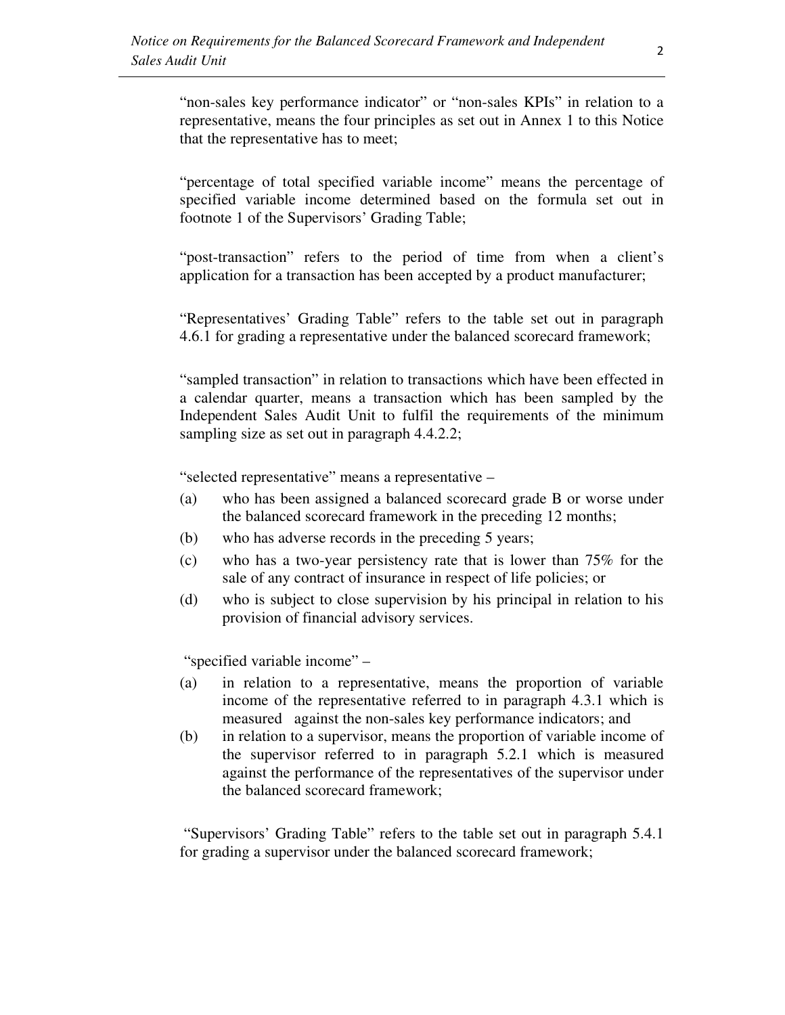"non-sales key performance indicator" or "non-sales KPIs" in relation to a representative, means the four principles as set out in Annex 1 to this Notice that the representative has to meet;

"percentage of total specified variable income" means the percentage of specified variable income determined based on the formula set out in footnote 1 of the Supervisors' Grading Table;

"post-transaction" refers to the period of time from when a client's application for a transaction has been accepted by a product manufacturer;

"Representatives' Grading Table" refers to the table set out in paragraph 4.6.1 for grading a representative under the balanced scorecard framework;

"sampled transaction" in relation to transactions which have been effected in a calendar quarter, means a transaction which has been sampled by the Independent Sales Audit Unit to fulfil the requirements of the minimum sampling size as set out in paragraph 4.4.2.2;

"selected representative" means a representative –

- (a) who has been assigned a balanced scorecard grade B or worse under the balanced scorecard framework in the preceding 12 months;
- (b) who has adverse records in the preceding 5 years;
- (c) who has a two-year persistency rate that is lower than 75% for the sale of any contract of insurance in respect of life policies; or
- (d) who is subject to close supervision by his principal in relation to his provision of financial advisory services.

"specified variable income" –

- (a) in relation to a representative, means the proportion of variable income of the representative referred to in paragraph 4.3.1 which is measured against the non-sales key performance indicators; and
- (b) in relation to a supervisor, means the proportion of variable income of the supervisor referred to in paragraph 5.2.1 which is measured against the performance of the representatives of the supervisor under the balanced scorecard framework;

 "Supervisors' Grading Table" refers to the table set out in paragraph 5.4.1 for grading a supervisor under the balanced scorecard framework;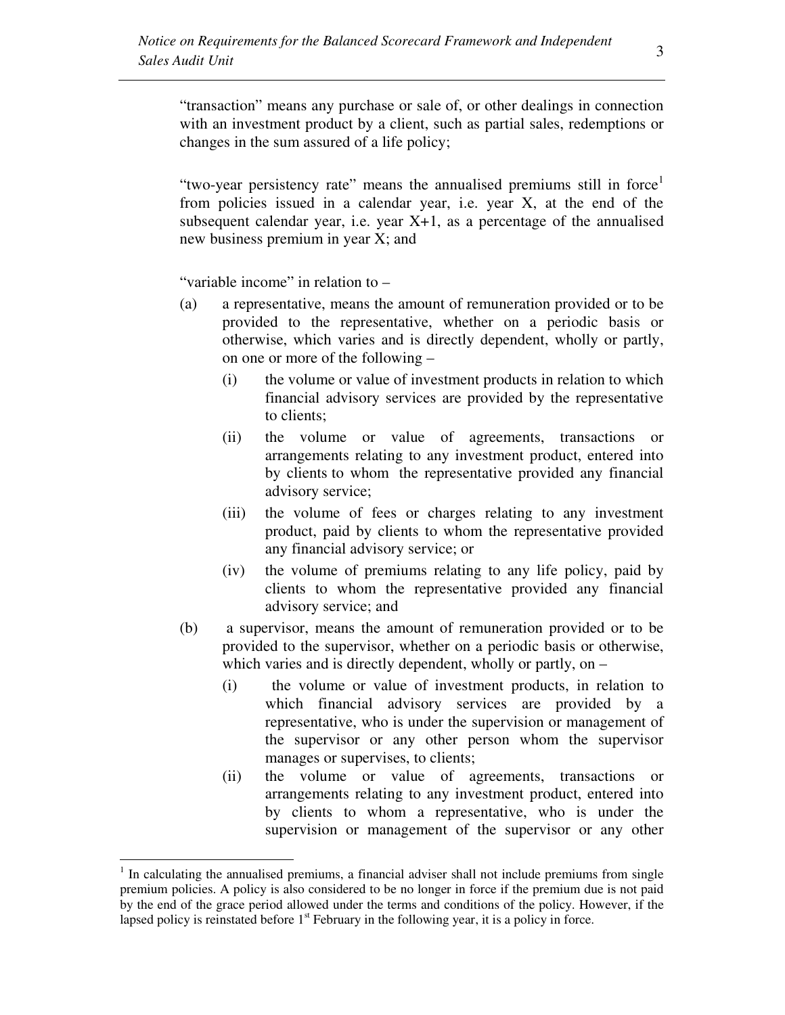"transaction" means any purchase or sale of, or other dealings in connection with an investment product by a client, such as partial sales, redemptions or changes in the sum assured of a life policy;

"two-year persistency rate" means the annualised premiums still in force<sup>1</sup> from policies issued in a calendar year, i.e. year X, at the end of the subsequent calendar year, i.e. year  $X+1$ , as a percentage of the annualised new business premium in year X; and

"variable income" in relation to –

 $\overline{a}$ 

- (a) a representative, means the amount of remuneration provided or to be provided to the representative, whether on a periodic basis or otherwise, which varies and is directly dependent, wholly or partly, on one or more of the following –
	- (i) the volume or value of investment products in relation to which financial advisory services are provided by the representative to clients;
	- (ii) the volume or value of agreements, transactions or arrangements relating to any investment product, entered into by clients to whom the representative provided any financial advisory service;
	- (iii) the volume of fees or charges relating to any investment product, paid by clients to whom the representative provided any financial advisory service; or
	- (iv) the volume of premiums relating to any life policy, paid by clients to whom the representative provided any financial advisory service; and
- (b) a supervisor, means the amount of remuneration provided or to be provided to the supervisor, whether on a periodic basis or otherwise, which varies and is directly dependent, wholly or partly, on –
	- (i) the volume or value of investment products, in relation to which financial advisory services are provided by a representative, who is under the supervision or management of the supervisor or any other person whom the supervisor manages or supervises, to clients;
	- (ii) the volume or value of agreements, transactions or arrangements relating to any investment product, entered into by clients to whom a representative, who is under the supervision or management of the supervisor or any other

<sup>&</sup>lt;sup>1</sup> In calculating the annualised premiums, a financial adviser shall not include premiums from single premium policies. A policy is also considered to be no longer in force if the premium due is not paid by the end of the grace period allowed under the terms and conditions of the policy. However, if the lapsed policy is reinstated before  $1<sup>st</sup>$  February in the following year, it is a policy in force.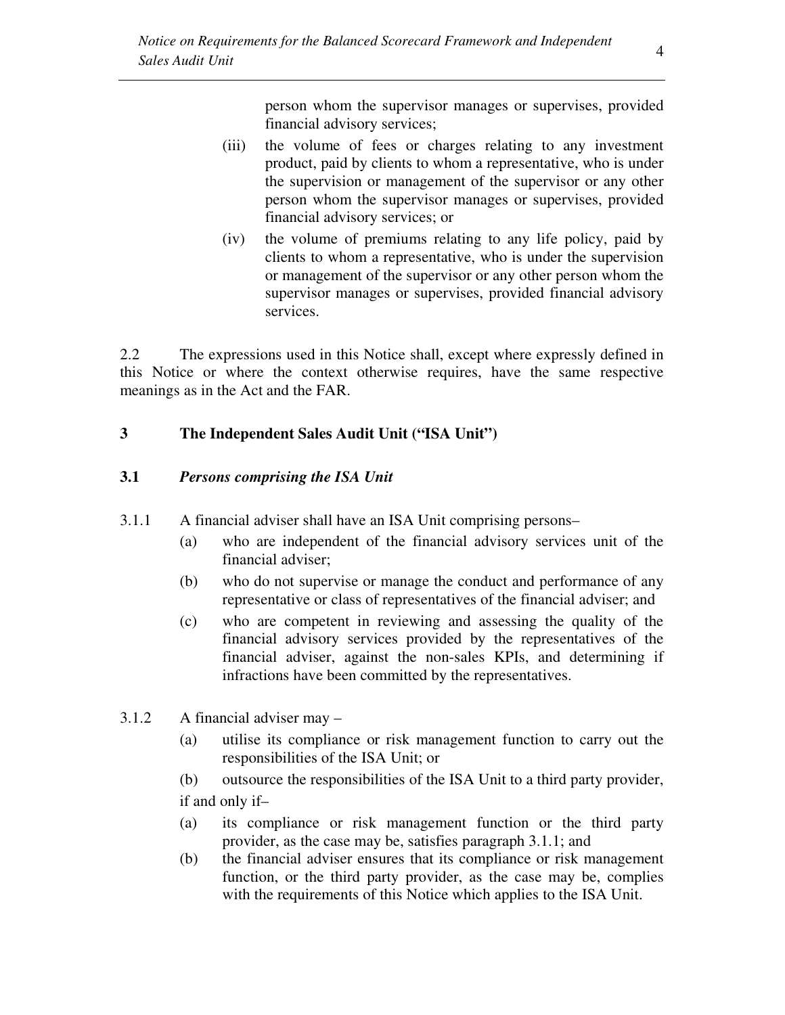person whom the supervisor manages or supervises, provided financial advisory services;

- (iii) the volume of fees or charges relating to any investment product, paid by clients to whom a representative, who is under the supervision or management of the supervisor or any other person whom the supervisor manages or supervises, provided financial advisory services; or
- (iv) the volume of premiums relating to any life policy, paid by clients to whom a representative, who is under the supervision or management of the supervisor or any other person whom the supervisor manages or supervises, provided financial advisory services.

2.2 The expressions used in this Notice shall, except where expressly defined in this Notice or where the context otherwise requires, have the same respective meanings as in the Act and the FAR.

# **3 The Independent Sales Audit Unit ("ISA Unit")**

### **3.1** *Persons comprising the ISA Unit*

- 3.1.1 A financial adviser shall have an ISA Unit comprising persons–
	- (a) who are independent of the financial advisory services unit of the financial adviser;
	- (b) who do not supervise or manage the conduct and performance of any representative or class of representatives of the financial adviser; and
	- (c) who are competent in reviewing and assessing the quality of the financial advisory services provided by the representatives of the financial adviser, against the non-sales KPIs, and determining if infractions have been committed by the representatives.
- 3.1.2 A financial adviser may
	- (a) utilise its compliance or risk management function to carry out the responsibilities of the ISA Unit; or
	- (b) outsource the responsibilities of the ISA Unit to a third party provider, if and only if–
	- (a) its compliance or risk management function or the third party provider, as the case may be, satisfies paragraph 3.1.1; and
	- (b) the financial adviser ensures that its compliance or risk management function, or the third party provider, as the case may be, complies with the requirements of this Notice which applies to the ISA Unit.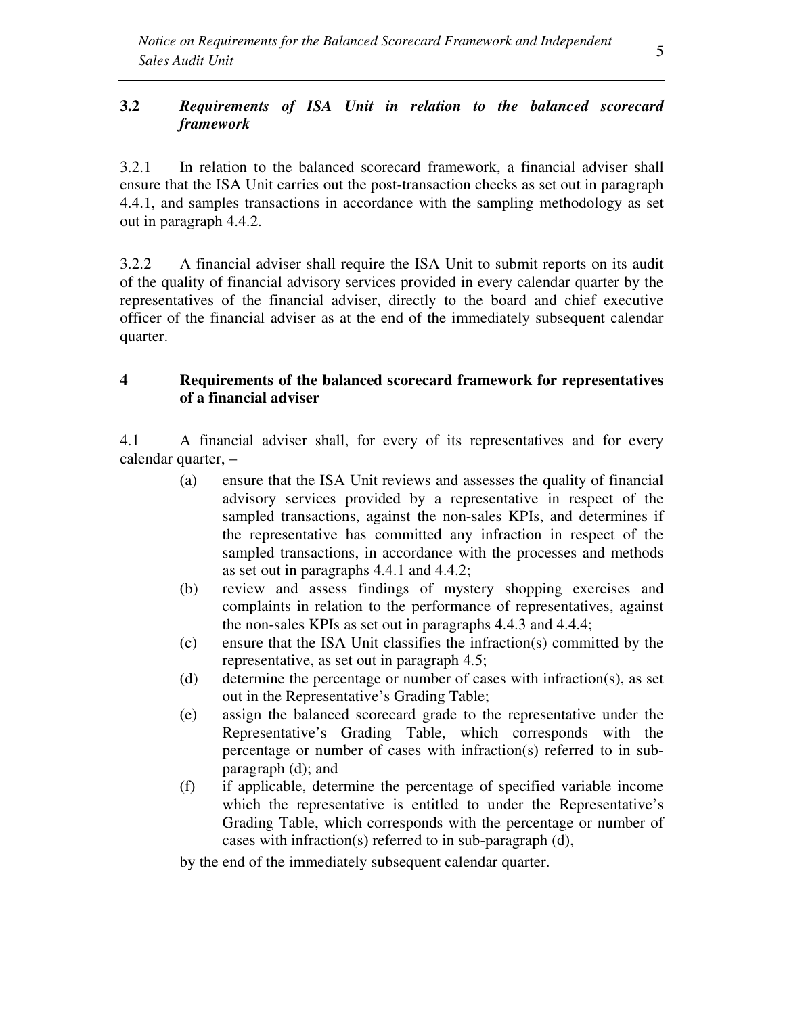### **3.2** *Requirements of ISA Unit in relation to the balanced scorecard framework*

3.2.1 In relation to the balanced scorecard framework, a financial adviser shall ensure that the ISA Unit carries out the post-transaction checks as set out in paragraph 4.4.1, and samples transactions in accordance with the sampling methodology as set out in paragraph 4.4.2.

3.2.2 A financial adviser shall require the ISA Unit to submit reports on its audit of the quality of financial advisory services provided in every calendar quarter by the representatives of the financial adviser, directly to the board and chief executive officer of the financial adviser as at the end of the immediately subsequent calendar quarter.

### **4 Requirements of the balanced scorecard framework for representatives of a financial adviser**

4.1 A financial adviser shall, for every of its representatives and for every calendar quarter, –

- (a) ensure that the ISA Unit reviews and assesses the quality of financial advisory services provided by a representative in respect of the sampled transactions, against the non-sales KPIs, and determines if the representative has committed any infraction in respect of the sampled transactions, in accordance with the processes and methods as set out in paragraphs 4.4.1 and 4.4.2;
- (b) review and assess findings of mystery shopping exercises and complaints in relation to the performance of representatives, against the non-sales KPIs as set out in paragraphs 4.4.3 and 4.4.4;
- (c) ensure that the ISA Unit classifies the infraction(s) committed by the representative, as set out in paragraph 4.5;
- (d) determine the percentage or number of cases with infraction(s), as set out in the Representative's Grading Table;
- (e) assign the balanced scorecard grade to the representative under the Representative's Grading Table, which corresponds with the percentage or number of cases with infraction(s) referred to in subparagraph (d); and
- (f) if applicable, determine the percentage of specified variable income which the representative is entitled to under the Representative's Grading Table, which corresponds with the percentage or number of cases with infraction(s) referred to in sub-paragraph (d),

by the end of the immediately subsequent calendar quarter.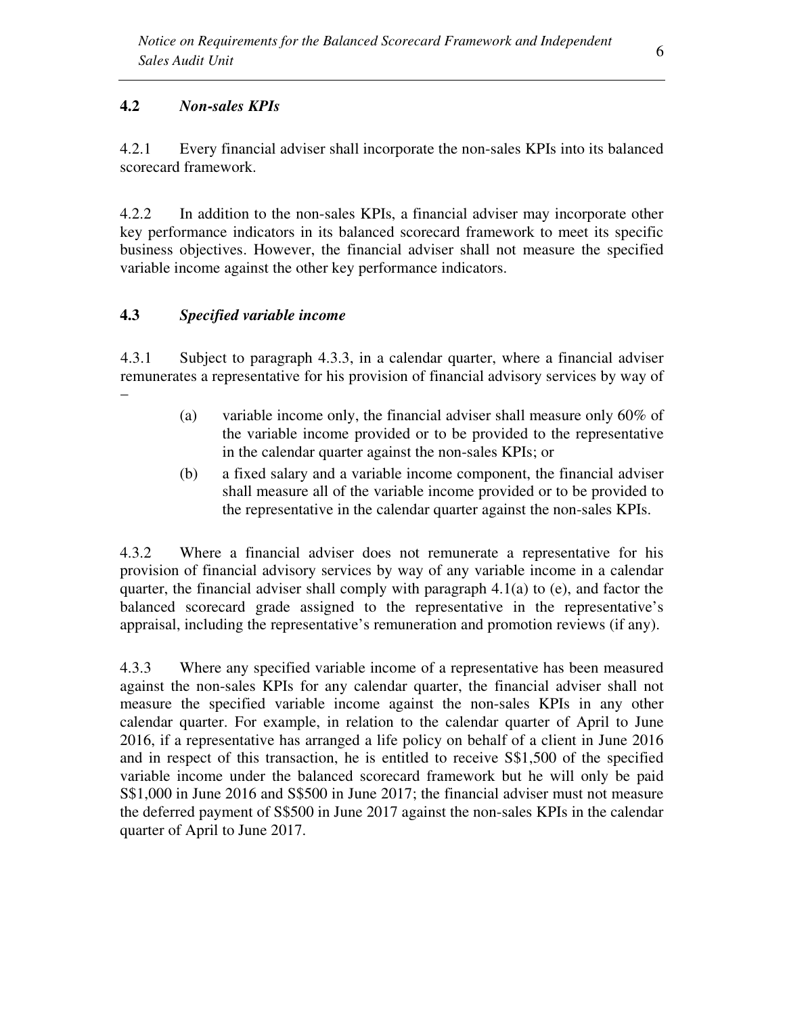## **4.2** *Non-sales KPIs*

4.2.1 Every financial adviser shall incorporate the non-sales KPIs into its balanced scorecard framework.

4.2.2 In addition to the non-sales KPIs, a financial adviser may incorporate other key performance indicators in its balanced scorecard framework to meet its specific business objectives. However, the financial adviser shall not measure the specified variable income against the other key performance indicators.

# **4.3** *Specified variable income*

–

4.3.1 Subject to paragraph 4.3.3, in a calendar quarter, where a financial adviser remunerates a representative for his provision of financial advisory services by way of

- (a) variable income only, the financial adviser shall measure only 60% of the variable income provided or to be provided to the representative in the calendar quarter against the non-sales KPIs; or
- (b) a fixed salary and a variable income component, the financial adviser shall measure all of the variable income provided or to be provided to the representative in the calendar quarter against the non-sales KPIs.

4.3.2 Where a financial adviser does not remunerate a representative for his provision of financial advisory services by way of any variable income in a calendar quarter, the financial adviser shall comply with paragraph 4.1(a) to (e), and factor the balanced scorecard grade assigned to the representative in the representative's appraisal, including the representative's remuneration and promotion reviews (if any).

4.3.3 Where any specified variable income of a representative has been measured against the non-sales KPIs for any calendar quarter, the financial adviser shall not measure the specified variable income against the non-sales KPIs in any other calendar quarter. For example, in relation to the calendar quarter of April to June 2016, if a representative has arranged a life policy on behalf of a client in June 2016 and in respect of this transaction, he is entitled to receive S\$1,500 of the specified variable income under the balanced scorecard framework but he will only be paid S\$1,000 in June 2016 and S\$500 in June 2017; the financial adviser must not measure the deferred payment of S\$500 in June 2017 against the non-sales KPIs in the calendar quarter of April to June 2017.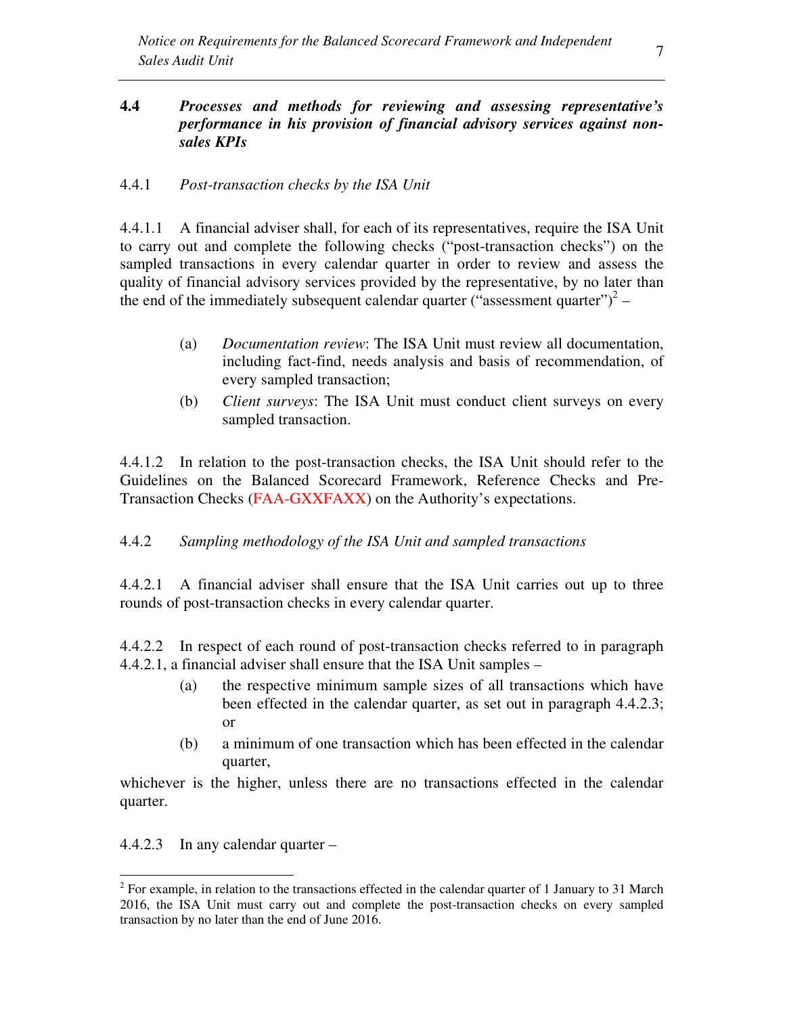### **4.4** *Processes and methods for reviewing and assessing representative's performance in his provision of financial advisory services against nonsales KPIs*

### 4.4.1 *Post-transaction checks by the ISA Unit*

4.4.1.1 A financial adviser shall, for each of its representatives, require the ISA Unit to carry out and complete the following checks ("post-transaction checks") on the sampled transactions in every calendar quarter in order to review and assess the quality of financial advisory services provided by the representative, by no later than the end of the immediately subsequent calendar quarter ("assessment quarter")<sup>2</sup> –

- (a) *Documentation review*: The ISA Unit must review all documentation, including fact-find, needs analysis and basis of recommendation, of every sampled transaction;
- (b) *Client surveys*: The ISA Unit must conduct client surveys on every sampled transaction.

4.4.1.2 In relation to the post-transaction checks, the ISA Unit should refer to the Guidelines on the Balanced Scorecard Framework, Reference Checks and Pre-Transaction Checks (FAA-GXXFAXX) on the Authority's expectations.

### 4.4.2 *Sampling methodology of the ISA Unit and sampled transactions*

4.4.2.1 A financial adviser shall ensure that the ISA Unit carries out up to three rounds of post-transaction checks in every calendar quarter.

4.4.2.2 In respect of each round of post-transaction checks referred to in paragraph 4.4.2.1, a financial adviser shall ensure that the ISA Unit samples –

- (a) the respective minimum sample sizes of all transactions which have been effected in the calendar quarter, as set out in paragraph 4.4.2.3; or
- (b) a minimum of one transaction which has been effected in the calendar quarter,

whichever is the higher, unless there are no transactions effected in the calendar quarter.

4.4.2.3 In any calendar quarter –

 $\overline{a}$ 

 $2^{2}$  For example, in relation to the transactions effected in the calendar quarter of 1 January to 31 March 2016, the ISA Unit must carry out and complete the post-transaction checks on every sampled transaction by no later than the end of June 2016.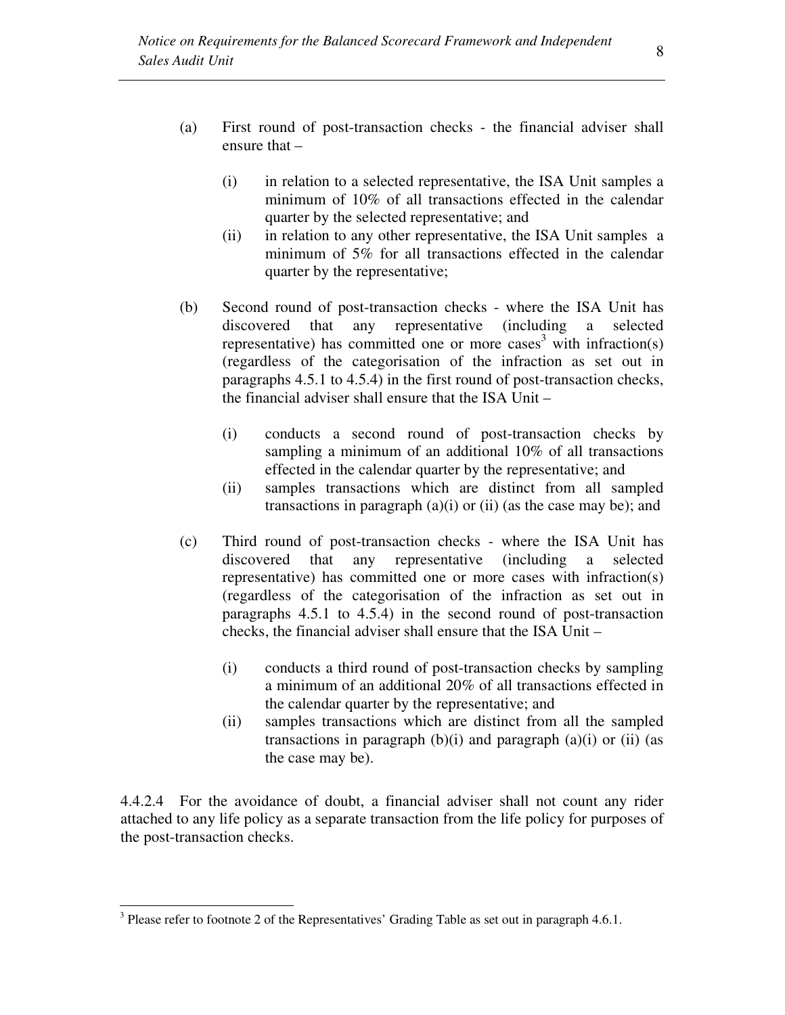- (a) First round of post-transaction checks the financial adviser shall ensure that –
	- (i) in relation to a selected representative, the ISA Unit samples a minimum of 10% of all transactions effected in the calendar quarter by the selected representative; and
	- (ii) in relation to any other representative, the ISA Unit samples a minimum of 5% for all transactions effected in the calendar quarter by the representative;
- (b) Second round of post-transaction checks where the ISA Unit has discovered that any representative (including a selected representative) has committed one or more cases<sup>3</sup> with infraction(s) (regardless of the categorisation of the infraction as set out in paragraphs 4.5.1 to 4.5.4) in the first round of post-transaction checks, the financial adviser shall ensure that the ISA Unit –
	- (i) conducts a second round of post-transaction checks by sampling a minimum of an additional 10% of all transactions effected in the calendar quarter by the representative; and
	- (ii) samples transactions which are distinct from all sampled transactions in paragraph  $(a)(i)$  or  $(ii)$  (as the case may be); and
- (c) Third round of post-transaction checks where the ISA Unit has discovered that any representative (including a selected representative) has committed one or more cases with infraction(s) (regardless of the categorisation of the infraction as set out in paragraphs 4.5.1 to 4.5.4) in the second round of post-transaction checks, the financial adviser shall ensure that the ISA Unit –
	- (i) conducts a third round of post-transaction checks by sampling a minimum of an additional 20% of all transactions effected in the calendar quarter by the representative; and
	- (ii) samples transactions which are distinct from all the sampled transactions in paragraph  $(b)(i)$  and paragraph  $(a)(i)$  or  $(ii)$  (as the case may be).

4.4.2.4 For the avoidance of doubt, a financial adviser shall not count any rider attached to any life policy as a separate transaction from the life policy for purposes of the post-transaction checks.

<u>.</u>

 $3$  Please refer to footnote 2 of the Representatives' Grading Table as set out in paragraph 4.6.1.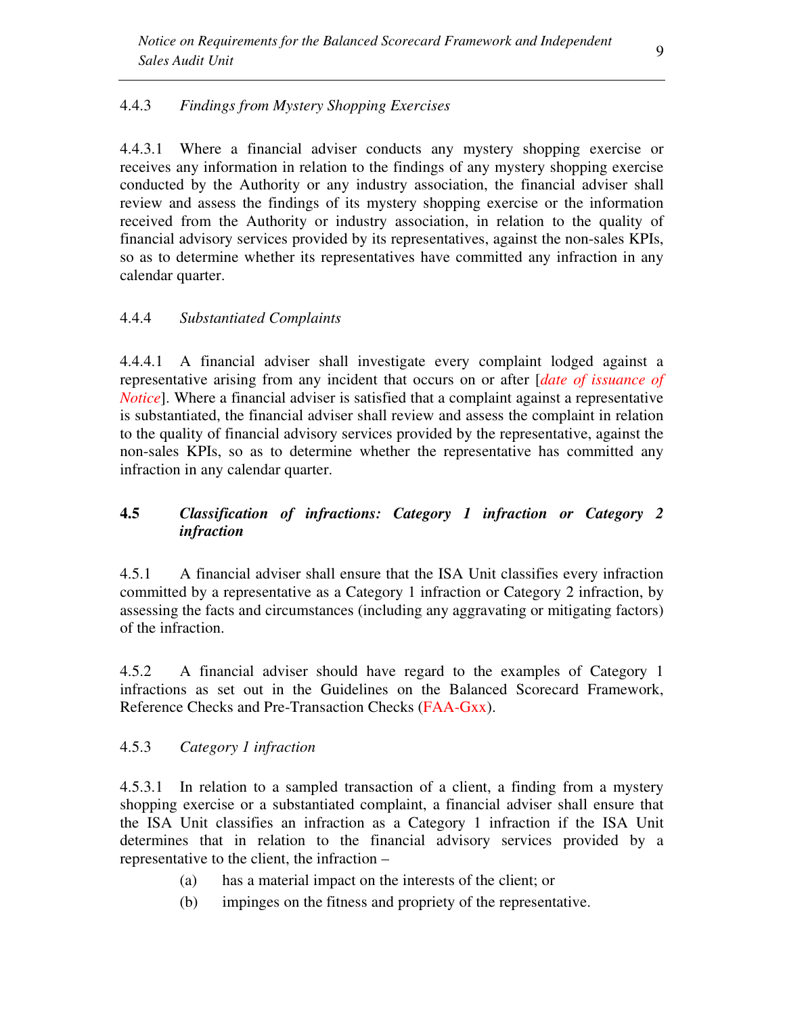# 4.4.3 *Findings from Mystery Shopping Exercises*

4.4.3.1 Where a financial adviser conducts any mystery shopping exercise or receives any information in relation to the findings of any mystery shopping exercise conducted by the Authority or any industry association, the financial adviser shall review and assess the findings of its mystery shopping exercise or the information received from the Authority or industry association, in relation to the quality of financial advisory services provided by its representatives, against the non-sales KPIs, so as to determine whether its representatives have committed any infraction in any calendar quarter.

### 4.4.4 *Substantiated Complaints*

4.4.4.1 A financial adviser shall investigate every complaint lodged against a representative arising from any incident that occurs on or after [*date of issuance of Notice*]. Where a financial adviser is satisfied that a complaint against a representative is substantiated, the financial adviser shall review and assess the complaint in relation to the quality of financial advisory services provided by the representative, against the non-sales KPIs, so as to determine whether the representative has committed any infraction in any calendar quarter.

# **4.5** *Classification of infractions: Category 1 infraction or Category 2 infraction*

4.5.1 A financial adviser shall ensure that the ISA Unit classifies every infraction committed by a representative as a Category 1 infraction or Category 2 infraction, by assessing the facts and circumstances (including any aggravating or mitigating factors) of the infraction.

4.5.2 A financial adviser should have regard to the examples of Category 1 infractions as set out in the Guidelines on the Balanced Scorecard Framework, Reference Checks and Pre-Transaction Checks (FAA-Gxx).

### 4.5.3 *Category 1 infraction*

4.5.3.1 In relation to a sampled transaction of a client, a finding from a mystery shopping exercise or a substantiated complaint, a financial adviser shall ensure that the ISA Unit classifies an infraction as a Category 1 infraction if the ISA Unit determines that in relation to the financial advisory services provided by a representative to the client, the infraction –

- (a) has a material impact on the interests of the client; or
- (b) impinges on the fitness and propriety of the representative.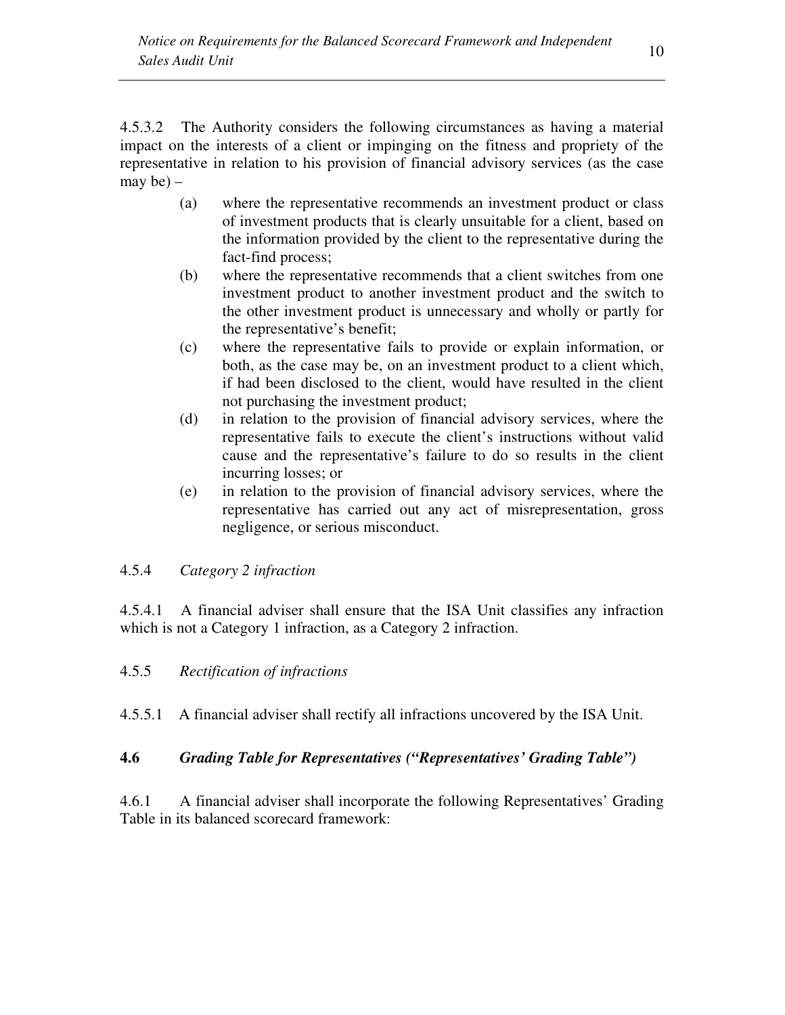4.5.3.2 The Authority considers the following circumstances as having a material impact on the interests of a client or impinging on the fitness and propriety of the representative in relation to his provision of financial advisory services (as the case may be) –

- (a) where the representative recommends an investment product or class of investment products that is clearly unsuitable for a client, based on the information provided by the client to the representative during the fact-find process;
- (b) where the representative recommends that a client switches from one investment product to another investment product and the switch to the other investment product is unnecessary and wholly or partly for the representative's benefit;
- (c) where the representative fails to provide or explain information, or both, as the case may be, on an investment product to a client which, if had been disclosed to the client, would have resulted in the client not purchasing the investment product;
- (d) in relation to the provision of financial advisory services, where the representative fails to execute the client's instructions without valid cause and the representative's failure to do so results in the client incurring losses; or
- (e) in relation to the provision of financial advisory services, where the representative has carried out any act of misrepresentation, gross negligence, or serious misconduct.

# 4.5.4 *Category 2 infraction*

4.5.4.1 A financial adviser shall ensure that the ISA Unit classifies any infraction which is not a Category 1 infraction, as a Category 2 infraction.

# 4.5.5 *Rectification of infractions*

4.5.5.1 A financial adviser shall rectify all infractions uncovered by the ISA Unit.

### **4.6** *Grading Table for Representatives ("Representatives' Grading Table")*

4.6.1 A financial adviser shall incorporate the following Representatives' Grading Table in its balanced scorecard framework: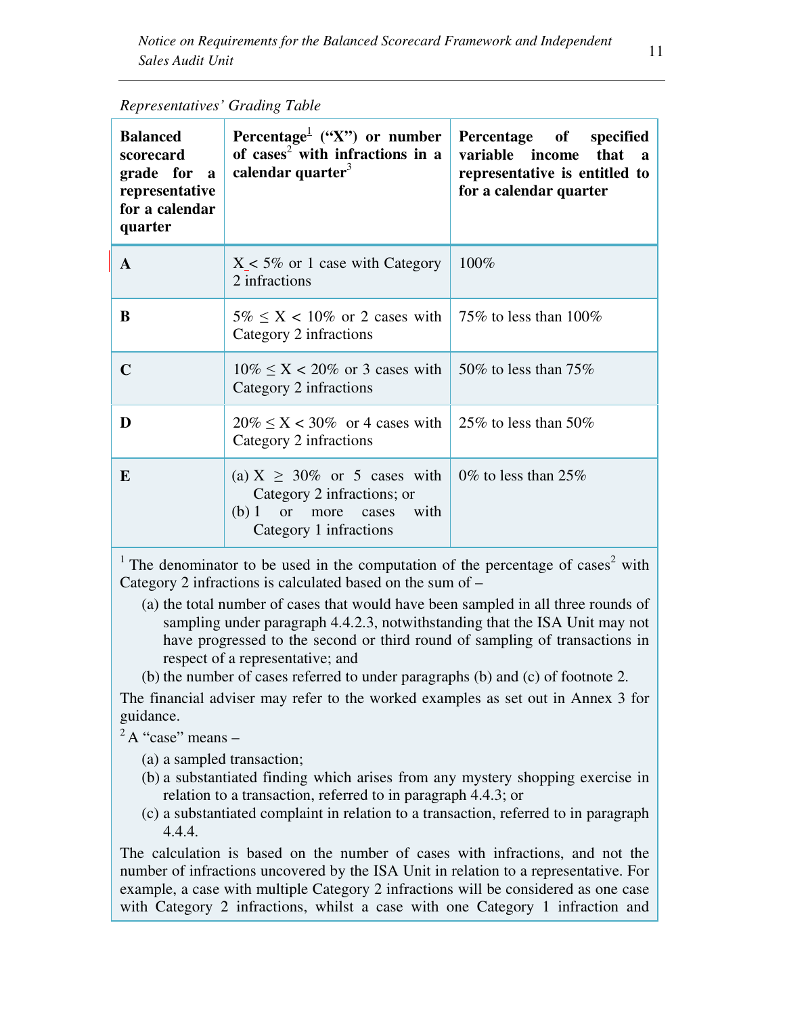| <b>Balanced</b><br>scorecard<br>grade for a<br>representative<br>for a calendar<br>quarter | Percentage <sup><math>\perp</math></sup> ("X") or number<br>Percentage of specified<br>of cases <sup>2</sup> with infractions in a<br>variable income<br>calendar quarter $3$<br>representative is entitled to<br>for a calendar quarter |                          |  |
|--------------------------------------------------------------------------------------------|------------------------------------------------------------------------------------------------------------------------------------------------------------------------------------------------------------------------------------------|--------------------------|--|
| $\mathbf{A}$                                                                               | $X < 5\%$ or 1 case with Category<br>2 infractions                                                                                                                                                                                       | 100%                     |  |
| B                                                                                          | $5\% \leq X < 10\%$ or 2 cases with<br>Category 2 infractions                                                                                                                                                                            | 75% to less than $100\%$ |  |
| $\mathbf C$                                                                                | $10\% \leq X < 20\%$ or 3 cases with<br>Category 2 infractions                                                                                                                                                                           | 50\% to less than $75\%$ |  |
| D                                                                                          | $20\% \le X < 30\%$ or 4 cases with<br>Category 2 infractions                                                                                                                                                                            | 25\% to less than 50\%   |  |
| E                                                                                          | (a) $X \geq 30\%$ or 5 cases with<br>Category 2 infractions; or<br>(b) 1<br>more<br>with<br><b>or</b><br>cases<br>Category 1 infractions                                                                                                 | 0% to less than 25%      |  |

*Representatives' Grading Table* 

<sup>1</sup> The denominator to be used in the computation of the percentage of cases<sup>2</sup> with Category 2 infractions is calculated based on the sum of –

- (a) the total number of cases that would have been sampled in all three rounds of sampling under paragraph 4.4.2.3, notwithstanding that the ISA Unit may not have progressed to the second or third round of sampling of transactions in respect of a representative; and
- (b) the number of cases referred to under paragraphs (b) and (c) of footnote 2.

The financial adviser may refer to the worked examples as set out in Annex 3 for guidance.

 $2^2$ A "case" means –

(a) a sampled transaction;

- (b) a substantiated finding which arises from any mystery shopping exercise in relation to a transaction, referred to in paragraph 4.4.3; or
- (c) a substantiated complaint in relation to a transaction, referred to in paragraph 4.4.4.

The calculation is based on the number of cases with infractions, and not the number of infractions uncovered by the ISA Unit in relation to a representative. For example, a case with multiple Category 2 infractions will be considered as one case with Category 2 infractions, whilst a case with one Category 1 infraction and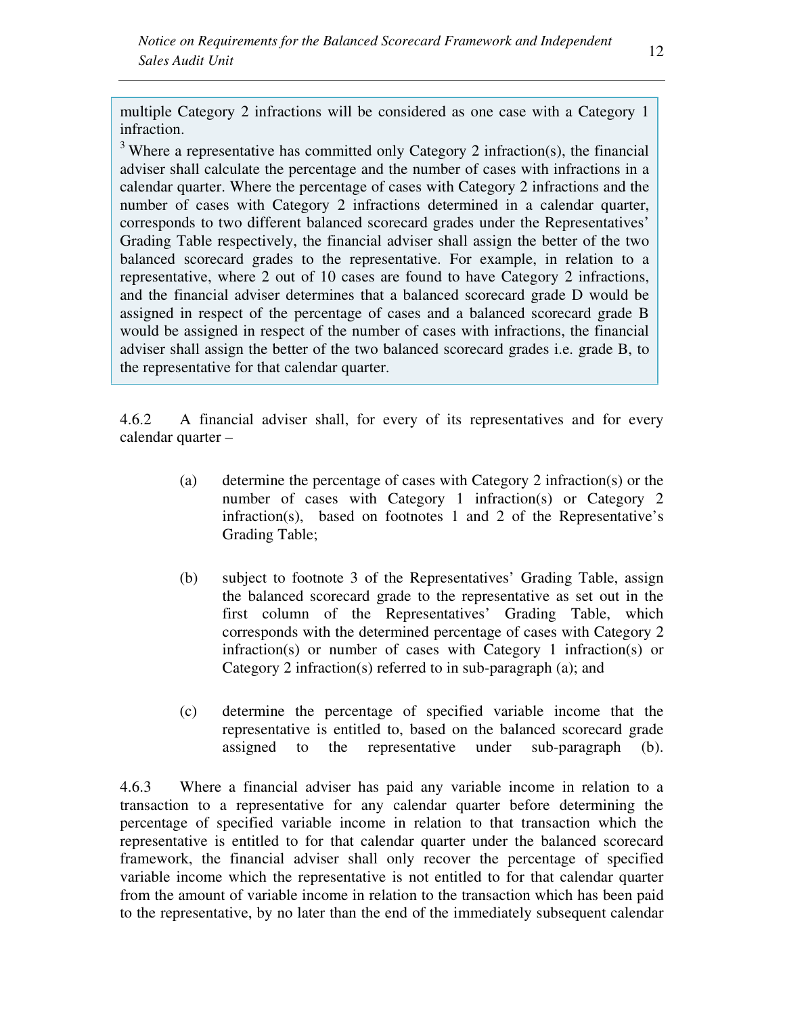multiple Category 2 infractions will be considered as one case with a Category 1 infraction.

 $3$  Where a representative has committed only Category 2 infraction(s), the financial adviser shall calculate the percentage and the number of cases with infractions in a calendar quarter. Where the percentage of cases with Category 2 infractions and the number of cases with Category 2 infractions determined in a calendar quarter, corresponds to two different balanced scorecard grades under the Representatives' Grading Table respectively, the financial adviser shall assign the better of the two balanced scorecard grades to the representative. For example, in relation to a representative, where 2 out of 10 cases are found to have Category 2 infractions, and the financial adviser determines that a balanced scorecard grade D would be assigned in respect of the percentage of cases and a balanced scorecard grade B would be assigned in respect of the number of cases with infractions, the financial adviser shall assign the better of the two balanced scorecard grades i.e. grade B, to the representative for that calendar quarter.

4.6.2 A financial adviser shall, for every of its representatives and for every calendar quarter –

- (a) determine the percentage of cases with Category 2 infraction(s) or the number of cases with Category 1 infraction(s) or Category 2 infraction(s), based on footnotes 1 and 2 of the Representative's Grading Table;
- (b) subject to footnote 3 of the Representatives' Grading Table, assign the balanced scorecard grade to the representative as set out in the first column of the Representatives' Grading Table, which corresponds with the determined percentage of cases with Category 2 infraction(s) or number of cases with Category 1 infraction(s) or Category 2 infraction(s) referred to in sub-paragraph (a); and
- (c) determine the percentage of specified variable income that the representative is entitled to, based on the balanced scorecard grade assigned to the representative under sub-paragraph (b).

4.6.3 Where a financial adviser has paid any variable income in relation to a transaction to a representative for any calendar quarter before determining the percentage of specified variable income in relation to that transaction which the representative is entitled to for that calendar quarter under the balanced scorecard framework, the financial adviser shall only recover the percentage of specified variable income which the representative is not entitled to for that calendar quarter from the amount of variable income in relation to the transaction which has been paid to the representative, by no later than the end of the immediately subsequent calendar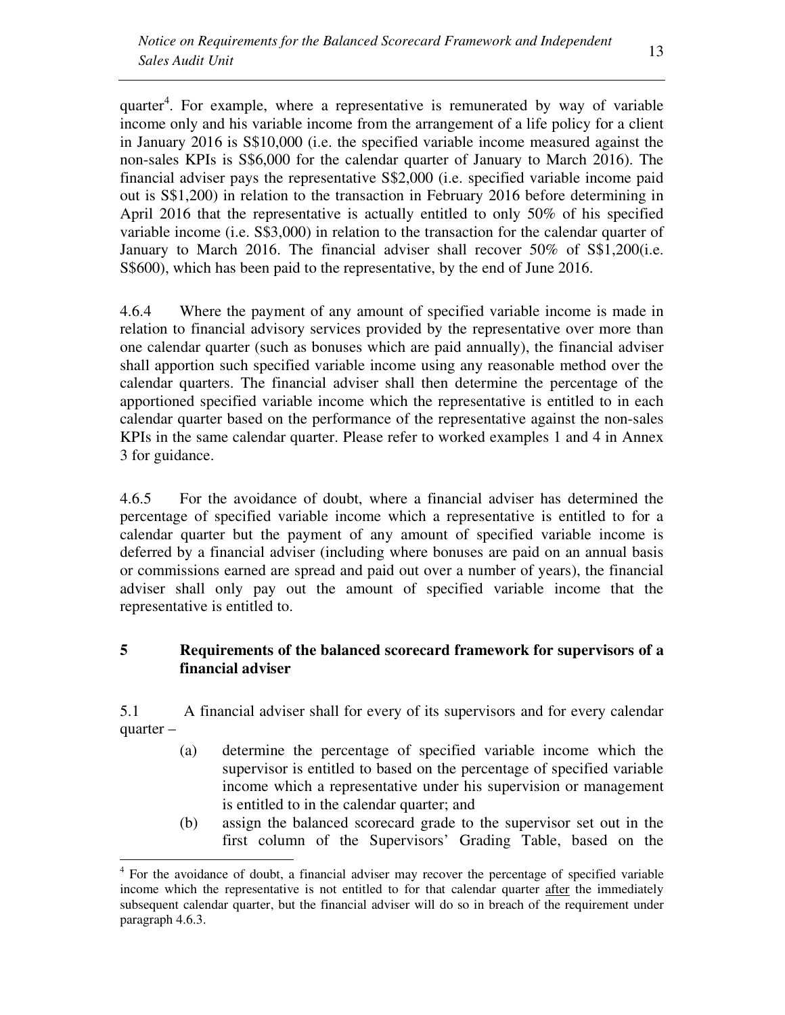quarter<sup>4</sup>. For example, where a representative is remunerated by way of variable income only and his variable income from the arrangement of a life policy for a client in January 2016 is S\$10,000 (i.e. the specified variable income measured against the non-sales KPIs is S\$6,000 for the calendar quarter of January to March 2016). The financial adviser pays the representative S\$2,000 (i.e. specified variable income paid out is S\$1,200) in relation to the transaction in February 2016 before determining in April 2016 that the representative is actually entitled to only 50% of his specified variable income (i.e. S\$3,000) in relation to the transaction for the calendar quarter of January to March 2016. The financial adviser shall recover 50% of S\$1,200(i.e. S\$600), which has been paid to the representative, by the end of June 2016.

4.6.4 Where the payment of any amount of specified variable income is made in relation to financial advisory services provided by the representative over more than one calendar quarter (such as bonuses which are paid annually), the financial adviser shall apportion such specified variable income using any reasonable method over the calendar quarters. The financial adviser shall then determine the percentage of the apportioned specified variable income which the representative is entitled to in each calendar quarter based on the performance of the representative against the non-sales KPIs in the same calendar quarter. Please refer to worked examples 1 and 4 in Annex 3 for guidance.

4.6.5 For the avoidance of doubt, where a financial adviser has determined the percentage of specified variable income which a representative is entitled to for a calendar quarter but the payment of any amount of specified variable income is deferred by a financial adviser (including where bonuses are paid on an annual basis or commissions earned are spread and paid out over a number of years), the financial adviser shall only pay out the amount of specified variable income that the representative is entitled to.

### **5 Requirements of the balanced scorecard framework for supervisors of a financial adviser**

5.1 A financial adviser shall for every of its supervisors and for every calendar quarter –

- (a) determine the percentage of specified variable income which the supervisor is entitled to based on the percentage of specified variable income which a representative under his supervision or management is entitled to in the calendar quarter; and
- (b) assign the balanced scorecard grade to the supervisor set out in the first column of the Supervisors' Grading Table, based on the

 $\overline{a}$ 

<sup>&</sup>lt;sup>4</sup> For the avoidance of doubt, a financial adviser may recover the percentage of specified variable income which the representative is not entitled to for that calendar quarter after the immediately subsequent calendar quarter, but the financial adviser will do so in breach of the requirement under paragraph 4.6.3.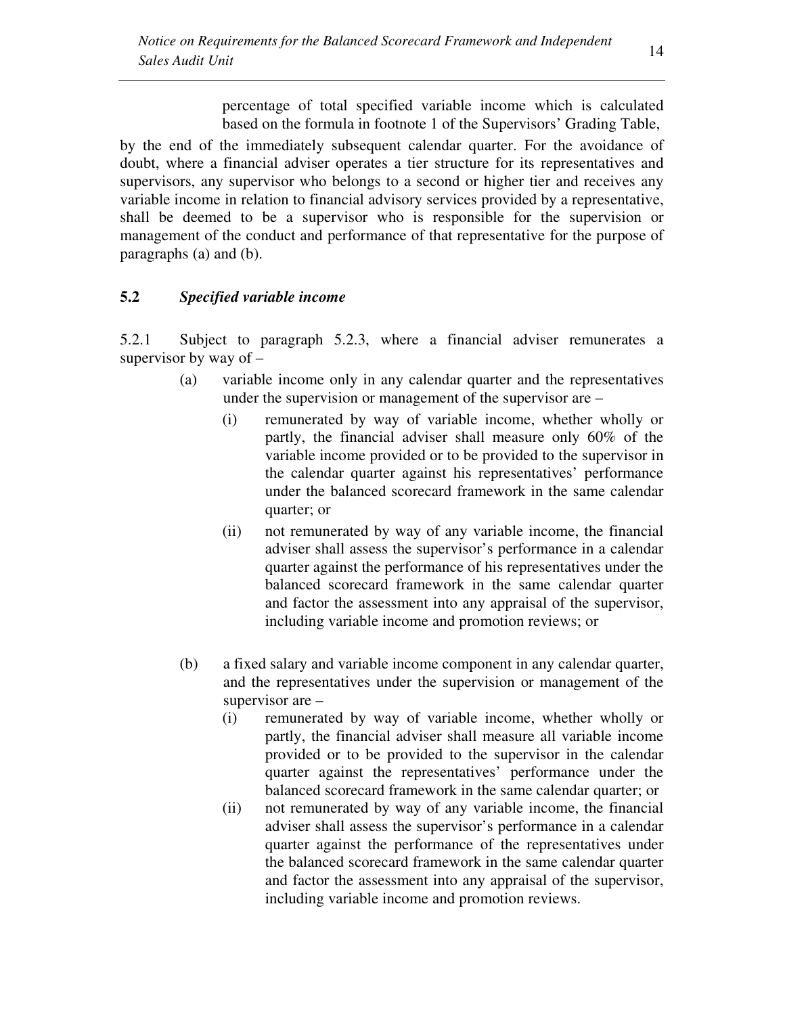percentage of total specified variable income which is calculated based on the formula in footnote 1 of the Supervisors' Grading Table,

by the end of the immediately subsequent calendar quarter. For the avoidance of doubt, where a financial adviser operates a tier structure for its representatives and supervisors, any supervisor who belongs to a second or higher tier and receives any variable income in relation to financial advisory services provided by a representative, shall be deemed to be a supervisor who is responsible for the supervision or management of the conduct and performance of that representative for the purpose of paragraphs (a) and (b).

### **5.2** *Specified variable income*

5.2.1 Subject to paragraph 5.2.3, where a financial adviser remunerates a supervisor by way of  $-$ 

- (a) variable income only in any calendar quarter and the representatives under the supervision or management of the supervisor are –
	- (i) remunerated by way of variable income, whether wholly or partly, the financial adviser shall measure only 60% of the variable income provided or to be provided to the supervisor in the calendar quarter against his representatives' performance under the balanced scorecard framework in the same calendar quarter; or
	- (ii) not remunerated by way of any variable income, the financial adviser shall assess the supervisor's performance in a calendar quarter against the performance of his representatives under the balanced scorecard framework in the same calendar quarter and factor the assessment into any appraisal of the supervisor, including variable income and promotion reviews; or
- (b) a fixed salary and variable income component in any calendar quarter, and the representatives under the supervision or management of the supervisor are –
	- (i) remunerated by way of variable income, whether wholly or partly, the financial adviser shall measure all variable income provided or to be provided to the supervisor in the calendar quarter against the representatives' performance under the balanced scorecard framework in the same calendar quarter; or
	- (ii) not remunerated by way of any variable income, the financial adviser shall assess the supervisor's performance in a calendar quarter against the performance of the representatives under the balanced scorecard framework in the same calendar quarter and factor the assessment into any appraisal of the supervisor, including variable income and promotion reviews.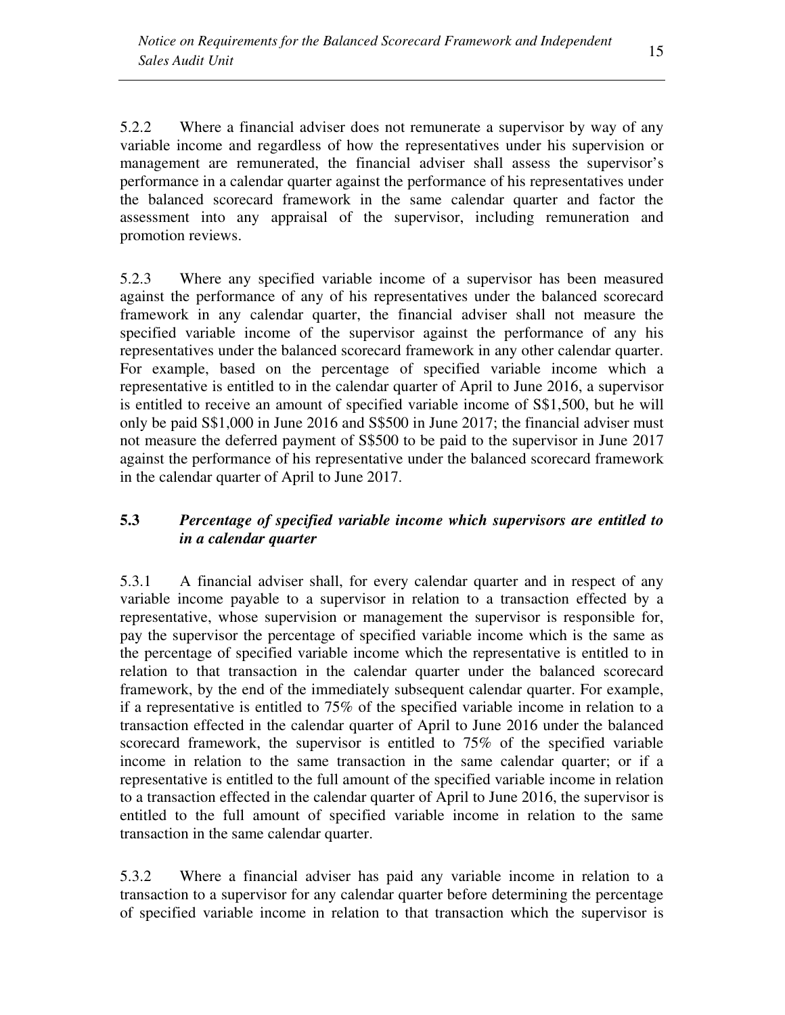5.2.2 Where a financial adviser does not remunerate a supervisor by way of any variable income and regardless of how the representatives under his supervision or management are remunerated, the financial adviser shall assess the supervisor's performance in a calendar quarter against the performance of his representatives under the balanced scorecard framework in the same calendar quarter and factor the assessment into any appraisal of the supervisor, including remuneration and promotion reviews.

5.2.3 Where any specified variable income of a supervisor has been measured against the performance of any of his representatives under the balanced scorecard framework in any calendar quarter, the financial adviser shall not measure the specified variable income of the supervisor against the performance of any his representatives under the balanced scorecard framework in any other calendar quarter. For example, based on the percentage of specified variable income which a representative is entitled to in the calendar quarter of April to June 2016, a supervisor is entitled to receive an amount of specified variable income of S\$1,500, but he will only be paid S\$1,000 in June 2016 and S\$500 in June 2017; the financial adviser must not measure the deferred payment of S\$500 to be paid to the supervisor in June 2017 against the performance of his representative under the balanced scorecard framework in the calendar quarter of April to June 2017.

# **5.3** *Percentage of specified variable income which supervisors are entitled to in a calendar quarter*

5.3.1 A financial adviser shall, for every calendar quarter and in respect of any variable income payable to a supervisor in relation to a transaction effected by a representative, whose supervision or management the supervisor is responsible for, pay the supervisor the percentage of specified variable income which is the same as the percentage of specified variable income which the representative is entitled to in relation to that transaction in the calendar quarter under the balanced scorecard framework, by the end of the immediately subsequent calendar quarter. For example, if a representative is entitled to 75% of the specified variable income in relation to a transaction effected in the calendar quarter of April to June 2016 under the balanced scorecard framework, the supervisor is entitled to 75% of the specified variable income in relation to the same transaction in the same calendar quarter; or if a representative is entitled to the full amount of the specified variable income in relation to a transaction effected in the calendar quarter of April to June 2016, the supervisor is entitled to the full amount of specified variable income in relation to the same transaction in the same calendar quarter.

5.3.2 Where a financial adviser has paid any variable income in relation to a transaction to a supervisor for any calendar quarter before determining the percentage of specified variable income in relation to that transaction which the supervisor is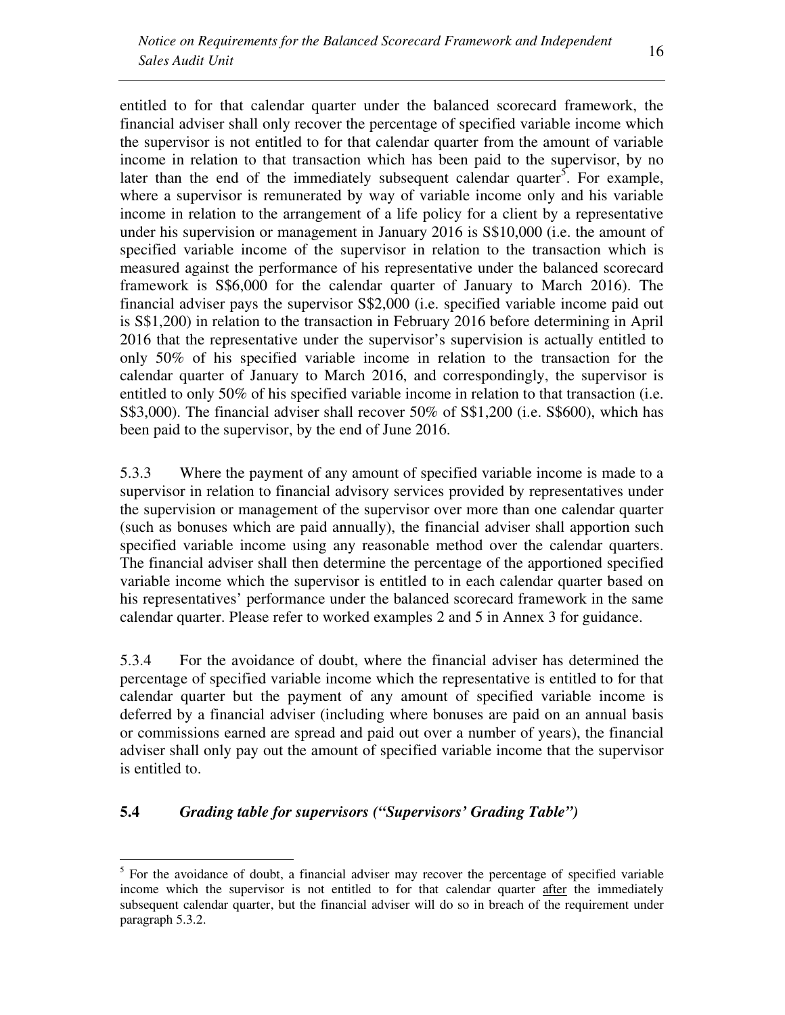entitled to for that calendar quarter under the balanced scorecard framework, the financial adviser shall only recover the percentage of specified variable income which the supervisor is not entitled to for that calendar quarter from the amount of variable income in relation to that transaction which has been paid to the supervisor, by no later than the end of the immediately subsequent calendar quarter<sup>5</sup>. For example, where a supervisor is remunerated by way of variable income only and his variable income in relation to the arrangement of a life policy for a client by a representative under his supervision or management in January 2016 is S\$10,000 (i.e. the amount of specified variable income of the supervisor in relation to the transaction which is measured against the performance of his representative under the balanced scorecard framework is S\$6,000 for the calendar quarter of January to March 2016). The financial adviser pays the supervisor S\$2,000 (i.e. specified variable income paid out is S\$1,200) in relation to the transaction in February 2016 before determining in April 2016 that the representative under the supervisor's supervision is actually entitled to only 50% of his specified variable income in relation to the transaction for the calendar quarter of January to March 2016, and correspondingly, the supervisor is entitled to only 50% of his specified variable income in relation to that transaction (i.e. S\$3,000). The financial adviser shall recover 50% of S\$1,200 (i.e. S\$600), which has been paid to the supervisor, by the end of June 2016.

5.3.3 Where the payment of any amount of specified variable income is made to a supervisor in relation to financial advisory services provided by representatives under the supervision or management of the supervisor over more than one calendar quarter (such as bonuses which are paid annually), the financial adviser shall apportion such specified variable income using any reasonable method over the calendar quarters. The financial adviser shall then determine the percentage of the apportioned specified variable income which the supervisor is entitled to in each calendar quarter based on his representatives' performance under the balanced scorecard framework in the same calendar quarter. Please refer to worked examples 2 and 5 in Annex 3 for guidance.

5.3.4 For the avoidance of doubt, where the financial adviser has determined the percentage of specified variable income which the representative is entitled to for that calendar quarter but the payment of any amount of specified variable income is deferred by a financial adviser (including where bonuses are paid on an annual basis or commissions earned are spread and paid out over a number of years), the financial adviser shall only pay out the amount of specified variable income that the supervisor is entitled to.

## **5.4** *Grading table for supervisors ("Supervisors' Grading Table")*

 $\overline{a}$ 

<sup>&</sup>lt;sup>5</sup> For the avoidance of doubt, a financial adviser may recover the percentage of specified variable income which the supervisor is not entitled to for that calendar quarter after the immediately subsequent calendar quarter, but the financial adviser will do so in breach of the requirement under paragraph 5.3.2.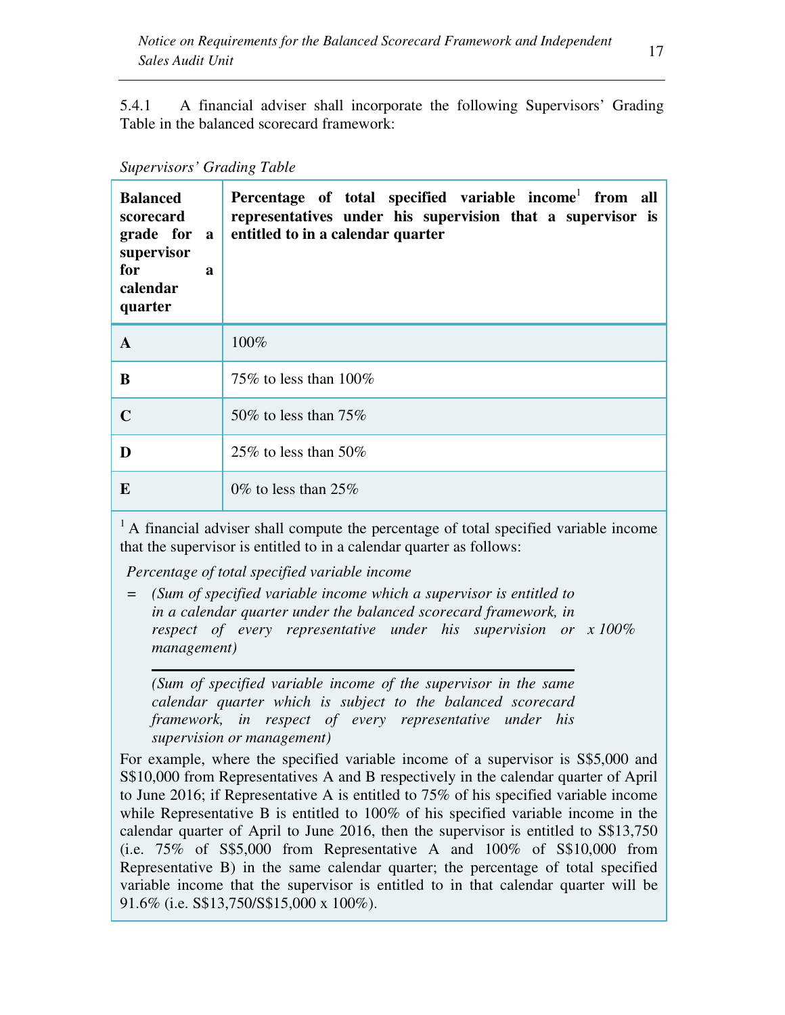5.4.1 A financial adviser shall incorporate the following Supervisors' Grading Table in the balanced scorecard framework:

#### *Supervisors' Grading Table*

| <b>Balanced</b><br>scorecard<br>grade for a<br>supervisor<br>for<br>$\boldsymbol{a}$<br>calendar<br>quarter | Percentage of total specified variable income <sup>1</sup> from all<br>representatives under his supervision that a supervisor is<br>entitled to in a calendar quarter |
|-------------------------------------------------------------------------------------------------------------|------------------------------------------------------------------------------------------------------------------------------------------------------------------------|
| A                                                                                                           | 100%                                                                                                                                                                   |
| B                                                                                                           | 75\% to less than $100\%$                                                                                                                                              |
| $\mathbf C$                                                                                                 | 50\% to less than $75\%$                                                                                                                                               |
| D                                                                                                           | 25\% to less than 50\%                                                                                                                                                 |
| E                                                                                                           | 0\% to less than 25\%                                                                                                                                                  |

 $<sup>1</sup>$  A financial adviser shall compute the percentage of total specified variable income</sup> that the supervisor is entitled to in a calendar quarter as follows:

*Percentage of total specified variable income* 

*= (Sum of specified variable income which a supervisor is entitled to in a calendar quarter under the balanced scorecard framework, in respect of every representative under his supervision or x 100% management)* 

*(Sum of specified variable income of the supervisor in the same calendar quarter which is subject to the balanced scorecard framework, in respect of every representative under his supervision or management)* 

For example, where the specified variable income of a supervisor is S\$5,000 and S\$10,000 from Representatives A and B respectively in the calendar quarter of April to June 2016; if Representative A is entitled to 75% of his specified variable income while Representative B is entitled to 100% of his specified variable income in the calendar quarter of April to June 2016, then the supervisor is entitled to S\$13,750 (i.e. 75% of S\$5,000 from Representative A and 100% of S\$10,000 from Representative B) in the same calendar quarter; the percentage of total specified variable income that the supervisor is entitled to in that calendar quarter will be 91.6% (i.e. S\$13,750/S\$15,000 x 100%).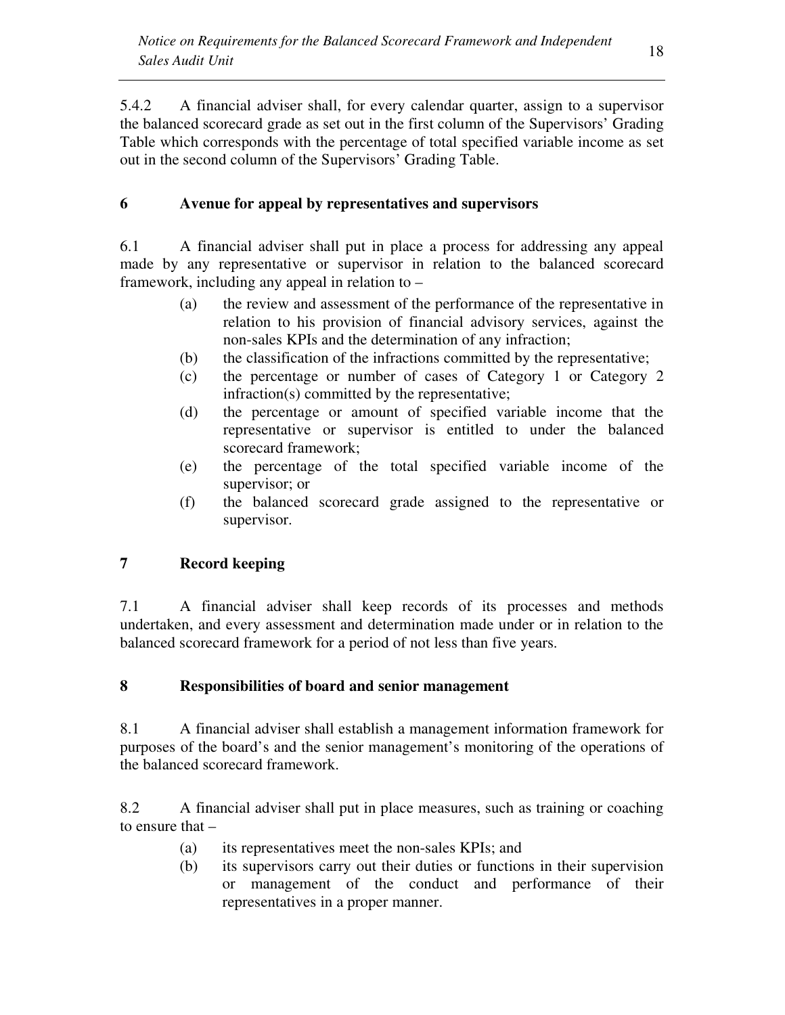5.4.2 A financial adviser shall, for every calendar quarter, assign to a supervisor the balanced scorecard grade as set out in the first column of the Supervisors' Grading Table which corresponds with the percentage of total specified variable income as set out in the second column of the Supervisors' Grading Table.

# **6 Avenue for appeal by representatives and supervisors**

6.1 A financial adviser shall put in place a process for addressing any appeal made by any representative or supervisor in relation to the balanced scorecard framework, including any appeal in relation to –

- (a) the review and assessment of the performance of the representative in relation to his provision of financial advisory services, against the non-sales KPIs and the determination of any infraction;
- (b) the classification of the infractions committed by the representative;
- (c) the percentage or number of cases of Category 1 or Category 2 infraction(s) committed by the representative;
- (d) the percentage or amount of specified variable income that the representative or supervisor is entitled to under the balanced scorecard framework;
- (e) the percentage of the total specified variable income of the supervisor; or
- (f) the balanced scorecard grade assigned to the representative or supervisor.

# **7 Record keeping**

7.1 A financial adviser shall keep records of its processes and methods undertaken, and every assessment and determination made under or in relation to the balanced scorecard framework for a period of not less than five years.

# **8 Responsibilities of board and senior management**

8.1 A financial adviser shall establish a management information framework for purposes of the board's and the senior management's monitoring of the operations of the balanced scorecard framework.

8.2 A financial adviser shall put in place measures, such as training or coaching to ensure that –

- (a) its representatives meet the non-sales KPIs; and
- (b) its supervisors carry out their duties or functions in their supervision or management of the conduct and performance of their representatives in a proper manner.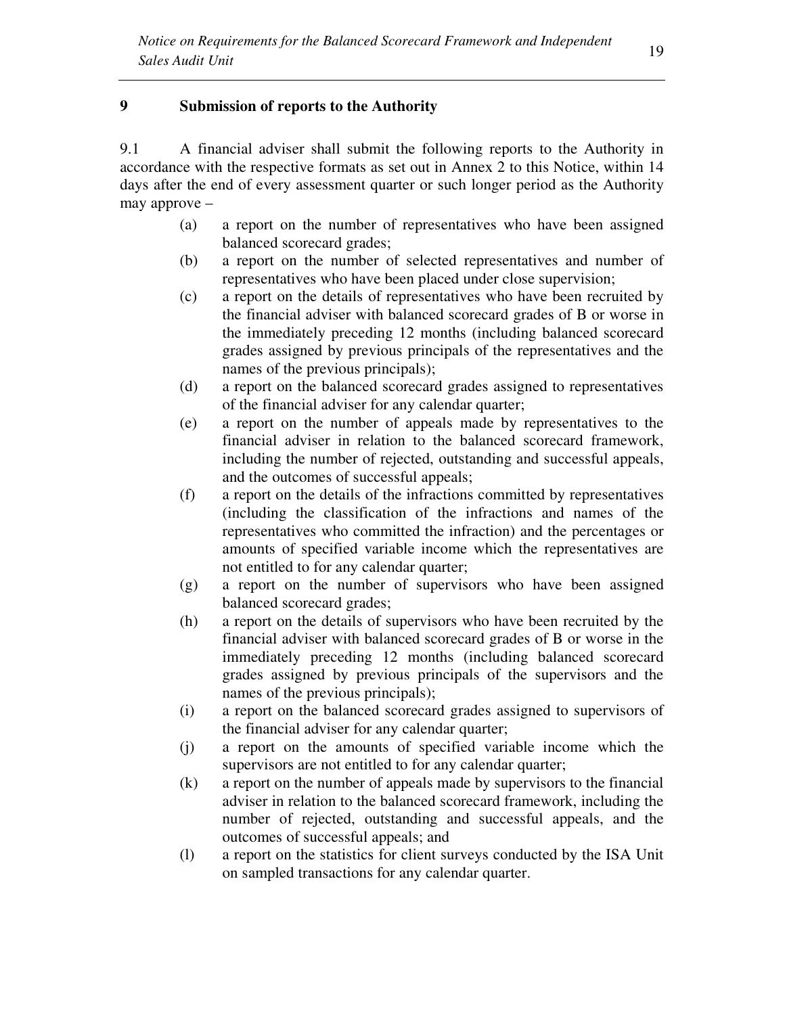### **9 Submission of reports to the Authority**

9.1 A financial adviser shall submit the following reports to the Authority in accordance with the respective formats as set out in Annex 2 to this Notice, within 14 days after the end of every assessment quarter or such longer period as the Authority may approve –

- (a) a report on the number of representatives who have been assigned balanced scorecard grades;
- (b) a report on the number of selected representatives and number of representatives who have been placed under close supervision;
- (c) a report on the details of representatives who have been recruited by the financial adviser with balanced scorecard grades of B or worse in the immediately preceding 12 months (including balanced scorecard grades assigned by previous principals of the representatives and the names of the previous principals);
- (d) a report on the balanced scorecard grades assigned to representatives of the financial adviser for any calendar quarter;
- (e) a report on the number of appeals made by representatives to the financial adviser in relation to the balanced scorecard framework, including the number of rejected, outstanding and successful appeals, and the outcomes of successful appeals;
- (f) a report on the details of the infractions committed by representatives (including the classification of the infractions and names of the representatives who committed the infraction) and the percentages or amounts of specified variable income which the representatives are not entitled to for any calendar quarter;
- (g) a report on the number of supervisors who have been assigned balanced scorecard grades;
- (h) a report on the details of supervisors who have been recruited by the financial adviser with balanced scorecard grades of B or worse in the immediately preceding 12 months (including balanced scorecard grades assigned by previous principals of the supervisors and the names of the previous principals);
- (i) a report on the balanced scorecard grades assigned to supervisors of the financial adviser for any calendar quarter;
- (j) a report on the amounts of specified variable income which the supervisors are not entitled to for any calendar quarter;
- (k) a report on the number of appeals made by supervisors to the financial adviser in relation to the balanced scorecard framework, including the number of rejected, outstanding and successful appeals, and the outcomes of successful appeals; and
- (l) a report on the statistics for client surveys conducted by the ISA Unit on sampled transactions for any calendar quarter.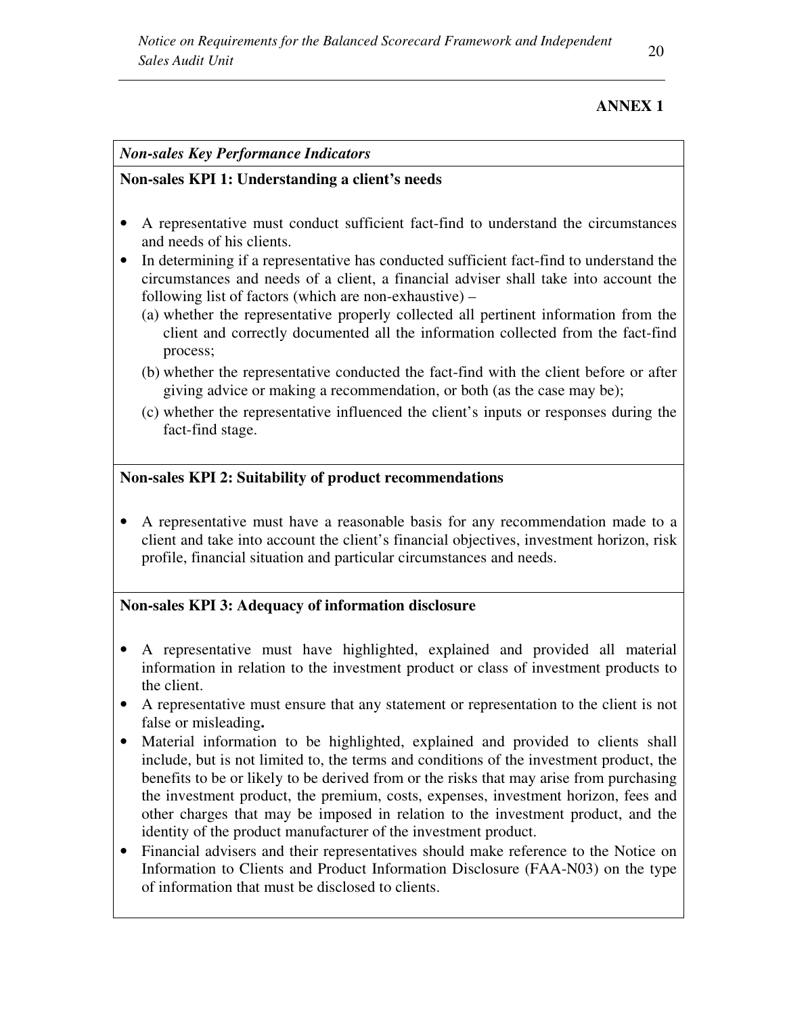# **ANNEX 1**

### *Non-sales Key Performance Indicators*

### **Non-sales KPI 1: Understanding a client's needs**

- A representative must conduct sufficient fact-find to understand the circumstances and needs of his clients.
- In determining if a representative has conducted sufficient fact-find to understand the circumstances and needs of a client, a financial adviser shall take into account the following list of factors (which are non-exhaustive) –
	- (a) whether the representative properly collected all pertinent information from the client and correctly documented all the information collected from the fact-find process;
	- (b) whether the representative conducted the fact-find with the client before or after giving advice or making a recommendation, or both (as the case may be);
	- (c) whether the representative influenced the client's inputs or responses during the fact-find stage.

# **Non-sales KPI 2: Suitability of product recommendations**

• A representative must have a reasonable basis for any recommendation made to a client and take into account the client's financial objectives, investment horizon, risk profile, financial situation and particular circumstances and needs.

# **Non-sales KPI 3: Adequacy of information disclosure**

- A representative must have highlighted, explained and provided all material information in relation to the investment product or class of investment products to the client.
- A representative must ensure that any statement or representation to the client is not false or misleading**.**
- Material information to be highlighted, explained and provided to clients shall include, but is not limited to, the terms and conditions of the investment product, the benefits to be or likely to be derived from or the risks that may arise from purchasing the investment product, the premium, costs, expenses, investment horizon, fees and other charges that may be imposed in relation to the investment product, and the identity of the product manufacturer of the investment product.
- Financial advisers and their representatives should make reference to the Notice on Information to Clients and Product Information Disclosure (FAA-N03) on the type of information that must be disclosed to clients.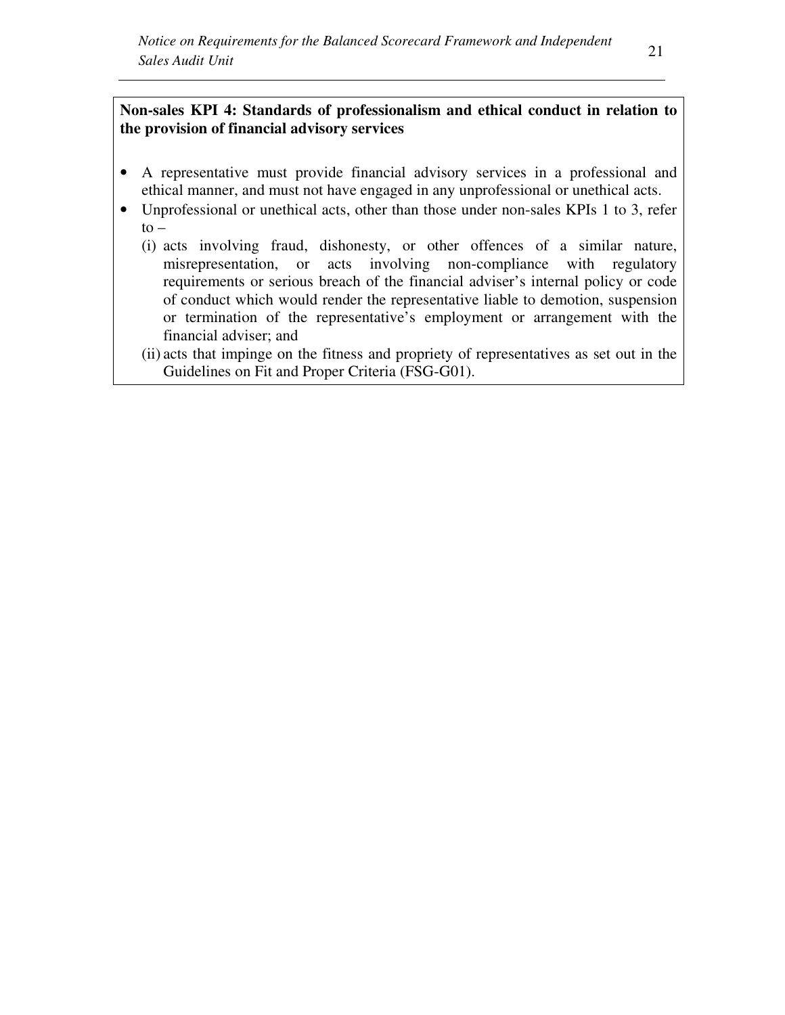# **Non-sales KPI 4: Standards of professionalism and ethical conduct in relation to the provision of financial advisory services**

- A representative must provide financial advisory services in a professional and ethical manner, and must not have engaged in any unprofessional or unethical acts.
- Unprofessional or unethical acts, other than those under non-sales KPIs 1 to 3, refer  $to -$ 
	- (i) acts involving fraud, dishonesty, or other offences of a similar nature, misrepresentation, or acts involving non-compliance with regulatory requirements or serious breach of the financial adviser's internal policy or code of conduct which would render the representative liable to demotion, suspension or termination of the representative's employment or arrangement with the financial adviser; and
	- (ii) acts that impinge on the fitness and propriety of representatives as set out in the Guidelines on Fit and Proper Criteria (FSG-G01).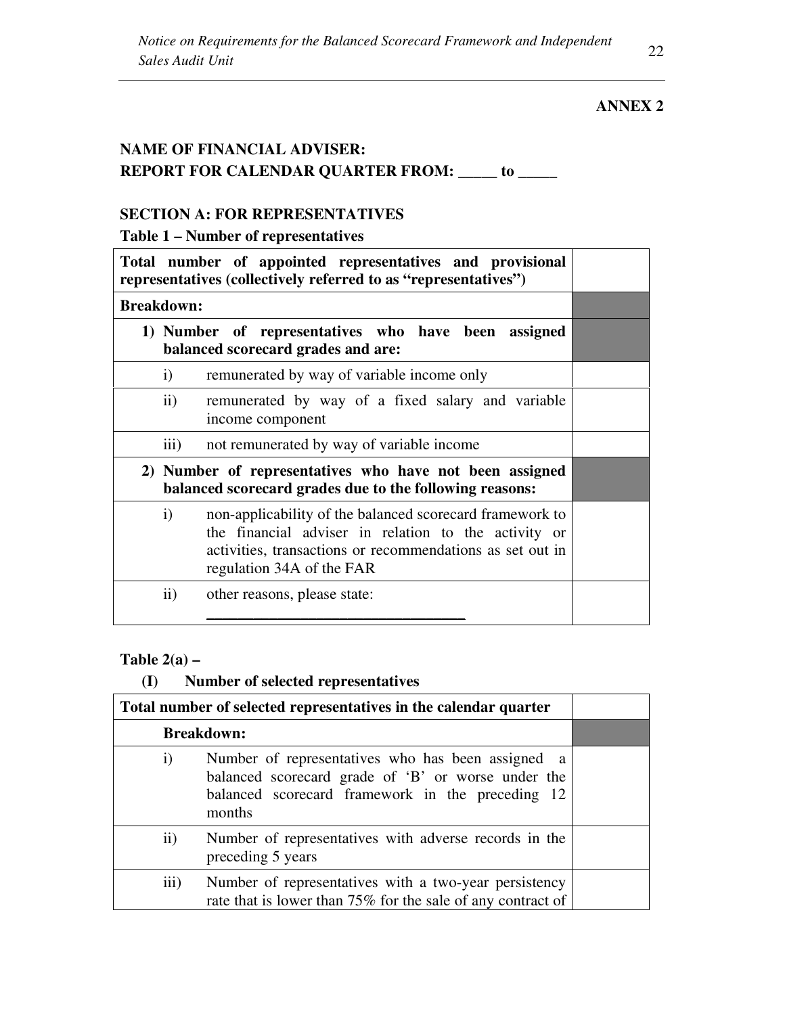# **ANNEX 2**

# **NAME OF FINANCIAL ADVISER: REPORT FOR CALENDAR QUARTER FROM: \_\_\_\_\_ to \_\_\_\_\_**

# **SECTION A: FOR REPRESENTATIVES**

**Table 1 – Number of representatives**

|                   |                                                                                           | Total number of appointed representatives and provisional<br>representatives (collectively referred to as "representatives")                                                                               |  |  |
|-------------------|-------------------------------------------------------------------------------------------|------------------------------------------------------------------------------------------------------------------------------------------------------------------------------------------------------------|--|--|
| <b>Breakdown:</b> |                                                                                           |                                                                                                                                                                                                            |  |  |
|                   | 1) Number of representatives who have been assigned<br>balanced scorecard grades and are: |                                                                                                                                                                                                            |  |  |
|                   | $\mathbf{i}$                                                                              | remunerated by way of variable income only                                                                                                                                                                 |  |  |
|                   | $\rm ii)$                                                                                 | remunerated by way of a fixed salary and variable<br>income component                                                                                                                                      |  |  |
|                   | $\overline{iii}$                                                                          | not remunerated by way of variable income                                                                                                                                                                  |  |  |
|                   |                                                                                           | 2) Number of representatives who have not been assigned<br>balanced scorecard grades due to the following reasons:                                                                                         |  |  |
|                   | $\mathbf{i}$                                                                              | non-applicability of the balanced scorecard framework to<br>the financial adviser in relation to the activity or<br>activities, transactions or recommendations as set out in<br>regulation 34A of the FAR |  |  |
|                   | $\mathbf{ii}$                                                                             | other reasons, please state:                                                                                                                                                                               |  |  |

### **Table 2(a) –**

# **(I) Number of selected representatives**

|               | Total number of selected representatives in the calendar quarter                                                                                                      |  |  |  |  |
|---------------|-----------------------------------------------------------------------------------------------------------------------------------------------------------------------|--|--|--|--|
|               | <b>Breakdown:</b>                                                                                                                                                     |  |  |  |  |
| $\rm i)$      | Number of representatives who has been assigned a<br>balanced scorecard grade of 'B' or worse under the<br>balanced scorecard framework in the preceding 12<br>months |  |  |  |  |
| $\mathbf{ii}$ | Number of representatives with adverse records in the<br>preceding 5 years                                                                                            |  |  |  |  |
| iii)          | Number of representatives with a two-year persistency<br>rate that is lower than 75% for the sale of any contract of                                                  |  |  |  |  |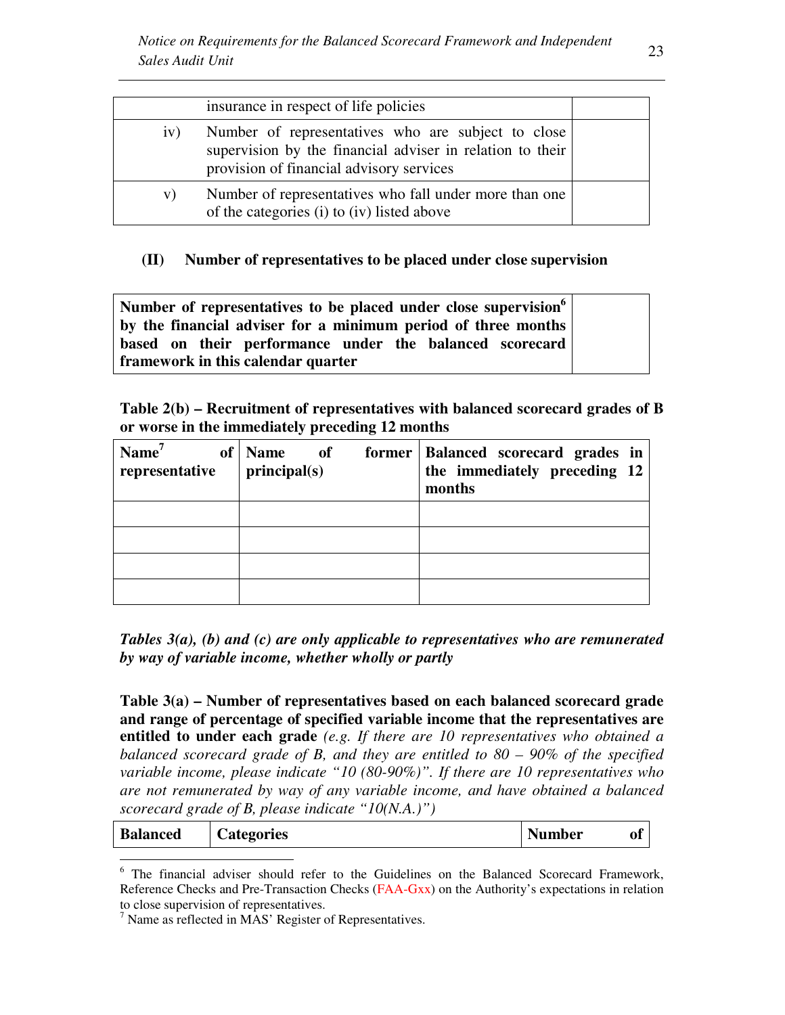|     | insurance in respect of life policies                                                                                                                       |  |
|-----|-------------------------------------------------------------------------------------------------------------------------------------------------------------|--|
| iv) | Number of representatives who are subject to close<br>supervision by the financial adviser in relation to their<br>provision of financial advisory services |  |
| V)  | Number of representatives who fall under more than one<br>of the categories (i) to (iv) listed above                                                        |  |

### **(II) Number of representatives to be placed under close supervision**

**Number of representatives to be placed under close supervision<sup>6</sup> by the financial adviser for a minimum period of three months based on their performance under the balanced scorecard framework in this calendar quarter**

**Table 2(b) – Recruitment of representatives with balanced scorecard grades of B or worse in the immediately preceding 12 months** 

| $\mathrm{Name}^7$<br>representative | of   Name of<br>principal(s) | former   Balanced scorecard grades in<br>the immediately preceding 12<br>months |
|-------------------------------------|------------------------------|---------------------------------------------------------------------------------|
|                                     |                              |                                                                                 |
|                                     |                              |                                                                                 |
|                                     |                              |                                                                                 |
|                                     |                              |                                                                                 |

*Tables 3(a), (b) and (c) are only applicable to representatives who are remunerated by way of variable income, whether wholly or partly*

**Table 3(a) – Number of representatives based on each balanced scorecard grade and range of percentage of specified variable income that the representatives are entitled to under each grade** *(e.g. If there are 10 representatives who obtained a balanced scorecard grade of B, and they are entitled to 80 – 90% of the specified variable income, please indicate "10 (80-90%)". If there are 10 representatives who are not remunerated by way of any variable income, and have obtained a balanced scorecard grade of B, please indicate "10(N.A.)")* 

| <b>Balanced</b> | <b>Categories</b> | <b>Number</b> | of |  |
|-----------------|-------------------|---------------|----|--|
|                 |                   |               |    |  |

<sup>6</sup> The financial adviser should refer to the Guidelines on the Balanced Scorecard Framework, Reference Checks and Pre-Transaction Checks (FAA-Gxx) on the Authority's expectations in relation to close supervision of representatives.

<sup>&</sup>lt;sup>7</sup> Name as reflected in MAS' Register of Representatives.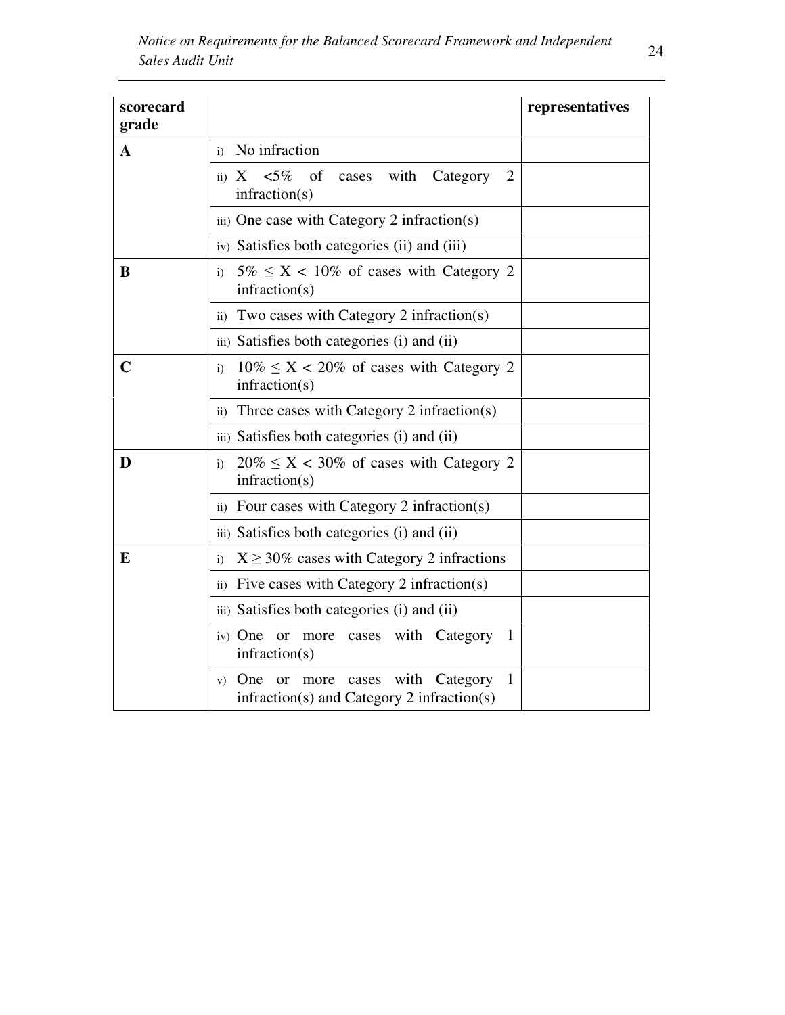| scorecard<br>grade |                                                                                                  | representatives |
|--------------------|--------------------------------------------------------------------------------------------------|-----------------|
| A                  | No infraction<br>$\ddot{i}$                                                                      |                 |
|                    | ii) $X < 5\%$<br>with<br>Category<br>of<br>2<br>cases<br>infraction(s)                           |                 |
|                    | iii) One case with Category $2$ infraction(s)                                                    |                 |
|                    | iv) Satisfies both categories (ii) and (iii)                                                     |                 |
| B                  | $5\% \leq X < 10\%$ of cases with Category 2<br>$\ddot{i}$<br>infraction(s)                      |                 |
|                    | Two cases with Category 2 infraction(s)<br>$\rm ii)$                                             |                 |
|                    | iii) Satisfies both categories (i) and (ii)                                                      |                 |
| $\mathbf C$        | $10\% \leq X < 20\%$ of cases with Category 2<br>$\mathbf{i}$<br>infraction(s)                   |                 |
|                    | Three cases with Category 2 infraction(s)<br>$\rm ii)$                                           |                 |
|                    | iii) Satisfies both categories (i) and (ii)                                                      |                 |
| D                  | $20\% \le X < 30\%$ of cases with Category 2<br>$\mathbf{i}$<br>infraction(s)                    |                 |
|                    | ii) Four cases with Category 2 infraction(s)                                                     |                 |
|                    | iii) Satisfies both categories (i) and (ii)                                                      |                 |
| E                  | $X \ge 30\%$ cases with Category 2 infractions<br>$\mathbf{i}$                                   |                 |
|                    | Five cases with Category 2 infraction(s)<br>$\mathbf{ii}$                                        |                 |
|                    | iii) Satisfies both categories (i) and (ii)                                                      |                 |
|                    | iv) One<br>more cases with Category<br><sub>or</sub><br>-1<br>infraction(s)                      |                 |
|                    | more cases with Category<br>One<br>1<br>or<br>V)<br>$infraction(s)$ and Category 2 infraction(s) |                 |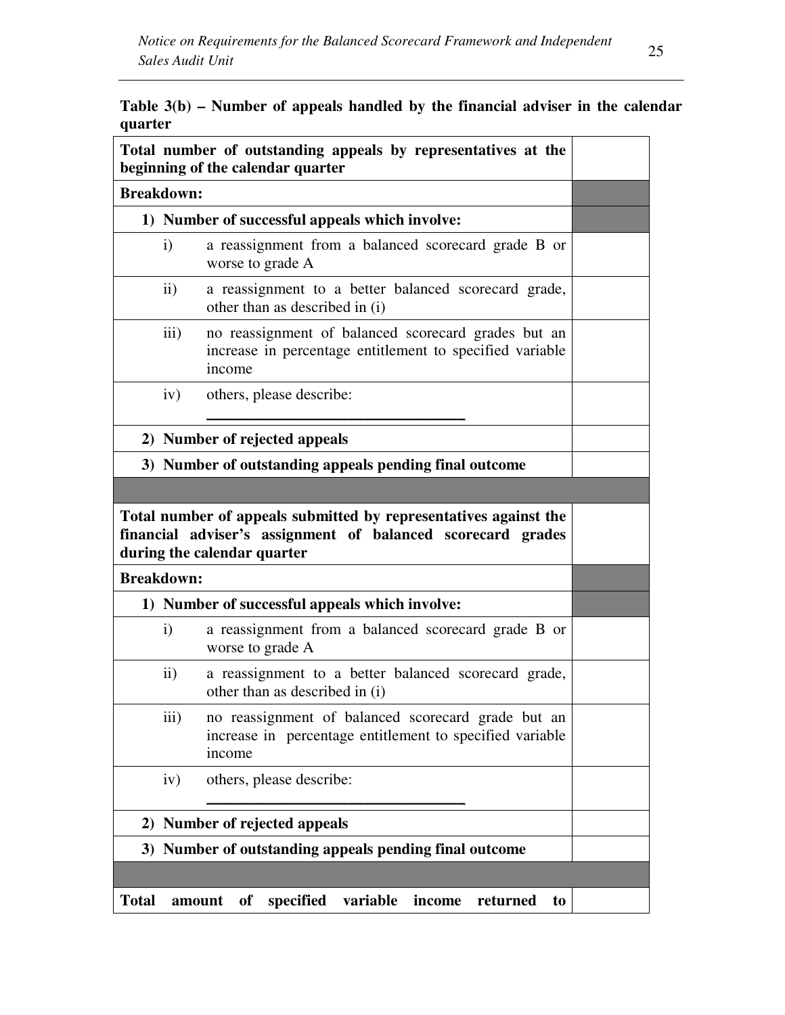| Table $3(b)$ – Number of appeals handled by the financial adviser in the calendar |  |  |  |
|-----------------------------------------------------------------------------------|--|--|--|
| quarter                                                                           |  |  |  |

| Total number of outstanding appeals by representatives at the<br>beginning of the calendar quarter                                                             |                                                                                         |                                                                                                                           |  |  |  |
|----------------------------------------------------------------------------------------------------------------------------------------------------------------|-----------------------------------------------------------------------------------------|---------------------------------------------------------------------------------------------------------------------------|--|--|--|
|                                                                                                                                                                | <b>Breakdown:</b>                                                                       |                                                                                                                           |  |  |  |
|                                                                                                                                                                |                                                                                         | 1) Number of successful appeals which involve:                                                                            |  |  |  |
|                                                                                                                                                                | $\mathbf{i}$                                                                            | a reassignment from a balanced scorecard grade B or<br>worse to grade A                                                   |  |  |  |
|                                                                                                                                                                | $\rm ii)$                                                                               | a reassignment to a better balanced scorecard grade,<br>other than as described in (i)                                    |  |  |  |
|                                                                                                                                                                | iii)                                                                                    | no reassignment of balanced scorecard grades but an<br>increase in percentage entitlement to specified variable<br>income |  |  |  |
|                                                                                                                                                                | iv)                                                                                     | others, please describe:                                                                                                  |  |  |  |
|                                                                                                                                                                |                                                                                         | 2) Number of rejected appeals                                                                                             |  |  |  |
|                                                                                                                                                                |                                                                                         | 3) Number of outstanding appeals pending final outcome                                                                    |  |  |  |
|                                                                                                                                                                |                                                                                         |                                                                                                                           |  |  |  |
| Total number of appeals submitted by representatives against the<br>financial adviser's assignment of balanced scorecard grades<br>during the calendar quarter |                                                                                         |                                                                                                                           |  |  |  |
| <b>Breakdown:</b>                                                                                                                                              |                                                                                         |                                                                                                                           |  |  |  |
|                                                                                                                                                                | 1) Number of successful appeals which involve:                                          |                                                                                                                           |  |  |  |
|                                                                                                                                                                | $\mathbf{i}$<br>a reassignment from a balanced scorecard grade B or<br>worse to grade A |                                                                                                                           |  |  |  |
|                                                                                                                                                                | $\rm ii)$                                                                               | a reassignment to a better balanced scorecard grade,<br>other than as described in (i)                                    |  |  |  |
|                                                                                                                                                                | iii)                                                                                    | no reassignment of balanced scorecard grade but an<br>increase in percentage entitlement to specified variable<br>income  |  |  |  |
|                                                                                                                                                                | iv)                                                                                     | others, please describe:                                                                                                  |  |  |  |
|                                                                                                                                                                |                                                                                         | 2) Number of rejected appeals                                                                                             |  |  |  |
|                                                                                                                                                                |                                                                                         | 3) Number of outstanding appeals pending final outcome                                                                    |  |  |  |
|                                                                                                                                                                |                                                                                         |                                                                                                                           |  |  |  |
| <b>Total</b>                                                                                                                                                   | amount                                                                                  | specified<br>variable<br>of<br>income<br>returned<br>to                                                                   |  |  |  |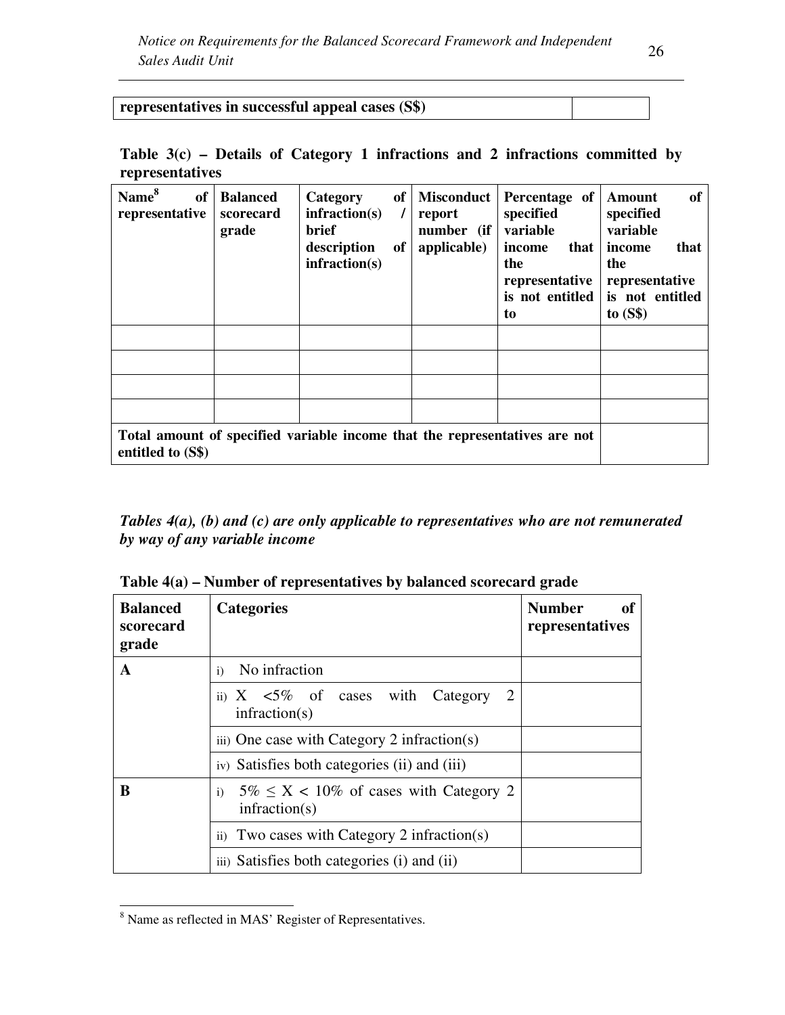|     | v<br>i            |
|-----|-------------------|
| . . | ×<br>٦<br>×<br>۰, |

| representatives in successful appeal cases (S\$) |  |
|--------------------------------------------------|--|
|--------------------------------------------------|--|

| Table $3(c)$ – Details of Category 1 infractions and 2 infractions committed by |  |  |  |  |  |
|---------------------------------------------------------------------------------|--|--|--|--|--|
| representatives                                                                 |  |  |  |  |  |

| Name <sup>8</sup><br>of<br>representative | <b>Balanced</b><br>scorecard<br>grade | Category<br>in fraction(s)<br>brief<br>description<br>infraction(s) | of<br>$\prime$<br>of | <b>Misconduct</b><br>report<br>number (if<br>applicable) | Percentage of<br>specified<br>variable<br>income<br>that<br>the<br>representative<br>is not entitled<br>to | of<br>Amount<br>specified<br>variable<br>that<br>income<br>the<br>representative<br>is not entitled<br>to $(S$)$ |
|-------------------------------------------|---------------------------------------|---------------------------------------------------------------------|----------------------|----------------------------------------------------------|------------------------------------------------------------------------------------------------------------|------------------------------------------------------------------------------------------------------------------|
|                                           |                                       |                                                                     |                      |                                                          |                                                                                                            |                                                                                                                  |
|                                           |                                       |                                                                     |                      |                                                          |                                                                                                            |                                                                                                                  |
|                                           |                                       |                                                                     |                      |                                                          |                                                                                                            |                                                                                                                  |
|                                           |                                       |                                                                     |                      |                                                          |                                                                                                            |                                                                                                                  |
| entitled to (S\$)                         |                                       |                                                                     |                      |                                                          | Total amount of specified variable income that the representatives are not                                 |                                                                                                                  |

*Tables 4(a), (b) and (c) are only applicable to representatives who are not remunerated by way of any variable income* 

**Table 4(a) – Number of representatives by balanced scorecard grade** 

| <b>Balanced</b><br>scorecard<br>grade | <b>Categories</b>                                                             | <b>Number</b><br>of<br>representatives |
|---------------------------------------|-------------------------------------------------------------------------------|----------------------------------------|
| A                                     | No infraction<br>i)                                                           |                                        |
|                                       | ii) $X \le 5\%$ of cases with Category<br>2<br>infraction(s)                  |                                        |
|                                       | iii) One case with Category 2 infraction(s)                                   |                                        |
|                                       | iv) Satisfies both categories (ii) and (iii)                                  |                                        |
| B                                     | $5\% \leq X < 10\%$ of cases with Category 2<br>$\mathbf{i}$<br>infraction(s) |                                        |
|                                       | ii) Two cases with Category 2 infraction(s)                                   |                                        |
|                                       | iii) Satisfies both categories (i) and (ii)                                   |                                        |

<sup>&</sup>lt;sup>8</sup> Name as reflected in MAS' Register of Representatives.

<u>.</u>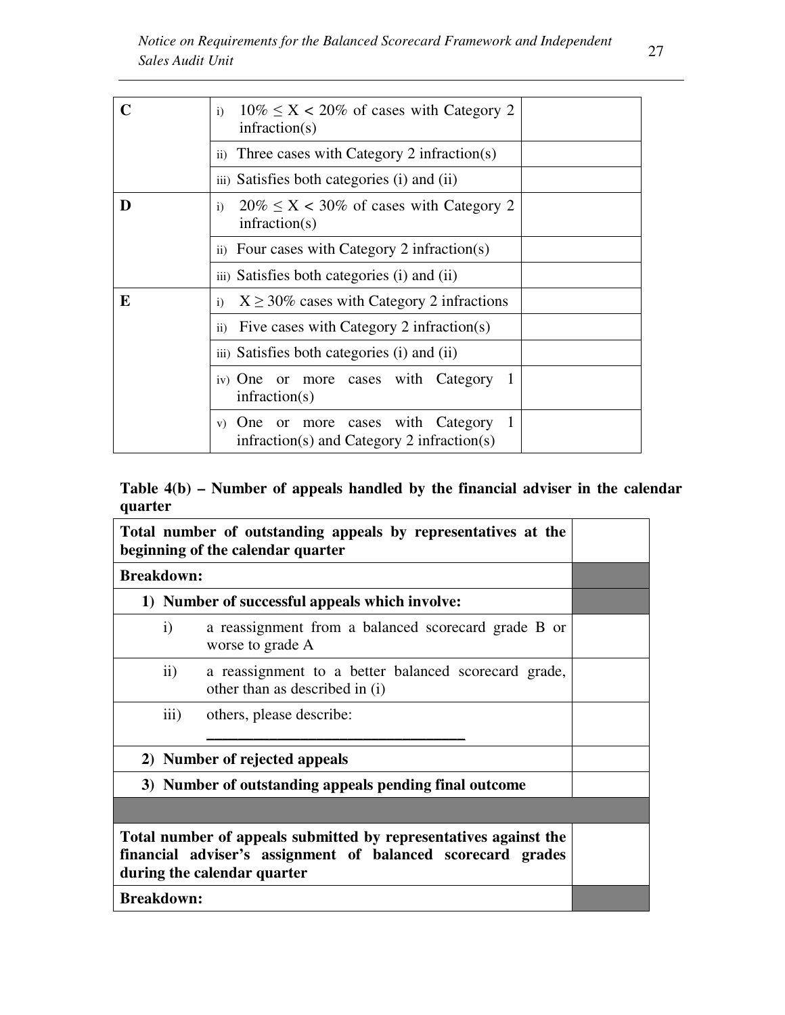|   | $10\% \le X < 20\%$ of cases with Category 2<br>i)<br>infraction(s)                |
|---|------------------------------------------------------------------------------------|
|   | ii) Three cases with Category 2 infraction(s)                                      |
|   | iii) Satisfies both categories (i) and (ii)                                        |
| D | $20\% \le X < 30\%$ of cases with Category 2<br>$\mathbf{i}$<br>infraction(s)      |
|   | ii) Four cases with Category 2 infraction(s)                                       |
|   | iii) Satisfies both categories (i) and (ii)                                        |
| E | $X \geq 30\%$ cases with Category 2 infractions<br>i)                              |
|   | Five cases with Category 2 infraction(s)<br>$\rm ii)$                              |
|   | iii) Satisfies both categories (i) and (ii)                                        |
|   | iv) One or more cases with Category<br>infraction(s)                               |
|   | v) One or more cases with Category<br>$infraction(s)$ and Category 2 infraction(s) |

# **Table 4(b) – Number of appeals handled by the financial adviser in the calendar quarter**

| Total number of outstanding appeals by representatives at the<br>beginning of the calendar quarter                                                             |                                                                                        |  |  |  |
|----------------------------------------------------------------------------------------------------------------------------------------------------------------|----------------------------------------------------------------------------------------|--|--|--|
| <b>Breakdown:</b>                                                                                                                                              |                                                                                        |  |  |  |
|                                                                                                                                                                | 1) Number of successful appeals which involve:                                         |  |  |  |
| $\mathbf{i}$                                                                                                                                                   | a reassignment from a balanced scorecard grade B or<br>worse to grade A                |  |  |  |
| $\mathbf{ii}$                                                                                                                                                  | a reassignment to a better balanced scorecard grade,<br>other than as described in (i) |  |  |  |
| iii)                                                                                                                                                           | others, please describe:                                                               |  |  |  |
| 2) Number of rejected appeals                                                                                                                                  |                                                                                        |  |  |  |
| 3) Number of outstanding appeals pending final outcome                                                                                                         |                                                                                        |  |  |  |
|                                                                                                                                                                |                                                                                        |  |  |  |
| Total number of appeals submitted by representatives against the<br>financial adviser's assignment of balanced scorecard grades<br>during the calendar quarter |                                                                                        |  |  |  |
| <b>Breakdown:</b>                                                                                                                                              |                                                                                        |  |  |  |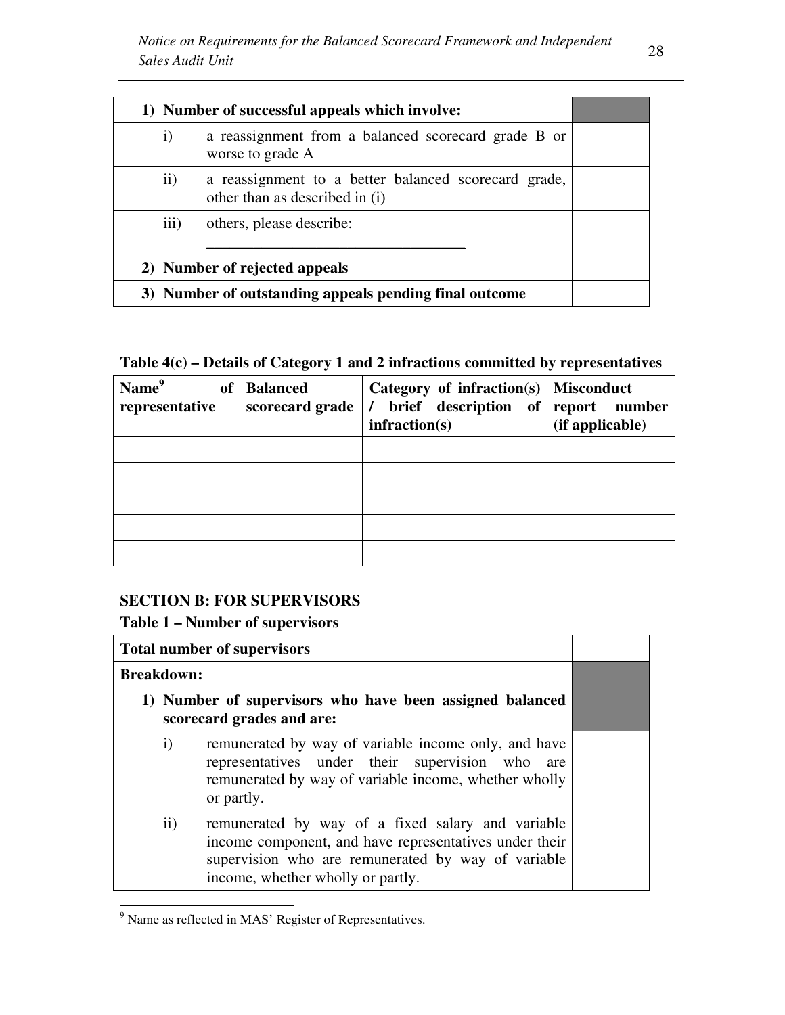|                                                        | 1) Number of successful appeals which involve:                                         |  |  |
|--------------------------------------------------------|----------------------------------------------------------------------------------------|--|--|
| $\mathbf{i}$                                           | a reassignment from a balanced scorecard grade B or<br>worse to grade A                |  |  |
| $\rm ii)$                                              | a reassignment to a better balanced scorecard grade,<br>other than as described in (i) |  |  |
| 111)                                                   | others, please describe:                                                               |  |  |
| 2) Number of rejected appeals                          |                                                                                        |  |  |
| 3) Number of outstanding appeals pending final outcome |                                                                                        |  |  |

# **Table 4(c) – Details of Category 1 and 2 infractions committed by representatives**

| Name <sup>9</sup><br><b>of</b><br>representative | <b>Balanced</b><br>scorecard grade | Category of infraction(s)<br>brief description of<br>infraction(s) | <b>Misconduct</b><br>report number<br>(if applicable) |
|--------------------------------------------------|------------------------------------|--------------------------------------------------------------------|-------------------------------------------------------|
|                                                  |                                    |                                                                    |                                                       |
|                                                  |                                    |                                                                    |                                                       |
|                                                  |                                    |                                                                    |                                                       |
|                                                  |                                    |                                                                    |                                                       |
|                                                  |                                    |                                                                    |                                                       |

### **SECTION B: FOR SUPERVISORS**

# **Table 1 – Number of supervisors**

|                                                                                       |                   | <b>Total number of supervisors</b>                                                                                                                                                                     |  |
|---------------------------------------------------------------------------------------|-------------------|--------------------------------------------------------------------------------------------------------------------------------------------------------------------------------------------------------|--|
|                                                                                       | <b>Breakdown:</b> |                                                                                                                                                                                                        |  |
| 1) Number of supervisors who have been assigned balanced<br>scorecard grades and are: |                   |                                                                                                                                                                                                        |  |
|                                                                                       | $\mathbf{i}$      | remunerated by way of variable income only, and have<br>representatives under their supervision who are<br>remunerated by way of variable income, whether wholly<br>or partly.                         |  |
|                                                                                       | $\mathbf{ii}$     | remunerated by way of a fixed salary and variable<br>income component, and have representatives under their<br>supervision who are remunerated by way of variable<br>income, whether wholly or partly. |  |

<sup>&</sup>lt;sup>9</sup> Name as reflected in MAS' Register of Representatives.

<u>.</u>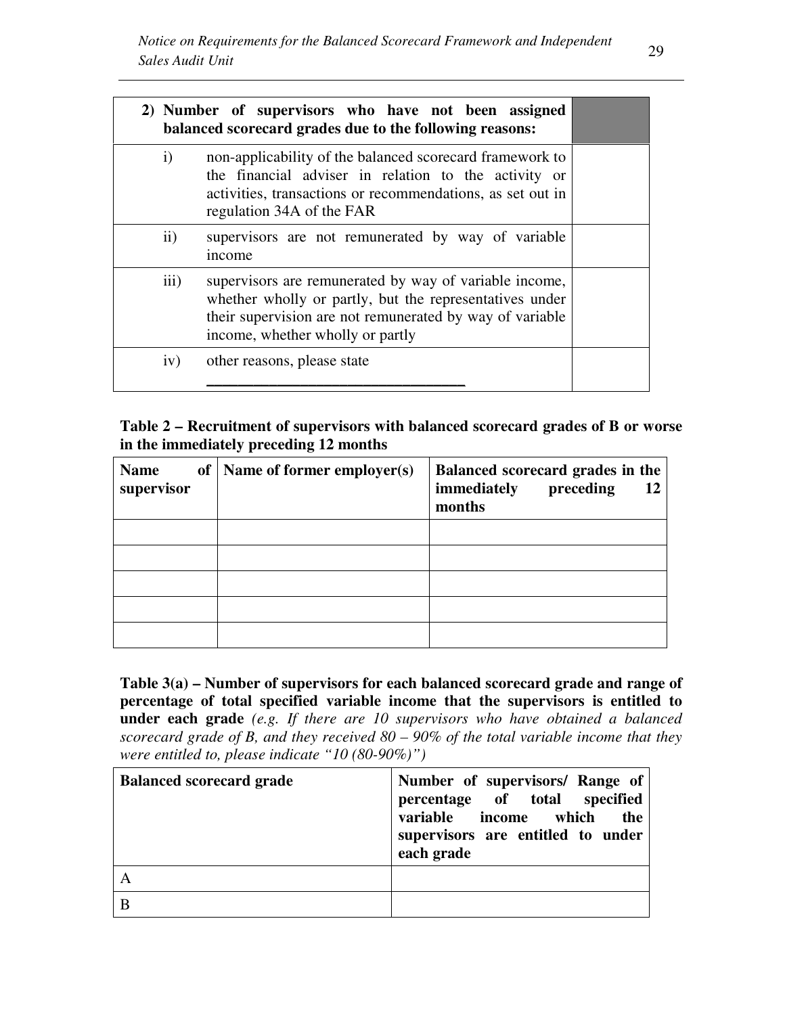|               | 2) Number of supervisors who have not been assigned<br>balanced scorecard grades due to the following reasons:                                                                                                    |  |
|---------------|-------------------------------------------------------------------------------------------------------------------------------------------------------------------------------------------------------------------|--|
| $\mathbf{i}$  | non-applicability of the balanced scorecard framework to<br>the financial adviser in relation to the activity or<br>activities, transactions or recommendations, as set out in<br>regulation 34A of the FAR       |  |
| $\mathbf{ii}$ | supervisors are not remunerated by way of variable<br>income                                                                                                                                                      |  |
| iii)          | supervisors are remunerated by way of variable income,<br>whether wholly or partly, but the representatives under<br>their supervision are not remunerated by way of variable<br>income, whether wholly or partly |  |
| iv)           | other reasons, please state                                                                                                                                                                                       |  |

### **Table 2 – Recruitment of supervisors with balanced scorecard grades of B or worse in the immediately preceding 12 months**

| <b>Name</b><br>supervisor | of   Name of former employer(s) | Balanced scorecard grades in the<br>immediately<br>preceding<br>12<br>months |
|---------------------------|---------------------------------|------------------------------------------------------------------------------|
|                           |                                 |                                                                              |
|                           |                                 |                                                                              |
|                           |                                 |                                                                              |
|                           |                                 |                                                                              |
|                           |                                 |                                                                              |

**Table 3(a) – Number of supervisors for each balanced scorecard grade and range of percentage of total specified variable income that the supervisors is entitled to under each grade** *(e.g. If there are 10 supervisors who have obtained a balanced scorecard grade of B, and they received 80 – 90% of the total variable income that they were entitled to, please indicate "10 (80-90%)")*

| <b>Balanced scorecard grade</b> | Number of supervisors/ Range of<br>percentage of total specified<br>variable income which<br>the<br>supervisors are entitled to under<br>each grade |
|---------------------------------|-----------------------------------------------------------------------------------------------------------------------------------------------------|
|                                 |                                                                                                                                                     |
|                                 |                                                                                                                                                     |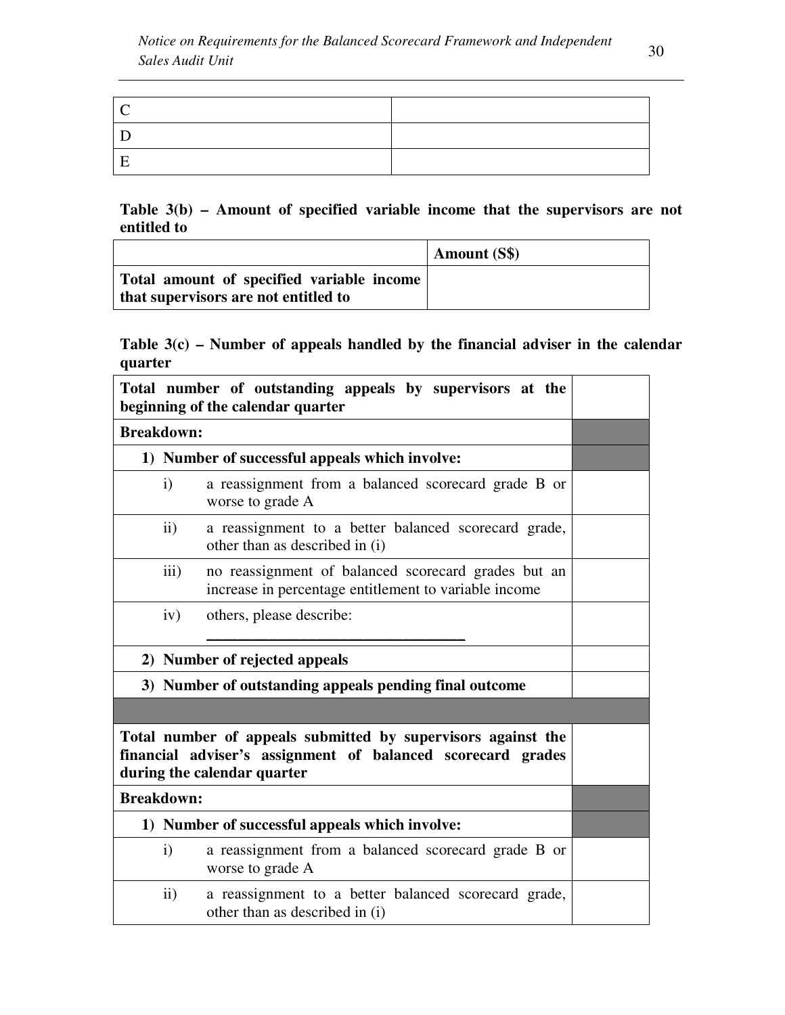| ' ' |  |
|-----|--|
|     |  |
|     |  |

### **Table 3(b) – Amount of specified variable income that the supervisors are not entitled to**

|                                                                                   | <b>Amount (S\$)</b> |
|-----------------------------------------------------------------------------------|---------------------|
| Total amount of specified variable income<br>that supervisors are not entitled to |                     |

# **Table 3(c) – Number of appeals handled by the financial adviser in the calendar quarter**

|                                                |                  | Total number of outstanding appeals by supervisors at the<br>beginning of the calendar quarter                                                             |  |  |  |
|------------------------------------------------|------------------|------------------------------------------------------------------------------------------------------------------------------------------------------------|--|--|--|
| <b>Breakdown:</b>                              |                  |                                                                                                                                                            |  |  |  |
|                                                |                  | 1) Number of successful appeals which involve:                                                                                                             |  |  |  |
|                                                | $\mathbf{i}$     | a reassignment from a balanced scorecard grade B or<br>worse to grade A                                                                                    |  |  |  |
|                                                | $\rm ii)$        | a reassignment to a better balanced scorecard grade,<br>other than as described in (i)                                                                     |  |  |  |
|                                                | $\overline{iii}$ | no reassignment of balanced scorecard grades but an<br>increase in percentage entitlement to variable income                                               |  |  |  |
|                                                | iv)              | others, please describe:                                                                                                                                   |  |  |  |
|                                                |                  | 2) Number of rejected appeals                                                                                                                              |  |  |  |
|                                                |                  | 3) Number of outstanding appeals pending final outcome                                                                                                     |  |  |  |
|                                                |                  |                                                                                                                                                            |  |  |  |
|                                                |                  | Total number of appeals submitted by supervisors against the<br>financial adviser's assignment of balanced scorecard grades<br>during the calendar quarter |  |  |  |
| <b>Breakdown:</b>                              |                  |                                                                                                                                                            |  |  |  |
| 1) Number of successful appeals which involve: |                  |                                                                                                                                                            |  |  |  |
|                                                | $\mathbf{i}$     | a reassignment from a balanced scorecard grade B or<br>worse to grade A                                                                                    |  |  |  |
|                                                | $\rm ii)$        | a reassignment to a better balanced scorecard grade,<br>other than as described in (i)                                                                     |  |  |  |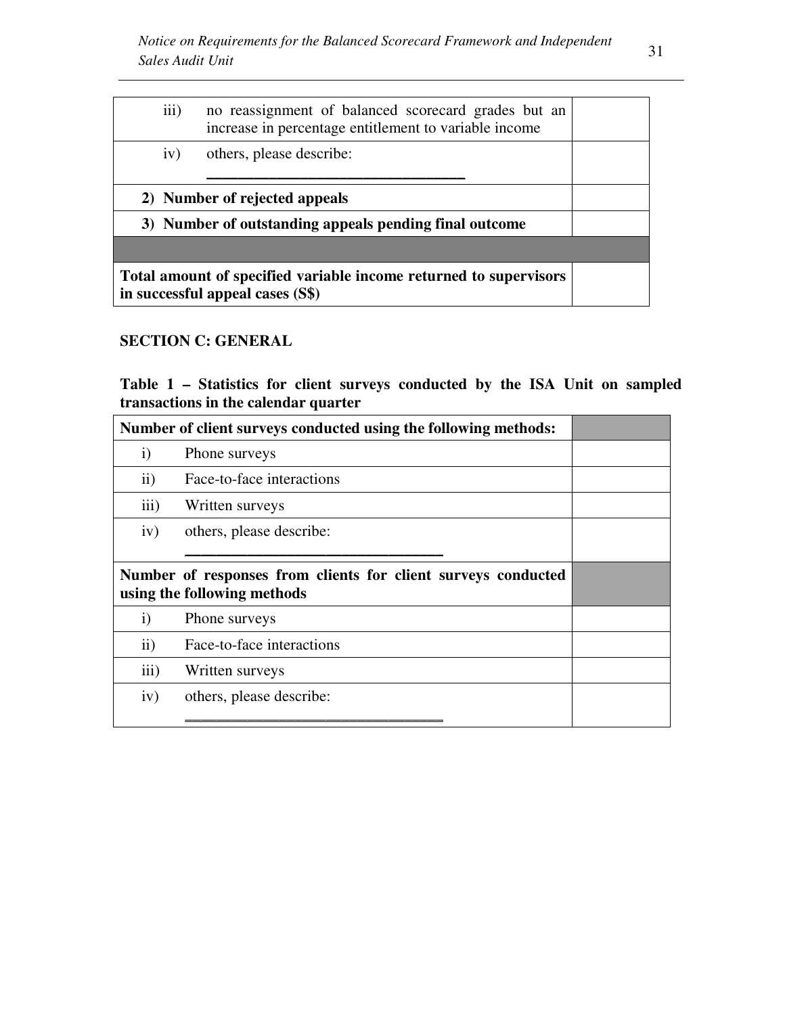| iii) | no reassignment of balanced scorecard grades but an<br>increase in percentage entitlement to variable income |  |
|------|--------------------------------------------------------------------------------------------------------------|--|
| iv)  | others, please describe:                                                                                     |  |
|      | 2) Number of rejected appeals                                                                                |  |
|      | 3) Number of outstanding appeals pending final outcome                                                       |  |
|      |                                                                                                              |  |
|      | Total amount of specified variable income returned to supervisors<br>in successful appeal cases (S\$)        |  |

# **SECTION C: GENERAL**

**Table 1 – Statistics for client surveys conducted by the ISA Unit on sampled transactions in the calendar quarter**

| Number of client surveys conducted using the following methods: |                                                                                              |  |
|-----------------------------------------------------------------|----------------------------------------------------------------------------------------------|--|
| $\mathbf{i}$                                                    | Phone surveys                                                                                |  |
| $\mathbf{ii}$                                                   | Face-to-face interactions                                                                    |  |
| $\overline{111}$                                                | Written surveys                                                                              |  |
| iv)                                                             | others, please describe:                                                                     |  |
|                                                                 |                                                                                              |  |
|                                                                 | Number of responses from clients for client surveys conducted<br>using the following methods |  |
| $\mathbf{i}$                                                    | Phone surveys                                                                                |  |
| $\mathbf{ii}$                                                   | Face-to-face interactions                                                                    |  |
| $\overline{111}$                                                | Written surveys                                                                              |  |
| iv)                                                             | others, please describe:                                                                     |  |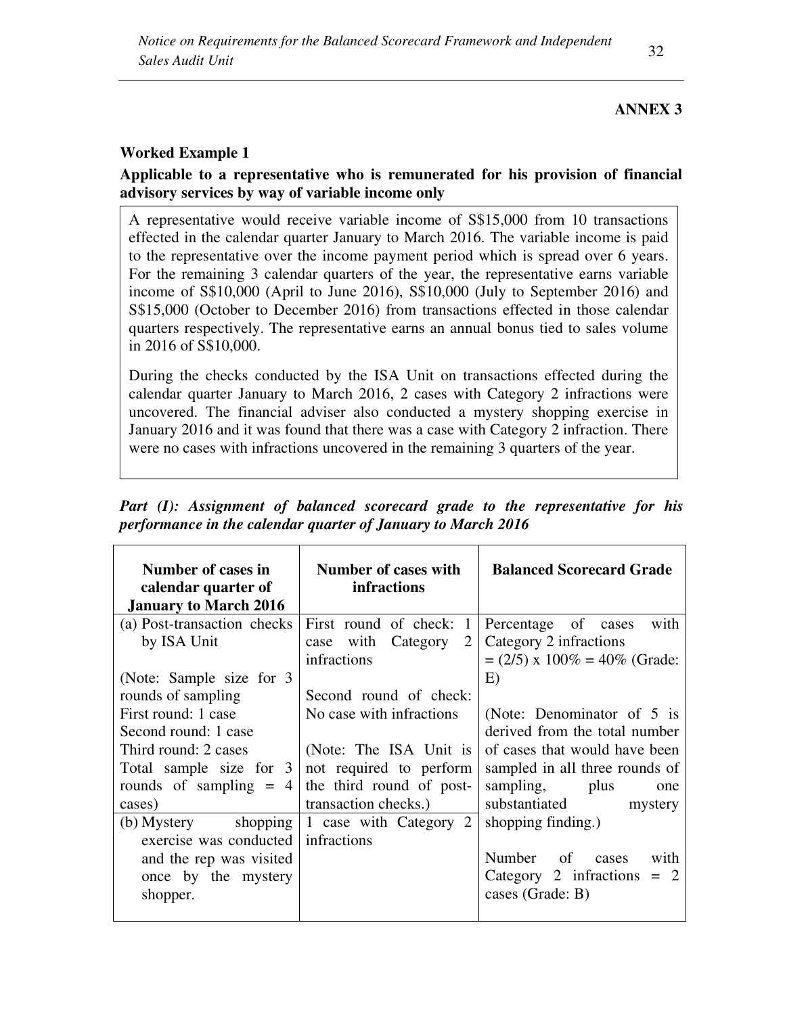# **ANNEX 3**

# **Worked Example 1**

# **Applicable to a representative who is remunerated for his provision of financial advisory services by way of variable income only**

A representative would receive variable income of S\$15,000 from 10 transactions effected in the calendar quarter January to March 2016. The variable income is paid to the representative over the income payment period which is spread over 6 years. For the remaining 3 calendar quarters of the year, the representative earns variable income of S\$10,000 (April to June 2016), S\$10,000 (July to September 2016) and S\$15,000 (October to December 2016) from transactions effected in those calendar quarters respectively. The representative earns an annual bonus tied to sales volume in 2016 of S\$10,000.

During the checks conducted by the ISA Unit on transactions effected during the calendar quarter January to March 2016, 2 cases with Category 2 infractions were uncovered. The financial adviser also conducted a mystery shopping exercise in January 2016 and it was found that there was a case with Category 2 infraction. There were no cases with infractions uncovered in the remaining 3 quarters of the year.

*Part (I): Assignment of balanced scorecard grade to the representative for his performance in the calendar quarter of January to March 2016* 

| Number of cases in<br>calendar quarter of<br><b>January to March 2016</b> | Number of cases with<br><b>infractions</b> | <b>Balanced Scorecard Grade</b> |
|---------------------------------------------------------------------------|--------------------------------------------|---------------------------------|
| (a) Post-transaction checks                                               | First round of check:<br>$\mathbf{1}$      | Percentage of cases<br>with     |
| by ISA Unit                                                               | case with Category<br>2                    | Category 2 infractions          |
|                                                                           | infractions                                | $= (2/5)$ x 100% = 40% (Grade:  |
| (Note: Sample size for 3                                                  |                                            | E)                              |
| rounds of sampling                                                        | Second round of check:                     |                                 |
| First round: 1 case                                                       | No case with infractions                   | (Note: Denominator of 5 is      |
| Second round: 1 case                                                      |                                            | derived from the total number   |
| Third round: 2 cases                                                      | (Note: The ISA Unit is                     | of cases that would have been   |
| Total sample size for 3                                                   | not required to perform                    | sampled in all three rounds of  |
| rounds of sampling $= 4$                                                  | the third round of post-                   | sampling, plus<br>one           |
| cases)                                                                    | transaction checks.)                       | substantiated<br>mystery        |
| (b) Mystery shopping                                                      | 1 case with Category 2                     | shopping finding.)              |
| exercise was conducted                                                    | infractions                                |                                 |
| and the rep was visited                                                   |                                            | Number of cases<br>with         |
| once by the mystery                                                       |                                            | Category 2 infractions $= 2$    |
| shopper.                                                                  |                                            | cases (Grade: B)                |
|                                                                           |                                            |                                 |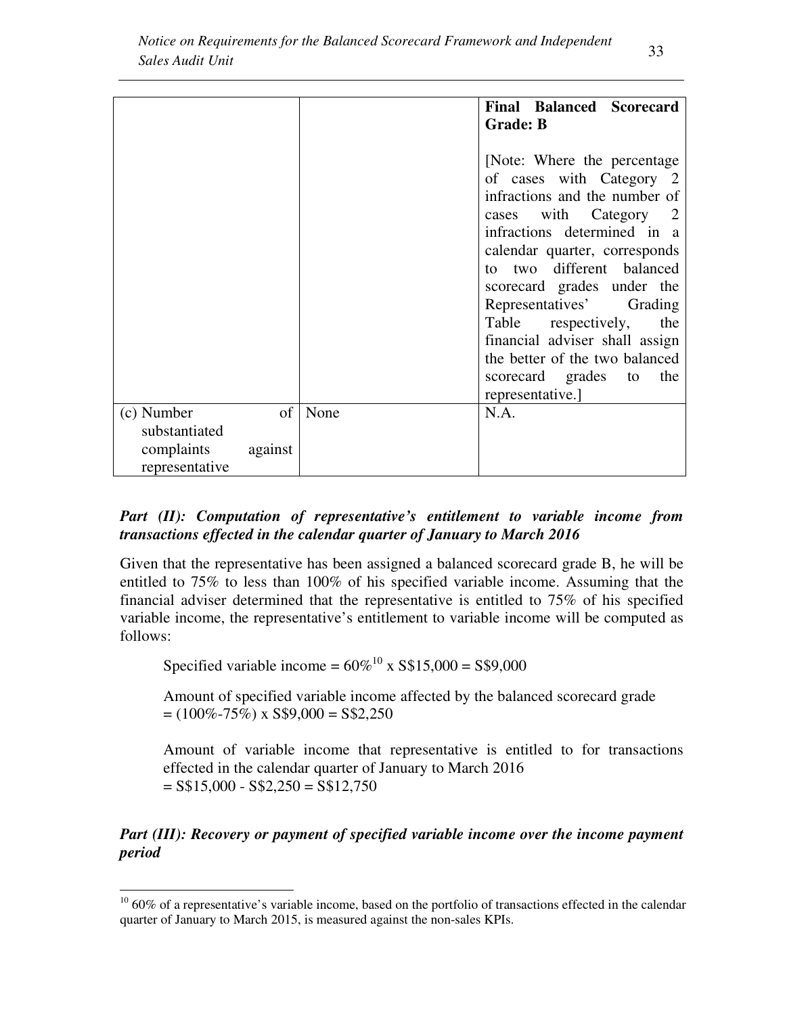|                       |                    | <b>Final Balanced Scorecard</b><br><b>Grade: B</b>                                                                                                                                                                                                                                                                                                                                                                                     |
|-----------------------|--------------------|----------------------------------------------------------------------------------------------------------------------------------------------------------------------------------------------------------------------------------------------------------------------------------------------------------------------------------------------------------------------------------------------------------------------------------------|
|                       |                    | [Note: Where the percentage]<br>of cases with Category 2<br>infractions and the number of<br>with Category 2<br>cases<br>infractions determined in a<br>calendar quarter, corresponds<br>to two different balanced<br>scorecard grades under the<br>Representatives'<br>Grading<br>respectively,<br>Table<br>the<br>financial adviser shall assign<br>the better of the two balanced<br>the<br>scorecard grades to<br>representative.] |
| (c) Number            | $\sigma$ f<br>None | N.A.                                                                                                                                                                                                                                                                                                                                                                                                                                   |
| substantiated         |                    |                                                                                                                                                                                                                                                                                                                                                                                                                                        |
| complaints<br>against |                    |                                                                                                                                                                                                                                                                                                                                                                                                                                        |
| representative        |                    |                                                                                                                                                                                                                                                                                                                                                                                                                                        |

# *Part (II): Computation of representative's entitlement to variable income from transactions effected in the calendar quarter of January to March 2016*

Given that the representative has been assigned a balanced scorecard grade B, he will be entitled to 75% to less than 100% of his specified variable income. Assuming that the financial adviser determined that the representative is entitled to 75% of his specified variable income, the representative's entitlement to variable income will be computed as follows:

Specified variable income =  $60\%^{10}$  x S\$15,000 = S\$9,000

<u>.</u>

Amount of specified variable income affected by the balanced scorecard grade  $= (100\% - 75\%)$  x S\$9,000 = S\$2,250

Amount of variable income that representative is entitled to for transactions effected in the calendar quarter of January to March 2016  $=$  S\$15,000 - S\$2,250 = S\$12,750

*Part (III): Recovery or payment of specified variable income over the income payment period* 

 $10\,60\%$  of a representative's variable income, based on the portfolio of transactions effected in the calendar quarter of January to March 2015, is measured against the non-sales KPIs.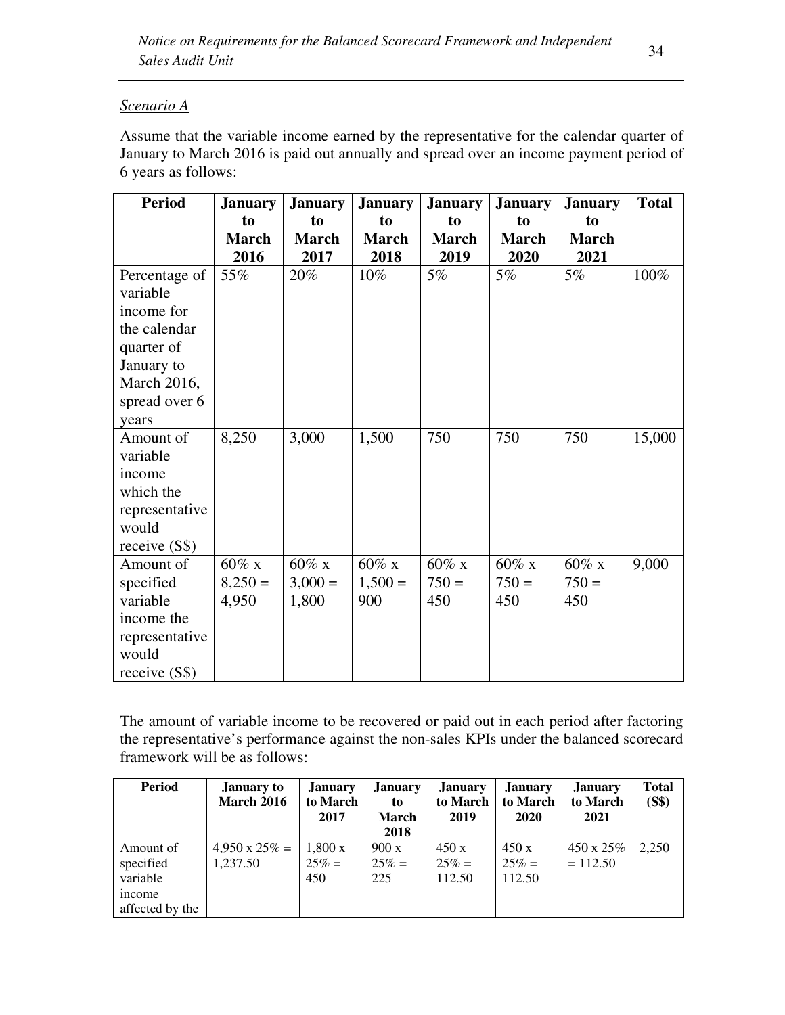# *Scenario A*

Assume that the variable income earned by the representative for the calendar quarter of January to March 2016 is paid out annually and spread over an income payment period of 6 years as follows:

| <b>Period</b>  | <b>January</b> | <b>January</b> | <b>January</b> | <b>January</b> | <b>January</b> | <b>January</b> | <b>Total</b> |
|----------------|----------------|----------------|----------------|----------------|----------------|----------------|--------------|
|                | to             | to             | to             | to             | to             | to             |              |
|                | <b>March</b>   | <b>March</b>   | <b>March</b>   | <b>March</b>   | <b>March</b>   | <b>March</b>   |              |
|                | 2016           | 2017           | 2018           | 2019           | 2020           | 2021           |              |
| Percentage of  | 55%            | 20%            | 10%            | 5%             | 5%             | 5%             | 100%         |
| variable       |                |                |                |                |                |                |              |
| income for     |                |                |                |                |                |                |              |
| the calendar   |                |                |                |                |                |                |              |
| quarter of     |                |                |                |                |                |                |              |
| January to     |                |                |                |                |                |                |              |
| March 2016,    |                |                |                |                |                |                |              |
| spread over 6  |                |                |                |                |                |                |              |
| years          |                |                |                |                |                |                |              |
| Amount of      | 8,250          | 3,000          | 1,500          | 750            | 750            | 750            | 15,000       |
| variable       |                |                |                |                |                |                |              |
| income         |                |                |                |                |                |                |              |
| which the      |                |                |                |                |                |                |              |
| representative |                |                |                |                |                |                |              |
| would          |                |                |                |                |                |                |              |
| receive $(S$)$ |                |                |                |                |                |                |              |
| Amount of      | $60\%$ x       | $60\%$ x       | $60\%$ x       | $60\%$ x       | $60\%$ x       | $60\%$ x       | 9,000        |
| specified      | $8,250=$       | $3,000 =$      | $1,500 =$      | $750 =$        | $750 =$        | $750 =$        |              |
| variable       | 4,950          | 1,800          | 900            | 450            | 450            | 450            |              |
| income the     |                |                |                |                |                |                |              |
| representative |                |                |                |                |                |                |              |
| would          |                |                |                |                |                |                |              |
| receive $(S$)$ |                |                |                |                |                |                |              |

The amount of variable income to be recovered or paid out in each period after factoring the representative's performance against the non-sales KPIs under the balanced scorecard framework will be as follows:

| <b>Period</b>   | <b>January to</b><br><b>March 2016</b> | <b>January</b><br>to March<br>2017 | <b>January</b><br>to<br><b>March</b><br>2018 | <b>January</b><br>to March<br>2019 | <b>January</b><br>to March<br>2020 | <b>January</b><br>to March<br>2021 | <b>Total</b><br>(S\$) |
|-----------------|----------------------------------------|------------------------------------|----------------------------------------------|------------------------------------|------------------------------------|------------------------------------|-----------------------|
| Amount of       | $4,950 \times 25\% =$                  | $1,800 \times$                     | 900x                                         | 450x                               | 450x                               | $450 \times 25\%$                  | 2,250                 |
| specified       | 1,237.50                               | $25\% =$                           | $25% =$                                      | $25\% =$                           | $25\% =$                           | $= 112.50$                         |                       |
| variable        |                                        | 450                                | 225                                          | 112.50                             | 112.50                             |                                    |                       |
| income          |                                        |                                    |                                              |                                    |                                    |                                    |                       |
| affected by the |                                        |                                    |                                              |                                    |                                    |                                    |                       |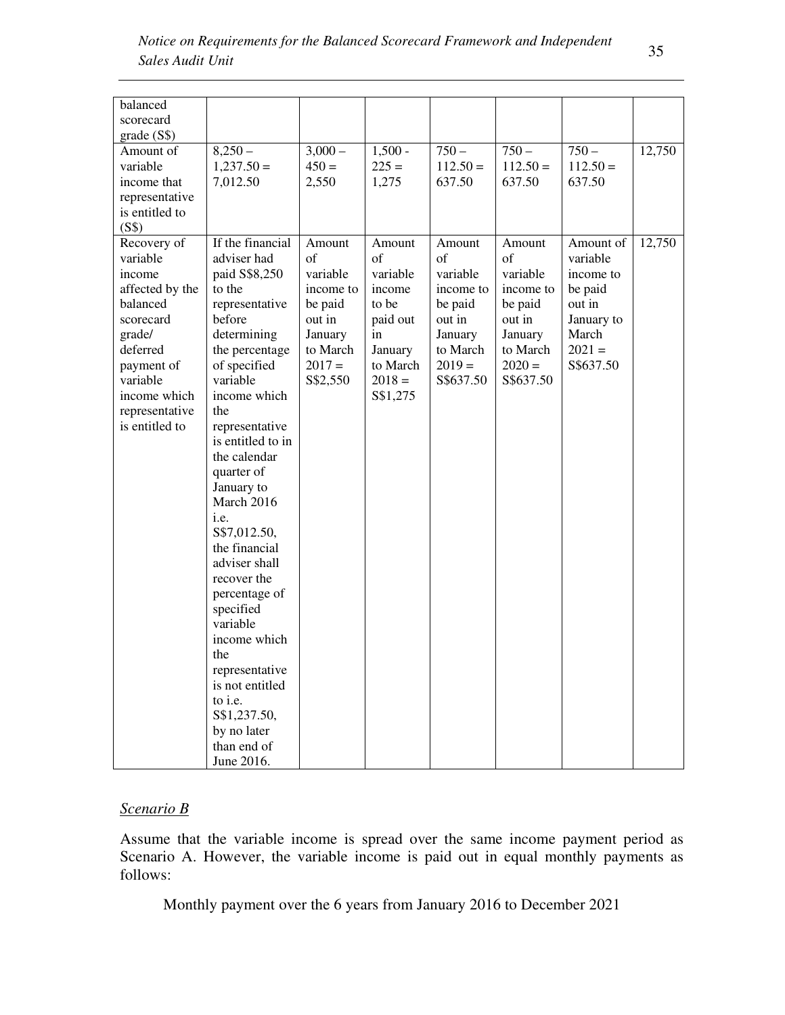| balanced        |                                                                                                                       |           |           |            |            |            |        |
|-----------------|-----------------------------------------------------------------------------------------------------------------------|-----------|-----------|------------|------------|------------|--------|
| scorecard       |                                                                                                                       |           |           |            |            |            |        |
|                 |                                                                                                                       |           |           |            |            |            |        |
| grade (S\$)     |                                                                                                                       |           |           |            |            |            |        |
| Amount of       | $8,250-$                                                                                                              | $3,000-$  | $1,500 -$ | $750 -$    | $750 -$    | $750 -$    | 12,750 |
| variable        | $1,237.50=$                                                                                                           | $450 =$   | $225 =$   | $112.50 =$ | $112.50 =$ | $112.50 =$ |        |
| income that     | 7,012.50                                                                                                              | 2,550     | 1,275     | 637.50     | 637.50     | 637.50     |        |
| representative  |                                                                                                                       |           |           |            |            |            |        |
| is entitled to  |                                                                                                                       |           |           |            |            |            |        |
| (S\$)           |                                                                                                                       |           |           |            |            |            |        |
| Recovery of     | If the financial                                                                                                      | Amount    | Amount    | Amount     | Amount     | Amount of  | 12,750 |
| variable        | adviser had                                                                                                           | of        | of        | of         | of         | variable   |        |
| income          | paid S\$8,250                                                                                                         | variable  | variable  | variable   | variable   | income to  |        |
| affected by the | to the                                                                                                                | income to | income    | income to  | income to  | be paid    |        |
| balanced        | representative                                                                                                        | be paid   | to be     | be paid    | be paid    | out in     |        |
| scorecard       | before                                                                                                                | out in    | paid out  | out in     | out in     | January to |        |
| grade/          | determining                                                                                                           | January   | in        | January    | January    | March      |        |
| deferred        | the percentage                                                                                                        | to March  | January   | to March   | to March   | $2021 =$   |        |
| payment of      | of specified                                                                                                          | $2017 =$  | to March  | $2019 =$   | $2020 =$   | S\$637.50  |        |
| variable        | variable                                                                                                              | S\$2,550  | $2018 =$  | S\$637.50  | S\$637.50  |            |        |
| income which    | income which                                                                                                          |           | S\$1,275  |            |            |            |        |
| representative  | the                                                                                                                   |           |           |            |            |            |        |
| is entitled to  | representative                                                                                                        |           |           |            |            |            |        |
|                 | is entitled to in                                                                                                     |           |           |            |            |            |        |
|                 | the calendar                                                                                                          |           |           |            |            |            |        |
|                 |                                                                                                                       |           |           |            |            |            |        |
|                 | quarter of                                                                                                            |           |           |            |            |            |        |
|                 | January to<br>March 2016                                                                                              |           |           |            |            |            |        |
|                 |                                                                                                                       |           |           |            |            |            |        |
|                 | i.e.                                                                                                                  |           |           |            |            |            |        |
|                 |                                                                                                                       |           |           |            |            |            |        |
|                 |                                                                                                                       |           |           |            |            |            |        |
|                 |                                                                                                                       |           |           |            |            |            |        |
|                 |                                                                                                                       |           |           |            |            |            |        |
|                 |                                                                                                                       |           |           |            |            |            |        |
|                 |                                                                                                                       |           |           |            |            |            |        |
|                 |                                                                                                                       |           |           |            |            |            |        |
|                 | income which                                                                                                          |           |           |            |            |            |        |
|                 | the                                                                                                                   |           |           |            |            |            |        |
|                 | representative                                                                                                        |           |           |            |            |            |        |
|                 | is not entitled                                                                                                       |           |           |            |            |            |        |
|                 | to i.e.                                                                                                               |           |           |            |            |            |        |
|                 | S\$1,237.50,                                                                                                          |           |           |            |            |            |        |
|                 | by no later                                                                                                           |           |           |            |            |            |        |
|                 | than end of                                                                                                           |           |           |            |            |            |        |
|                 |                                                                                                                       |           |           |            |            |            |        |
|                 | S\$7,012.50,<br>the financial<br>adviser shall<br>recover the<br>percentage of<br>specified<br>variable<br>June 2016. |           |           |            |            |            |        |

#### *Scenario B*

Assume that the variable income is spread over the same income payment period as Scenario A. However, the variable income is paid out in equal monthly payments as follows:

Monthly payment over the 6 years from January 2016 to December 2021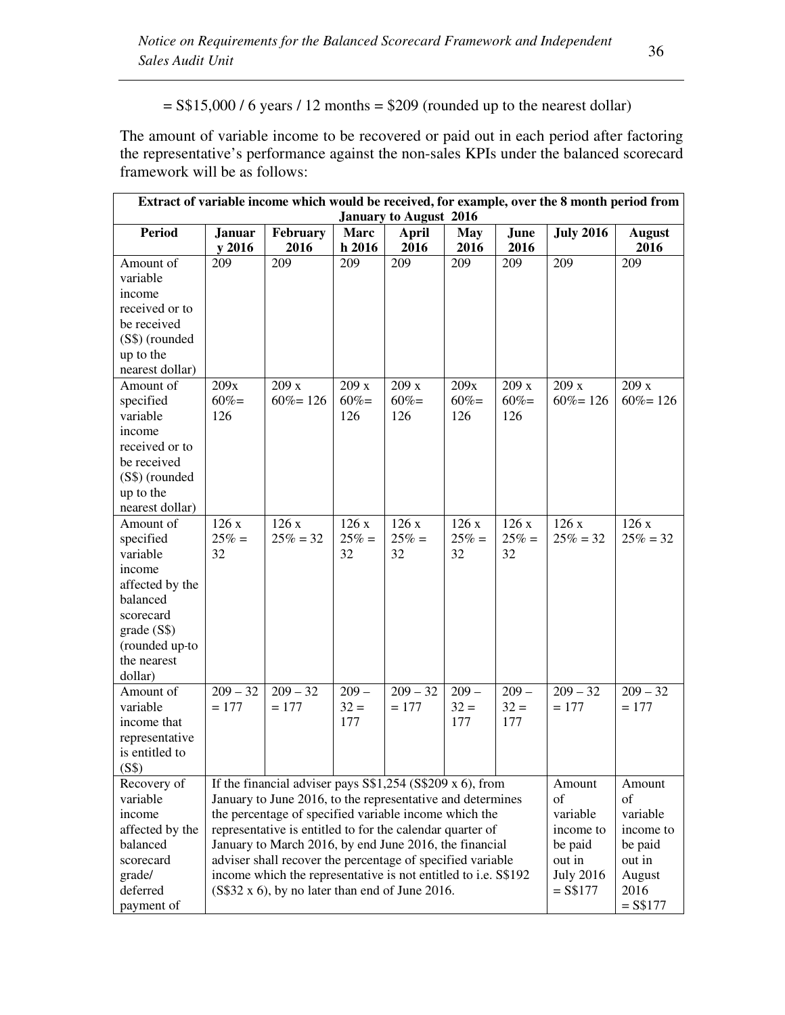$=$  S\$15,000 / 6 years / 12 months  $=$  \$209 (rounded up to the nearest dollar)

The amount of variable income to be recovered or paid out in each period after factoring the representative's performance against the non-sales KPIs under the balanced scorecard framework will be as follows:

| Extract of variable income which would be received, for example, over the 8 month period from |                                                                                     |                                                                |                      |                               |                    |              |                  |                       |
|-----------------------------------------------------------------------------------------------|-------------------------------------------------------------------------------------|----------------------------------------------------------------|----------------------|-------------------------------|--------------------|--------------|------------------|-----------------------|
|                                                                                               |                                                                                     |                                                                |                      | <b>January to August 2016</b> |                    |              |                  |                       |
| <b>Period</b>                                                                                 | <b>Januar</b><br>y 2016                                                             | February<br>2016                                               | <b>Marc</b><br>h2016 | <b>April</b><br>2016          | <b>May</b><br>2016 | June<br>2016 | <b>July 2016</b> | <b>August</b><br>2016 |
| Amount of                                                                                     | 209                                                                                 | 209                                                            | 209                  | 209                           | 209                | 209          | 209              | 209                   |
| variable                                                                                      |                                                                                     |                                                                |                      |                               |                    |              |                  |                       |
| income                                                                                        |                                                                                     |                                                                |                      |                               |                    |              |                  |                       |
| received or to                                                                                |                                                                                     |                                                                |                      |                               |                    |              |                  |                       |
| be received                                                                                   |                                                                                     |                                                                |                      |                               |                    |              |                  |                       |
| (S\$) (rounded                                                                                |                                                                                     |                                                                |                      |                               |                    |              |                  |                       |
| up to the                                                                                     |                                                                                     |                                                                |                      |                               |                    |              |                  |                       |
| nearest dollar)                                                                               |                                                                                     |                                                                |                      |                               |                    |              |                  |                       |
| Amount of                                                                                     | 209x                                                                                | 209x                                                           | 209x                 | 209x                          | 209x               | 209x         | 209x             | 209x                  |
| specified                                                                                     | $60% =$                                                                             | $60\% = 126$                                                   | $60\% =$             | $60\% =$                      | $60\% =$           | $60\% =$     | $60\% = 126$     | $60\% = 126$          |
| variable                                                                                      | 126                                                                                 |                                                                | 126                  | 126                           | 126                | 126          |                  |                       |
| income                                                                                        |                                                                                     |                                                                |                      |                               |                    |              |                  |                       |
| received or to                                                                                |                                                                                     |                                                                |                      |                               |                    |              |                  |                       |
| be received                                                                                   |                                                                                     |                                                                |                      |                               |                    |              |                  |                       |
| (S\$) (rounded                                                                                |                                                                                     |                                                                |                      |                               |                    |              |                  |                       |
| up to the                                                                                     |                                                                                     |                                                                |                      |                               |                    |              |                  |                       |
| nearest dollar)                                                                               |                                                                                     |                                                                |                      |                               |                    |              |                  |                       |
| Amount of                                                                                     | 126x                                                                                | 126x                                                           | 126x                 | 126x                          | 126x               | 126x         | 126x             | 126x                  |
| specified                                                                                     | $25% =$                                                                             | $25\% = 32$                                                    | $25% =$              | $25% =$                       | $25% =$            | $25% =$      | $25\% = 32$      | $25\% = 32$           |
| variable                                                                                      | 32                                                                                  |                                                                | 32                   | 32                            | 32                 | 32           |                  |                       |
| income                                                                                        |                                                                                     |                                                                |                      |                               |                    |              |                  |                       |
| affected by the                                                                               |                                                                                     |                                                                |                      |                               |                    |              |                  |                       |
| balanced                                                                                      |                                                                                     |                                                                |                      |                               |                    |              |                  |                       |
| scorecard                                                                                     |                                                                                     |                                                                |                      |                               |                    |              |                  |                       |
| grade(S\$)                                                                                    |                                                                                     |                                                                |                      |                               |                    |              |                  |                       |
| (rounded up-to<br>the nearest                                                                 |                                                                                     |                                                                |                      |                               |                    |              |                  |                       |
| dollar)                                                                                       |                                                                                     |                                                                |                      |                               |                    |              |                  |                       |
| Amount of                                                                                     | $209 - 32$                                                                          | $209 - 32$                                                     | $209 -$              | $209 - 32$                    | $209 -$            | $209 -$      | $209 - 32$       | $209 - 32$            |
| variable                                                                                      | $= 177$                                                                             | $= 177$                                                        | $32 =$               | $= 177$                       | $32 =$             | $32 =$       | $= 177$          | $= 177$               |
| income that                                                                                   |                                                                                     |                                                                | 177                  |                               | 177                | 177          |                  |                       |
| representative                                                                                |                                                                                     |                                                                |                      |                               |                    |              |                  |                       |
| is entitled to                                                                                |                                                                                     |                                                                |                      |                               |                    |              |                  |                       |
| (S\$)                                                                                         |                                                                                     |                                                                |                      |                               |                    |              |                  |                       |
| Recovery of                                                                                   |                                                                                     | If the financial adviser pays $S$1,254 (S$209 x 6)$ , from     |                      |                               |                    |              | Amount           | Amount                |
| variable                                                                                      |                                                                                     | January to June 2016, to the representative and determines     |                      |                               |                    |              | of               | of                    |
| income                                                                                        |                                                                                     | the percentage of specified variable income which the          |                      |                               |                    |              | variable         | variable              |
| affected by the                                                                               | representative is entitled to for the calendar quarter of<br>income to<br>income to |                                                                |                      |                               |                    |              |                  |                       |
| balanced                                                                                      |                                                                                     | January to March 2016, by end June 2016, the financial         |                      |                               |                    |              | be paid          | be paid               |
| scorecard                                                                                     |                                                                                     | adviser shall recover the percentage of specified variable     |                      |                               |                    |              | out in           | out in                |
| grade/                                                                                        |                                                                                     | income which the representative is not entitled to i.e. S\$192 |                      |                               |                    |              | <b>July 2016</b> | August                |
| deferred                                                                                      |                                                                                     | $(S$32 x 6)$ , by no later than end of June 2016.              |                      |                               |                    |              | $=$ S\$177       | 2016                  |
| payment of                                                                                    | $=$ S\$177                                                                          |                                                                |                      |                               |                    |              |                  |                       |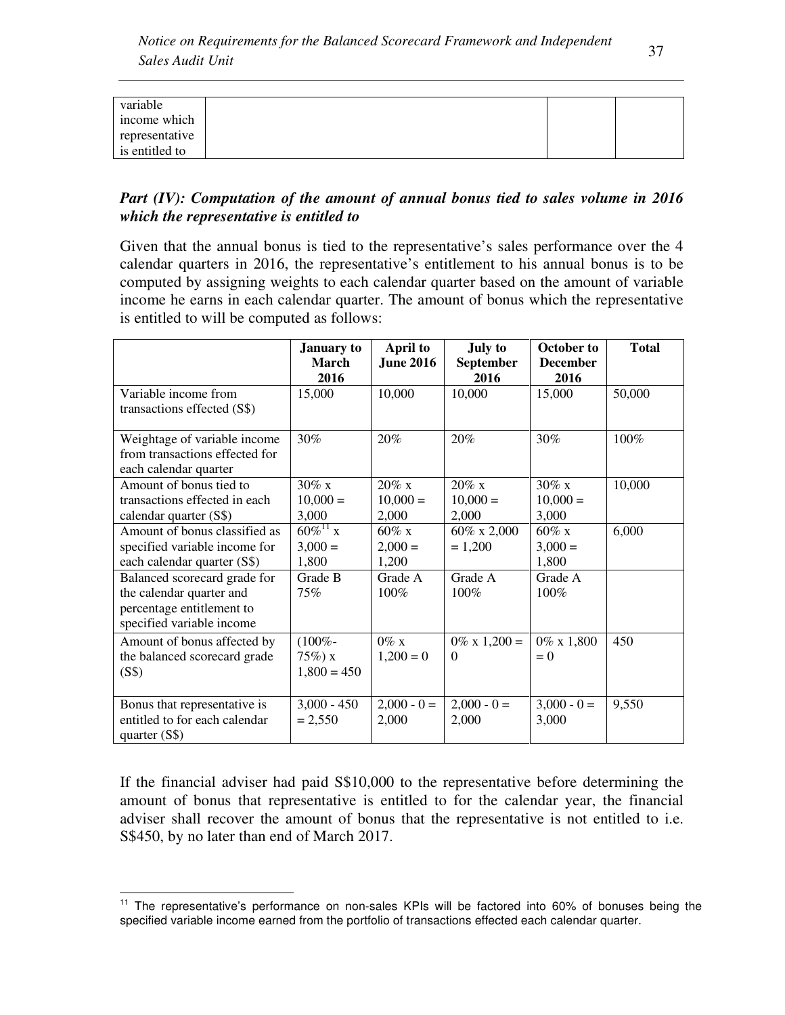| variable       |  |  |
|----------------|--|--|
| income which   |  |  |
| representative |  |  |
| is entitled to |  |  |

### *Part (IV): Computation of the amount of annual bonus tied to sales volume in 2016 which the representative is entitled to*

Given that the annual bonus is tied to the representative's sales performance over the 4 calendar quarters in 2016, the representative's entitlement to his annual bonus is to be computed by assigning weights to each calendar quarter based on the amount of variable income he earns in each calendar quarter. The amount of bonus which the representative is entitled to will be computed as follows:

|                                                                                                                    | <b>January to</b><br><b>March</b><br>2016 | <b>April to</b><br><b>June 2016</b>  | <b>July to</b><br>September<br>2016  | October to<br><b>December</b><br>2016 | <b>Total</b> |
|--------------------------------------------------------------------------------------------------------------------|-------------------------------------------|--------------------------------------|--------------------------------------|---------------------------------------|--------------|
| Variable income from<br>transactions effected (S\$)                                                                | 15,000                                    | 10,000                               | 10,000                               | 15,000                                | 50,000       |
| Weightage of variable income<br>from transactions effected for<br>each calendar quarter                            | 30%                                       | 20%                                  | 20%                                  | 30%                                   | 100%         |
| Amount of bonus tied to<br>transactions effected in each<br>calendar quarter (S\$)                                 | $30\% \times$<br>$10,000 =$<br>3,000      | $20\% \times$<br>$10,000 =$<br>2,000 | $20\% \times$<br>$10,000 =$<br>2,000 | $30\% \times$<br>$10,000 =$<br>3,000  | 10,000       |
| Amount of bonus classified as<br>specified variable income for<br>each calendar quarter (S\$)                      | $60\%^{11}$ x<br>$3,000 =$<br>1,800       | $60\%$ x<br>$2,000 =$<br>1,200       | 60% x 2,000<br>$= 1,200$             | $60\%$ x<br>$3,000 =$<br>1,800        | 6,000        |
| Balanced scorecard grade for<br>the calendar quarter and<br>percentage entitlement to<br>specified variable income | Grade B<br>75%                            | Grade A<br>$100\%$                   | Grade A<br>100%                      | Grade A<br>100%                       |              |
| Amount of bonus affected by<br>the balanced scorecard grade<br>(S\$)                                               | $(100\% -$<br>$75\%)x$<br>$1,800 = 450$   | $0\%$ x<br>$1,200 = 0$               | $0\% \times 1,200 =$<br>$\Omega$     | $0\% \times 1,800$<br>$= 0$           | 450          |
| Bonus that representative is<br>entitled to for each calendar<br>quarter $(S$)$                                    | $3,000 - 450$<br>$= 2,550$                | $2,000 - 0 =$<br>2,000               | $2,000 - 0 =$<br>2,000               | $3,000 - 0 =$<br>3,000                | 9,550        |

If the financial adviser had paid S\$10,000 to the representative before determining the amount of bonus that representative is entitled to for the calendar year, the financial adviser shall recover the amount of bonus that the representative is not entitled to i.e. S\$450, by no later than end of March 2017.

<u>.</u>

<sup>&</sup>lt;sup>11</sup> The representative's performance on non-sales KPIs will be factored into 60% of bonuses being the specified variable income earned from the portfolio of transactions effected each calendar quarter.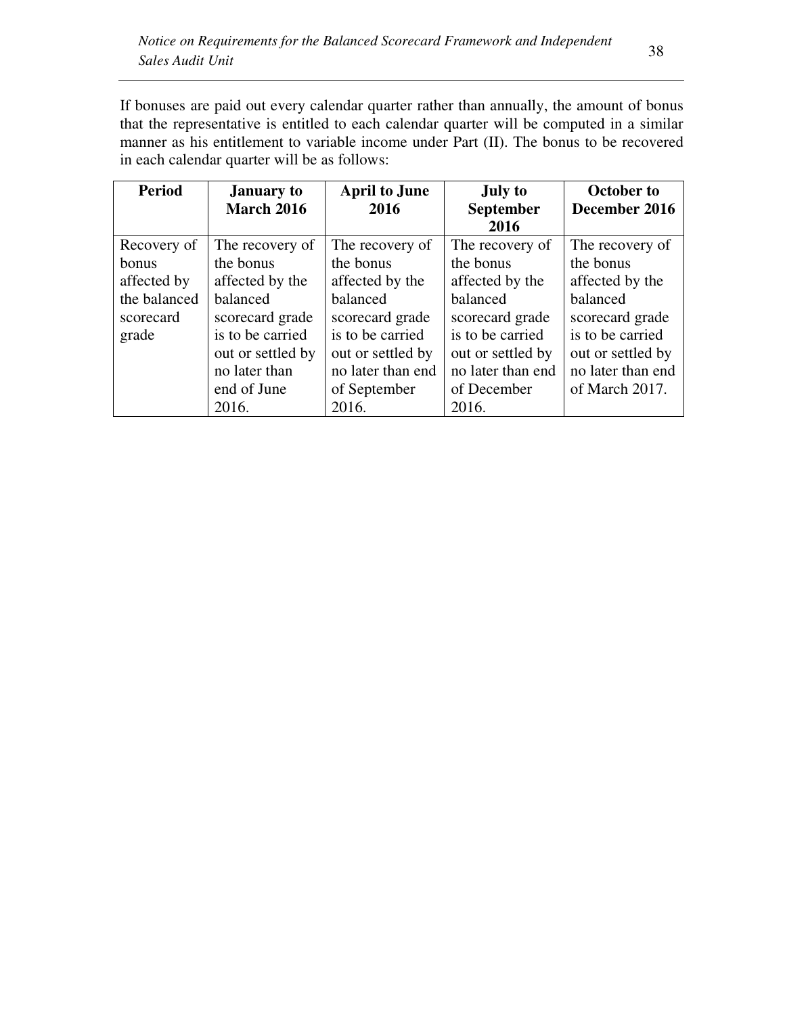If bonuses are paid out every calendar quarter rather than annually, the amount of bonus that the representative is entitled to each calendar quarter will be computed in a similar manner as his entitlement to variable income under Part (II). The bonus to be recovered in each calendar quarter will be as follows:

| <b>Period</b> | <b>January to</b> | <b>April to June</b> | <b>July to</b>    | <b>October to</b> |
|---------------|-------------------|----------------------|-------------------|-------------------|
|               | <b>March 2016</b> | 2016                 | <b>September</b>  | December 2016     |
|               |                   |                      | 2016              |                   |
| Recovery of   | The recovery of   | The recovery of      | The recovery of   | The recovery of   |
| <b>bonus</b>  | the bonus         | the bonus            | the bonus         | the bonus         |
| affected by   | affected by the   | affected by the      | affected by the   | affected by the   |
| the balanced  | balanced          | balanced             | balanced          | balanced          |
| scorecard     | scorecard grade   | scorecard grade      | scorecard grade   | scorecard grade   |
| grade         | is to be carried  | is to be carried     | is to be carried  | is to be carried  |
|               | out or settled by | out or settled by    | out or settled by | out or settled by |
|               | no later than     | no later than end    | no later than end | no later than end |
|               | end of June       | of September         | of December       | of March 2017.    |
|               | 2016.             | 2016.                | 2016.             |                   |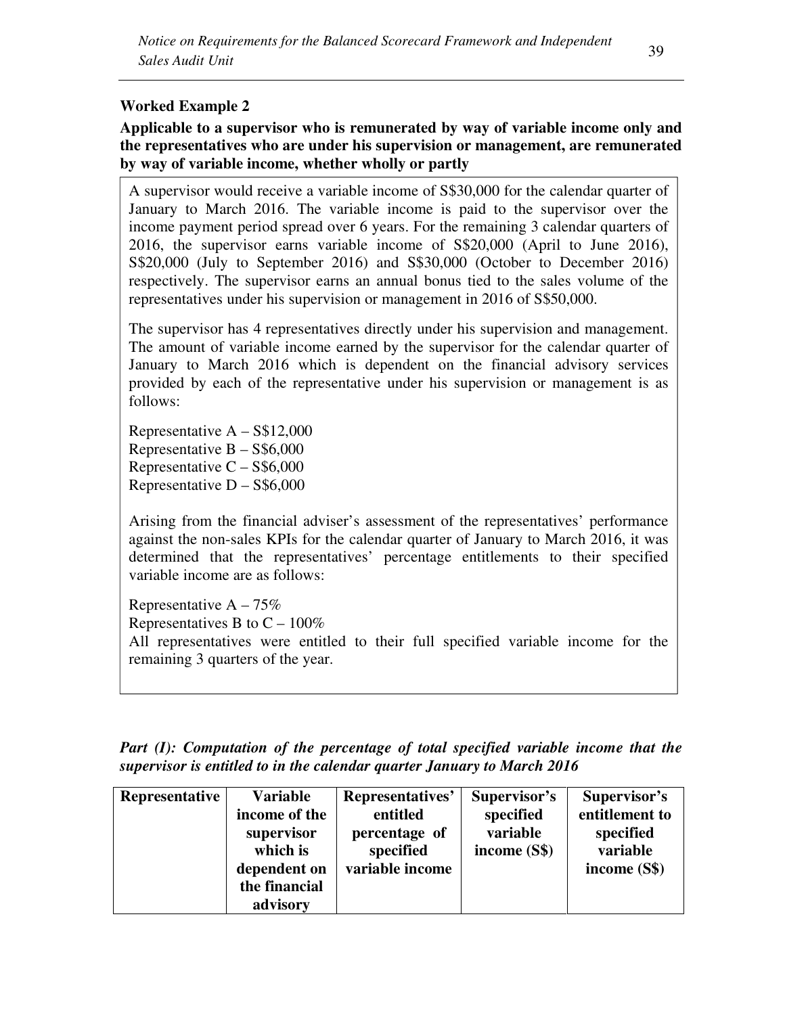# **Worked Example 2**

# **Applicable to a supervisor who is remunerated by way of variable income only and the representatives who are under his supervision or management, are remunerated by way of variable income, whether wholly or partly**

A supervisor would receive a variable income of S\$30,000 for the calendar quarter of January to March 2016. The variable income is paid to the supervisor over the income payment period spread over 6 years. For the remaining 3 calendar quarters of 2016, the supervisor earns variable income of S\$20,000 (April to June 2016), S\$20,000 (July to September 2016) and S\$30,000 (October to December 2016) respectively. The supervisor earns an annual bonus tied to the sales volume of the representatives under his supervision or management in 2016 of S\$50,000.

The supervisor has 4 representatives directly under his supervision and management. The amount of variable income earned by the supervisor for the calendar quarter of January to March 2016 which is dependent on the financial advisory services provided by each of the representative under his supervision or management is as follows:

Representative  $A - S$12,000$ Representative  $B - S$ \$6,000 Representative  $C - S$ \$6,000 Representative  $D - S$6,000$ 

Arising from the financial adviser's assessment of the representatives' performance against the non-sales KPIs for the calendar quarter of January to March 2016, it was determined that the representatives' percentage entitlements to their specified variable income are as follows:

Representative  $A - 75\%$ Representatives B to  $C - 100\%$ All representatives were entitled to their full specified variable income for the remaining 3 quarters of the year.

*Part (I): Computation of the percentage of total specified variable income that the supervisor is entitled to in the calendar quarter January to March 2016* 

| Representative | <b>Variable</b><br>income of the<br>supervisor<br>which is<br>dependent on<br>the financial<br>advisory | Representatives'<br>entitled<br>percentage of<br>specified<br>variable income | Supervisor's<br>specified<br>variable<br>income $(S$)$ | Supervisor's<br>entitlement to<br>specified<br>variable<br>income (S\$) |
|----------------|---------------------------------------------------------------------------------------------------------|-------------------------------------------------------------------------------|--------------------------------------------------------|-------------------------------------------------------------------------|
|----------------|---------------------------------------------------------------------------------------------------------|-------------------------------------------------------------------------------|--------------------------------------------------------|-------------------------------------------------------------------------|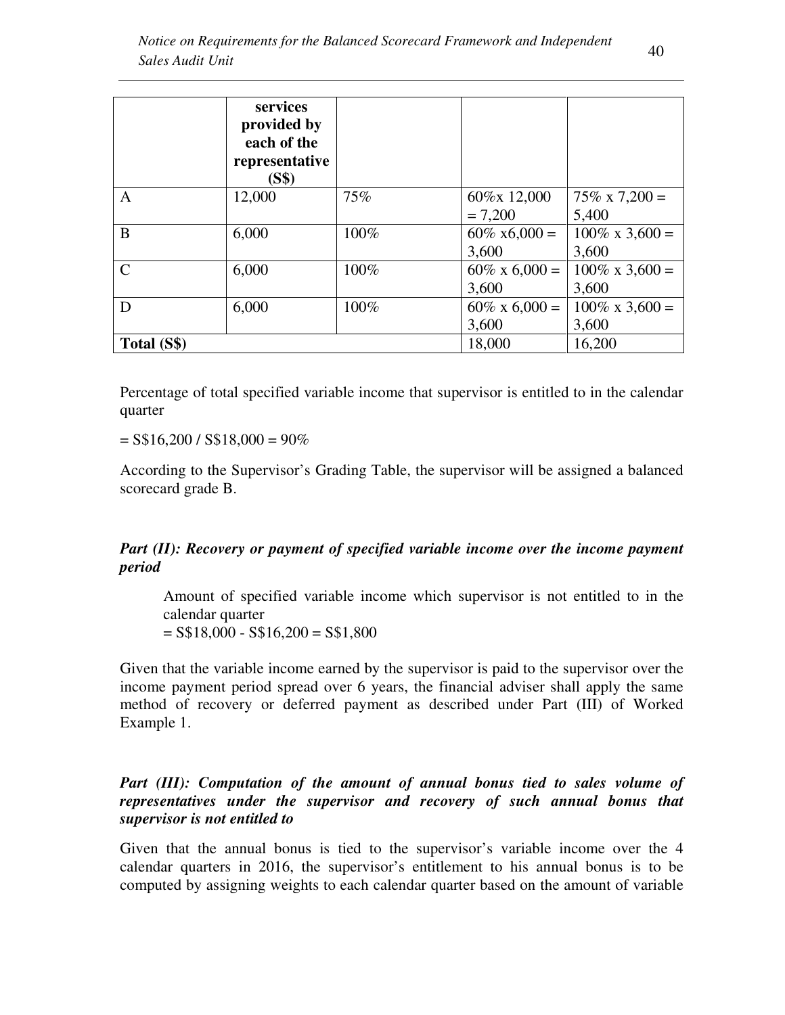|               | services<br>provided by<br>each of the<br>representative<br>(S\$) |      |                       |                          |
|---------------|-------------------------------------------------------------------|------|-----------------------|--------------------------|
| A             | 12,000                                                            | 75%  | 60%x 12,000           | $75\% \times 7,200 =$    |
|               |                                                                   |      | $= 7,200$             | 5,400                    |
| B             | 6,000                                                             | 100% | $60\% \times 6,000 =$ | $100\% \times 3{,}600 =$ |
|               |                                                                   |      | 3,600                 | 3,600                    |
| $\mathcal{C}$ | 6,000                                                             | 100% | $60\% \times 6,000 =$ | $100\% \times 3,600 =$   |
|               |                                                                   |      | 3,600                 | 3,600                    |
| D             | 6,000                                                             | 100% | $60\% \times 6,000 =$ | $100\% \times 3{,}600 =$ |
|               |                                                                   |      | 3,600                 | 3,600                    |
| Total (S\$)   |                                                                   |      | 18,000                | 16,200                   |

Percentage of total specified variable income that supervisor is entitled to in the calendar quarter

 $=$  S\$16,200 / S\$18,000 = 90%

According to the Supervisor's Grading Table, the supervisor will be assigned a balanced scorecard grade B.

# *Part (II): Recovery or payment of specified variable income over the income payment period*

Amount of specified variable income which supervisor is not entitled to in the calendar quarter  $=$  S\$18,000 - S\$16,200  $=$  S\$1,800

Given that the variable income earned by the supervisor is paid to the supervisor over the income payment period spread over 6 years, the financial adviser shall apply the same method of recovery or deferred payment as described under Part (III) of Worked Example 1.

### *Part (III): Computation of the amount of annual bonus tied to sales volume of representatives under the supervisor and recovery of such annual bonus that supervisor is not entitled to*

Given that the annual bonus is tied to the supervisor's variable income over the 4 calendar quarters in 2016, the supervisor's entitlement to his annual bonus is to be computed by assigning weights to each calendar quarter based on the amount of variable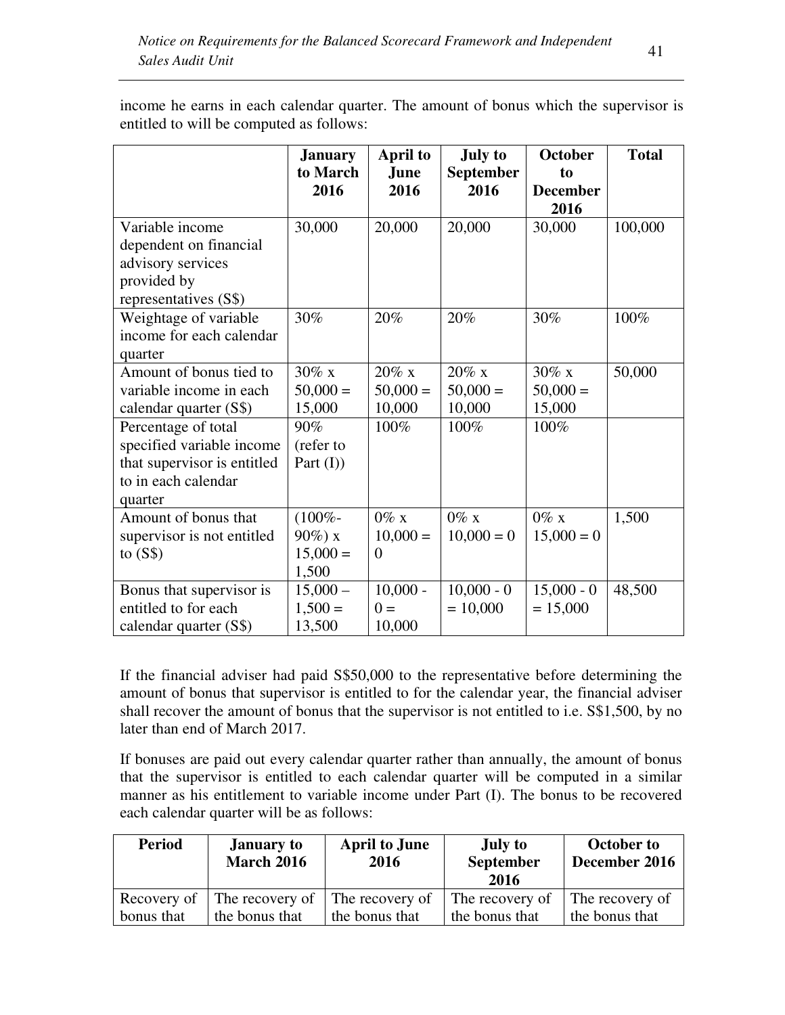|                                                                                                                   | <b>January</b><br>to March                      | <b>April to</b><br><b>June</b>    | <b>July to</b><br><b>September</b> | <b>October</b><br>to             | <b>Total</b> |
|-------------------------------------------------------------------------------------------------------------------|-------------------------------------------------|-----------------------------------|------------------------------------|----------------------------------|--------------|
|                                                                                                                   | 2016                                            | 2016                              | 2016                               | <b>December</b><br>2016          |              |
| Variable income<br>dependent on financial<br>advisory services<br>provided by<br>representatives (S\$)            | 30,000                                          | 20,000                            | 20,000                             | 30,000                           | 100,000      |
| Weightage of variable<br>income for each calendar<br>quarter                                                      | 30%                                             | 20%                               | 20%                                | 30%                              | 100%         |
| Amount of bonus tied to<br>variable income in each<br>calendar quarter (S\$)                                      | $30\%$ x<br>$50,000 =$<br>15,000                | $20\%$ x<br>$50,000 =$<br>10,000  | $20\%$ x<br>$50,000 =$<br>10,000   | $30\%$ x<br>$50,000 =$<br>15,000 | 50,000       |
| Percentage of total<br>specified variable income<br>that supervisor is entitled<br>to in each calendar<br>quarter | 90%<br>(refer to<br>Part $(I)$                  | 100%                              | 100%                               | 100%                             |              |
| Amount of bonus that<br>supervisor is not entitled<br>to $(S$)$                                                   | $(100\% -$<br>$90\%$ ) x<br>$15,000 =$<br>1,500 | $0\%$ x<br>$10,000 =$<br>$\theta$ | $0\%$ x<br>$10,000 = 0$            | $0\%$ x<br>$15,000 = 0$          | 1,500        |
| Bonus that supervisor is<br>entitled to for each<br>calendar quarter (S\$)                                        | $15,000 -$<br>$1,500 =$<br>13,500               | $10,000 -$<br>$0 =$<br>10,000     | $10,000 - 0$<br>$= 10,000$         | $15,000 - 0$<br>$= 15,000$       | 48,500       |

income he earns in each calendar quarter. The amount of bonus which the supervisor is entitled to will be computed as follows:

If the financial adviser had paid S\$50,000 to the representative before determining the amount of bonus that supervisor is entitled to for the calendar year, the financial adviser shall recover the amount of bonus that the supervisor is not entitled to i.e. S\$1,500, by no later than end of March 2017.

If bonuses are paid out every calendar quarter rather than annually, the amount of bonus that the supervisor is entitled to each calendar quarter will be computed in a similar manner as his entitlement to variable income under Part (I). The bonus to be recovered each calendar quarter will be as follows:

| <b>Period</b> | <b>January to</b><br><b>March 2016</b> | <b>April to June</b><br>2016 | <b>July to</b><br><b>September</b><br>2016 | <b>October to</b><br>December 2016 |
|---------------|----------------------------------------|------------------------------|--------------------------------------------|------------------------------------|
| Recovery of   | The recovery of The recovery of        | the bonus that               | The recovery of                            | The recovery of                    |
| bonus that    | the bonus that                         |                              | the bonus that                             | the bonus that                     |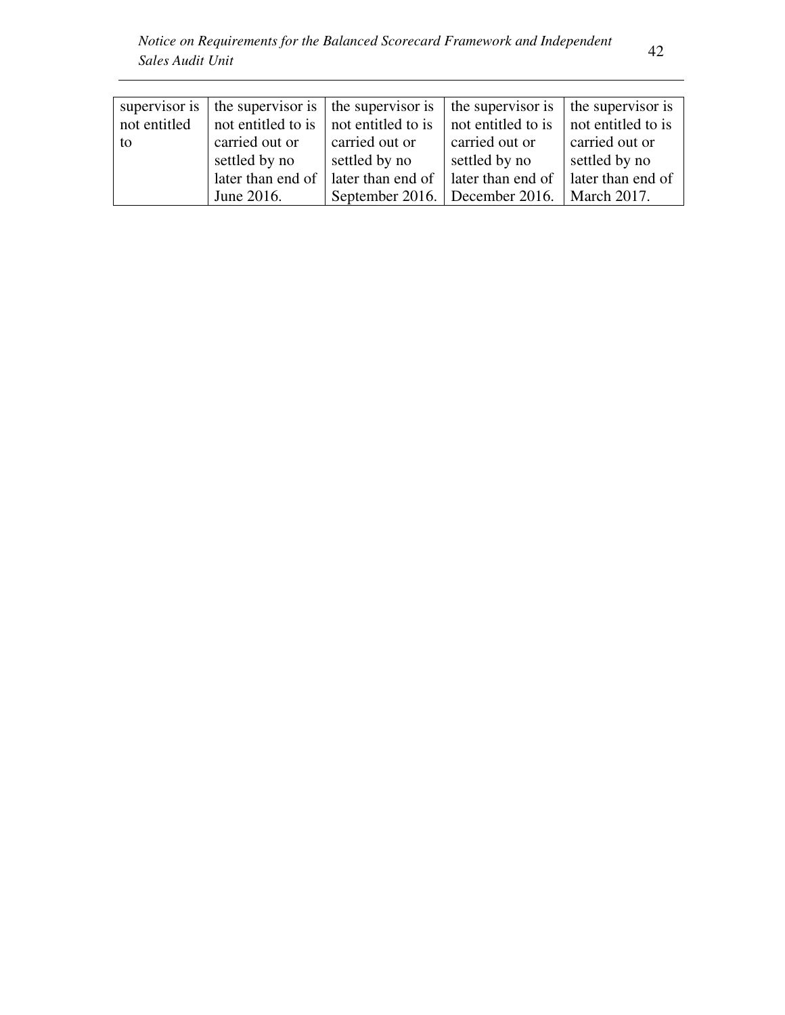| supervisor is | the supervisor is $\vert$ the supervisor is |                    | the supervisor is                              | the supervisor is  |
|---------------|---------------------------------------------|--------------------|------------------------------------------------|--------------------|
| not entitled  | not entitled to is                          | not entitled to is | not entitled to is                             | not entitled to is |
| to            | carried out or                              | carried out or     | carried out or                                 | carried out or     |
|               | settled by no                               | settled by no      | settled by no                                  | settled by no      |
|               | later than end of                           | later than end of  | later than end of                              | later than end of  |
|               | June 2016.                                  |                    | September 2016.   December 2016.   March 2017. |                    |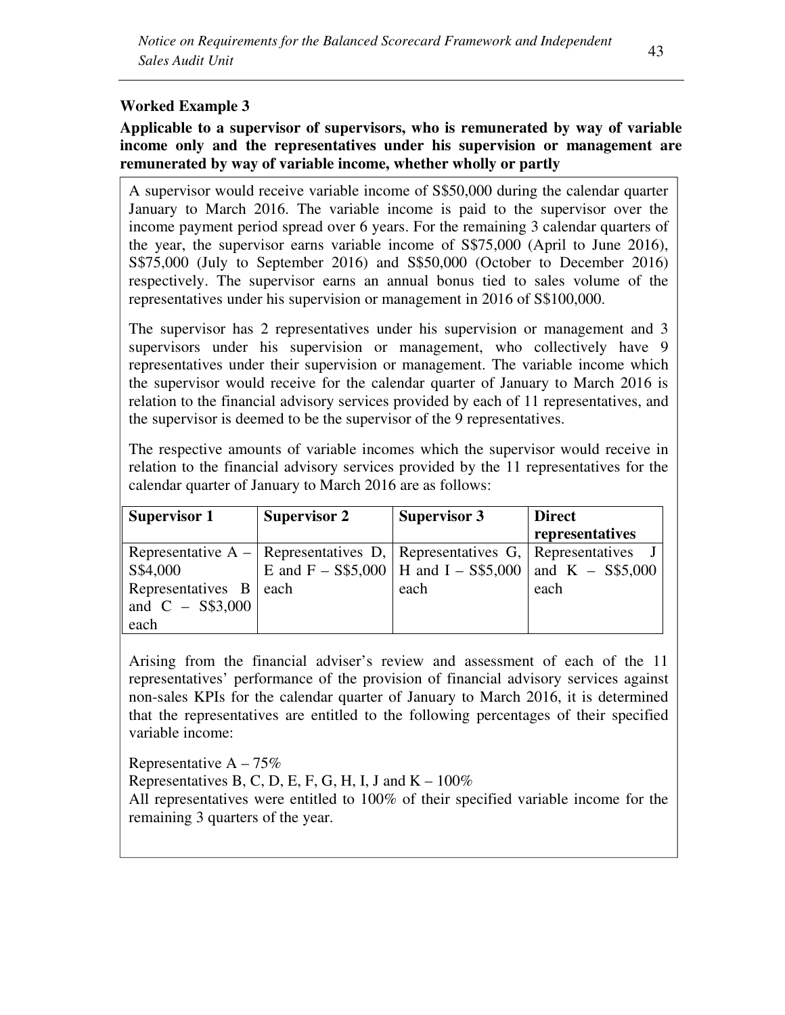# **Worked Example 3**

**Applicable to a supervisor of supervisors, who is remunerated by way of variable income only and the representatives under his supervision or management are remunerated by way of variable income, whether wholly or partly** 

A supervisor would receive variable income of S\$50,000 during the calendar quarter January to March 2016. The variable income is paid to the supervisor over the income payment period spread over 6 years. For the remaining 3 calendar quarters of the year, the supervisor earns variable income of S\$75,000 (April to June 2016), S\$75,000 (July to September 2016) and S\$50,000 (October to December 2016) respectively. The supervisor earns an annual bonus tied to sales volume of the representatives under his supervision or management in 2016 of S\$100,000.

The supervisor has 2 representatives under his supervision or management and 3 supervisors under his supervision or management, who collectively have 9 representatives under their supervision or management. The variable income which the supervisor would receive for the calendar quarter of January to March 2016 is relation to the financial advisory services provided by each of 11 representatives, and the supervisor is deemed to be the supervisor of the 9 representatives.

The respective amounts of variable incomes which the supervisor would receive in relation to the financial advisory services provided by the 11 representatives for the calendar quarter of January to March 2016 are as follows:

| <b>Supervisor 1</b>           | <b>Supervisor 2</b>                                                              | <b>Supervisor 3</b>                                        | <b>Direct</b>   |
|-------------------------------|----------------------------------------------------------------------------------|------------------------------------------------------------|-----------------|
|                               |                                                                                  |                                                            | representatives |
|                               | Representative $A -  $ Representatives D,   Representatives G,   Representatives |                                                            |                 |
| S\$4,000                      |                                                                                  | E and F – S\$5,000   H and I – S\$5,000   and K – S\$5,000 |                 |
| Representatives $B \mid each$ |                                                                                  | each                                                       | each            |
| and $C - S$3,000$             |                                                                                  |                                                            |                 |
| each                          |                                                                                  |                                                            |                 |

Arising from the financial adviser's review and assessment of each of the 11 representatives' performance of the provision of financial advisory services against non-sales KPIs for the calendar quarter of January to March 2016, it is determined that the representatives are entitled to the following percentages of their specified variable income:

Representative  $A - 75\%$ Representatives B, C, D, E, F, G, H, I, J and  $K - 100\%$ All representatives were entitled to 100% of their specified variable income for the remaining 3 quarters of the year.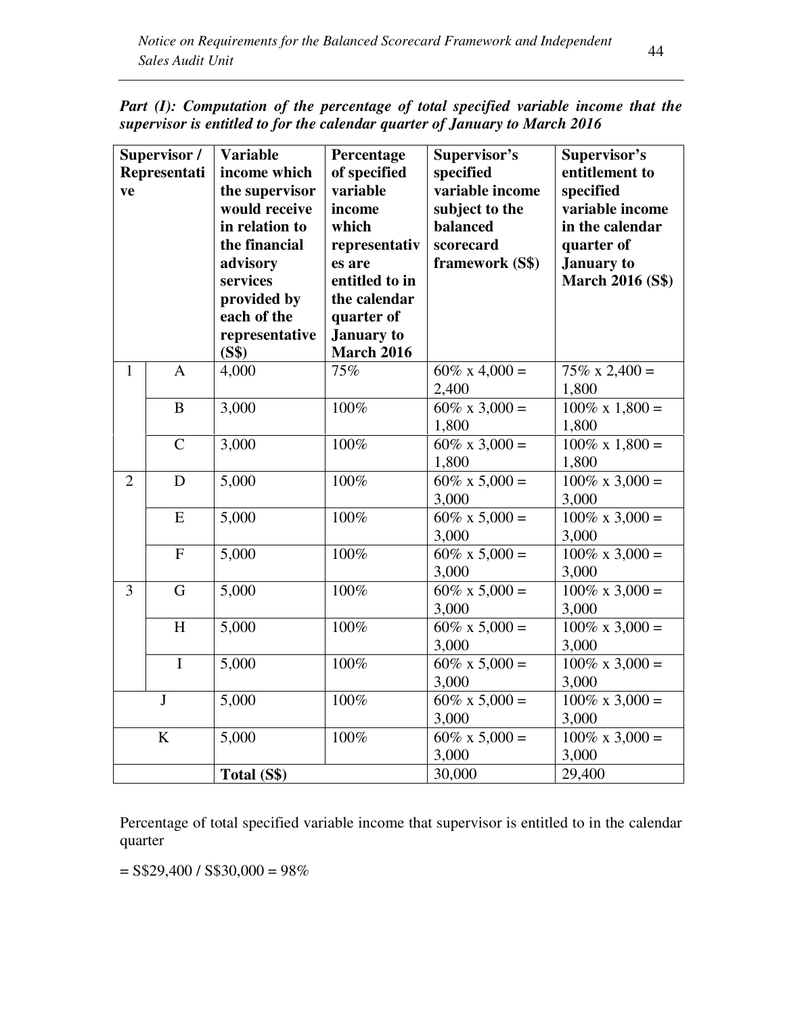| Part (I): Computation of the percentage of total specified variable income that the |  |  |  |  |
|-------------------------------------------------------------------------------------|--|--|--|--|
| supervisor is entitled to for the calendar quarter of January to March 2016         |  |  |  |  |

| ve             | Supervisor /<br>Representati | <b>Variable</b><br>income which<br>the supervisor<br>would receive<br>in relation to<br>the financial<br>advisory<br>services<br>provided by<br>each of the<br>representative<br>(S\$) | Percentage<br>of specified<br>variable<br>income<br>which<br>representativ<br>es are<br>entitled to in<br>the calendar<br>quarter of<br><b>January</b> to<br><b>March 2016</b> | Supervisor's<br>specified<br>variable income<br>subject to the<br>balanced<br>scorecard<br>framework (S\$) | Supervisor's<br>entitlement to<br>specified<br>variable income<br>in the calendar<br>quarter of<br><b>January</b> to<br><b>March 2016 (S\$)</b> |
|----------------|------------------------------|----------------------------------------------------------------------------------------------------------------------------------------------------------------------------------------|--------------------------------------------------------------------------------------------------------------------------------------------------------------------------------|------------------------------------------------------------------------------------------------------------|-------------------------------------------------------------------------------------------------------------------------------------------------|
| $\mathbf{1}$   | $\overline{A}$               | 4,000                                                                                                                                                                                  | 75%                                                                                                                                                                            | $60\% \times 4,000 =$<br>2,400                                                                             | $75\% \times 2,400 =$<br>1,800                                                                                                                  |
|                | B                            | 3,000                                                                                                                                                                                  | 100%                                                                                                                                                                           | $60\% \times 3,000 =$<br>1,800                                                                             | $100\% \times 1,800 =$<br>1,800                                                                                                                 |
|                | $\mathcal{C}$                | 3,000                                                                                                                                                                                  | $100\%$                                                                                                                                                                        | $60\% \times 3,000 =$<br>1,800                                                                             | $100\% \times 1,800 =$<br>1,800                                                                                                                 |
| $\overline{2}$ | D                            | 5,000                                                                                                                                                                                  | 100%                                                                                                                                                                           | $60\% \times 5,000 =$<br>3,000                                                                             | $100\% \times 3,000 =$<br>3,000                                                                                                                 |
|                | E                            | 5,000                                                                                                                                                                                  | 100%                                                                                                                                                                           | $60\% \times 5,000 =$<br>3,000                                                                             | $100\% \times 3,000 =$<br>3,000                                                                                                                 |
|                | $\overline{F}$               | 5,000                                                                                                                                                                                  | 100%                                                                                                                                                                           | $60\% \times 5,000 =$<br>3,000                                                                             | $100\% \times 3,000 =$<br>3,000                                                                                                                 |
| 3              | G                            | 5,000                                                                                                                                                                                  | 100%                                                                                                                                                                           | $60\% \times 5,000 =$<br>3,000                                                                             | $100\% \times 3,000 =$<br>3,000                                                                                                                 |
|                | H                            | 5,000                                                                                                                                                                                  | 100%                                                                                                                                                                           | $60\% \times 5,000 =$<br>3,000                                                                             | $100\% \times 3,000 =$<br>3,000                                                                                                                 |
|                | $\mathbf I$                  | 5,000                                                                                                                                                                                  | 100%                                                                                                                                                                           | $60\% \times 5,000 =$<br>3,000                                                                             | $100\% \times 3,000 =$<br>3,000                                                                                                                 |
|                | $\mathbf J$                  | 5,000                                                                                                                                                                                  | 100%                                                                                                                                                                           | $60\% \times 5,000 =$<br>3,000                                                                             | $100\% \times 3,000 =$<br>3,000                                                                                                                 |
|                | K                            | 5,000                                                                                                                                                                                  | 100%                                                                                                                                                                           | $60\% \times 5,000 =$<br>3,000                                                                             | $100\% \times 3,000 =$<br>3,000                                                                                                                 |
|                |                              | Total (S\$)                                                                                                                                                                            |                                                                                                                                                                                | 30,000                                                                                                     | 29,400                                                                                                                                          |

Percentage of total specified variable income that supervisor is entitled to in the calendar quarter

 $=$  S\$29,400 / S\$30,000 = 98%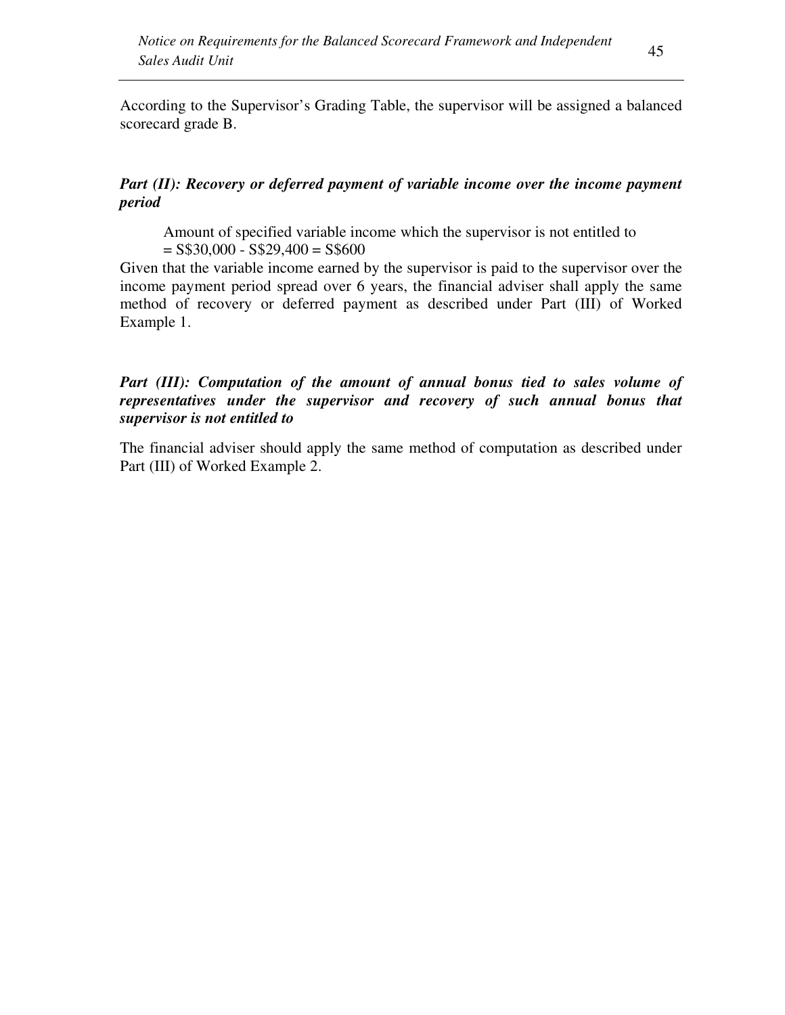According to the Supervisor's Grading Table, the supervisor will be assigned a balanced scorecard grade B.

# *Part (II): Recovery or deferred payment of variable income over the income payment period*

Amount of specified variable income which the supervisor is not entitled to  $=$  S\$30,000 - S\$29,400 = S\$600

Given that the variable income earned by the supervisor is paid to the supervisor over the income payment period spread over 6 years, the financial adviser shall apply the same method of recovery or deferred payment as described under Part (III) of Worked Example 1.

### Part (III): Computation of the amount of annual bonus tied to sales volume of *representatives under the supervisor and recovery of such annual bonus that supervisor is not entitled to*

The financial adviser should apply the same method of computation as described under Part (III) of Worked Example 2.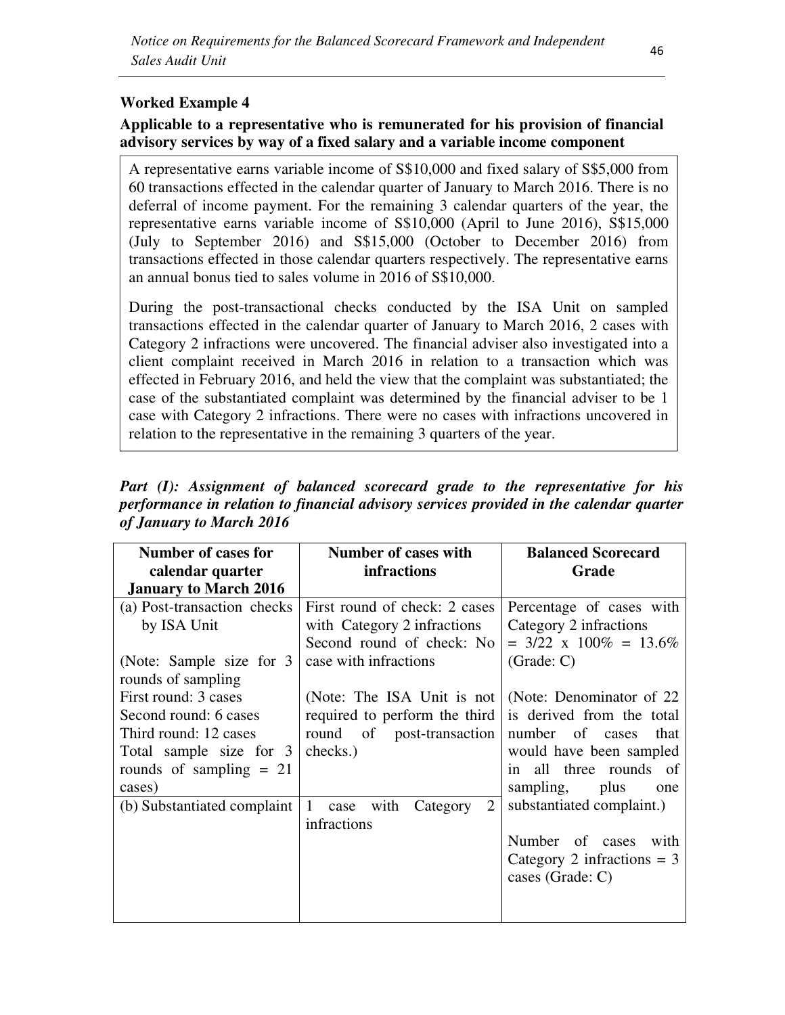# **Worked Example 4**

### **Applicable to a representative who is remunerated for his provision of financial advisory services by way of a fixed salary and a variable income component**

A representative earns variable income of S\$10,000 and fixed salary of S\$5,000 from 60 transactions effected in the calendar quarter of January to March 2016. There is no deferral of income payment. For the remaining 3 calendar quarters of the year, the representative earns variable income of S\$10,000 (April to June 2016), S\$15,000 (July to September 2016) and S\$15,000 (October to December 2016) from transactions effected in those calendar quarters respectively. The representative earns an annual bonus tied to sales volume in 2016 of S\$10,000.

During the post-transactional checks conducted by the ISA Unit on sampled transactions effected in the calendar quarter of January to March 2016, 2 cases with Category 2 infractions were uncovered. The financial adviser also investigated into a client complaint received in March 2016 in relation to a transaction which was effected in February 2016, and held the view that the complaint was substantiated; the case of the substantiated complaint was determined by the financial adviser to be 1 case with Category 2 infractions. There were no cases with infractions uncovered in relation to the representative in the remaining 3 quarters of the year.

*Part (I): Assignment of balanced scorecard grade to the representative for his performance in relation to financial advisory services provided in the calendar quarter of January to March 2016* 

| Number of cases for          | Number of cases with                                     | <b>Balanced Scorecard</b>                             |
|------------------------------|----------------------------------------------------------|-------------------------------------------------------|
| calendar quarter             | <b>infractions</b>                                       | Grade                                                 |
| <b>January to March 2016</b> |                                                          |                                                       |
| (a) Post-transaction checks  | First round of check: 2 cases                            | Percentage of cases with                              |
| by ISA Unit                  | with Category 2 infractions<br>Second round of check: No | Category 2 infractions<br>$= 3/22$ x $100\% = 13.6\%$ |
| (Note: Sample size for 3)    | case with infractions                                    | (Grade: C)                                            |
| rounds of sampling           |                                                          |                                                       |
| First round: 3 cases         | (Note: The ISA Unit is not                               | (Note: Denominator of 22)                             |
| Second round: 6 cases        | required to perform the third                            | is derived from the total                             |
| Third round: 12 cases        | of post-transaction<br>round                             | number of cases<br>that                               |
| Total sample size for 3      | checks.)                                                 | would have been sampled                               |
| rounds of sampling $= 21$    |                                                          | all three rounds of<br>in                             |
| cases)                       |                                                          | sampling, plus<br>one                                 |
| (b) Substantiated complaint  | 2<br>1<br>case with<br>Category                          | substantiated complaint.)                             |
|                              | infractions                                              |                                                       |
|                              |                                                          | Number of cases<br>with                               |
|                              |                                                          | Category 2 infractions $=$ 3                          |
|                              |                                                          | cases (Grade: C)                                      |
|                              |                                                          |                                                       |
|                              |                                                          |                                                       |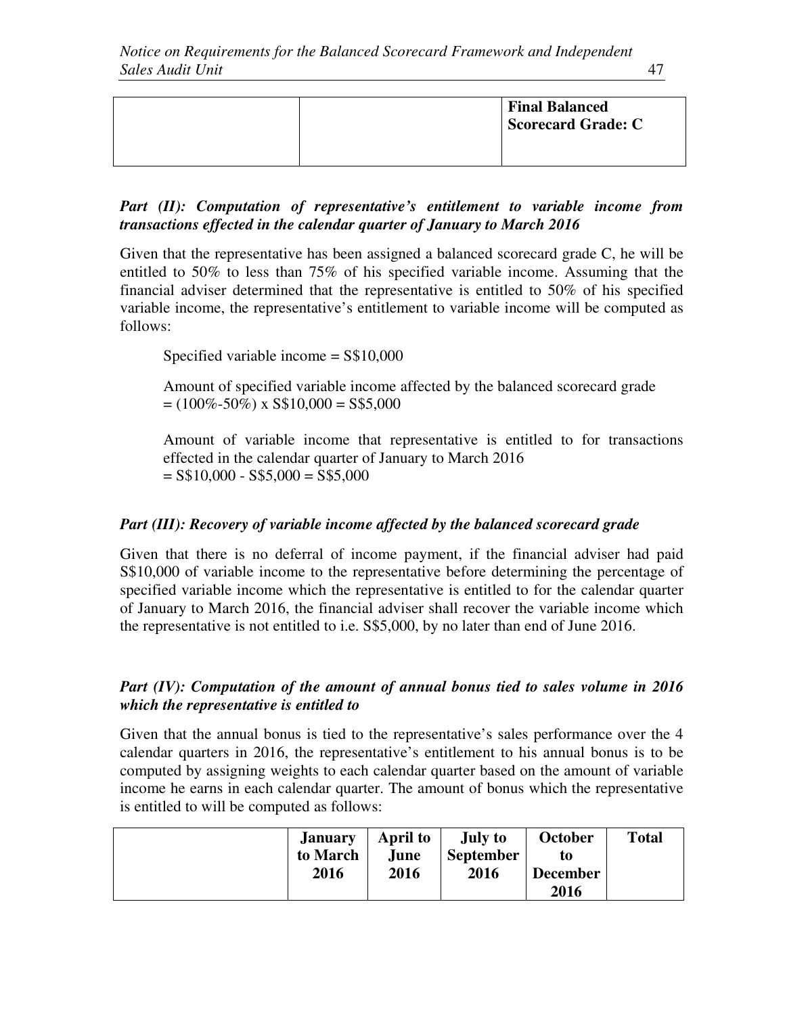|  | <b>Final Balanced</b><br><b>Scorecard Grade: C</b> |
|--|----------------------------------------------------|
|  |                                                    |

# *Part (II): Computation of representative's entitlement to variable income from transactions effected in the calendar quarter of January to March 2016*

Given that the representative has been assigned a balanced scorecard grade C, he will be entitled to 50% to less than 75% of his specified variable income. Assuming that the financial adviser determined that the representative is entitled to 50% of his specified variable income, the representative's entitlement to variable income will be computed as follows:

Specified variable income = S\$10,000

Amount of specified variable income affected by the balanced scorecard grade  $= (100\% - 50\%)$  x S\$10,000 = S\$5,000

Amount of variable income that representative is entitled to for transactions effected in the calendar quarter of January to March 2016  $=$  S\$10,000 - S\$5,000  $=$  S\$5,000

# *Part (III): Recovery of variable income affected by the balanced scorecard grade*

Given that there is no deferral of income payment, if the financial adviser had paid S\$10,000 of variable income to the representative before determining the percentage of specified variable income which the representative is entitled to for the calendar quarter of January to March 2016, the financial adviser shall recover the variable income which the representative is not entitled to i.e. S\$5,000, by no later than end of June 2016.

### *Part (IV): Computation of the amount of annual bonus tied to sales volume in 2016 which the representative is entitled to*

Given that the annual bonus is tied to the representative's sales performance over the 4 calendar quarters in 2016, the representative's entitlement to his annual bonus is to be computed by assigning weights to each calendar quarter based on the amount of variable income he earns in each calendar quarter. The amount of bonus which the representative is entitled to will be computed as follows:

| <b>January</b> | April to | July to          | October         | <b>Total</b> |
|----------------|----------|------------------|-----------------|--------------|
| to March       | June     | <b>September</b> | to              |              |
| 2016           | 2016     | 2016             | <b>December</b> |              |
|                |          |                  | 2016            |              |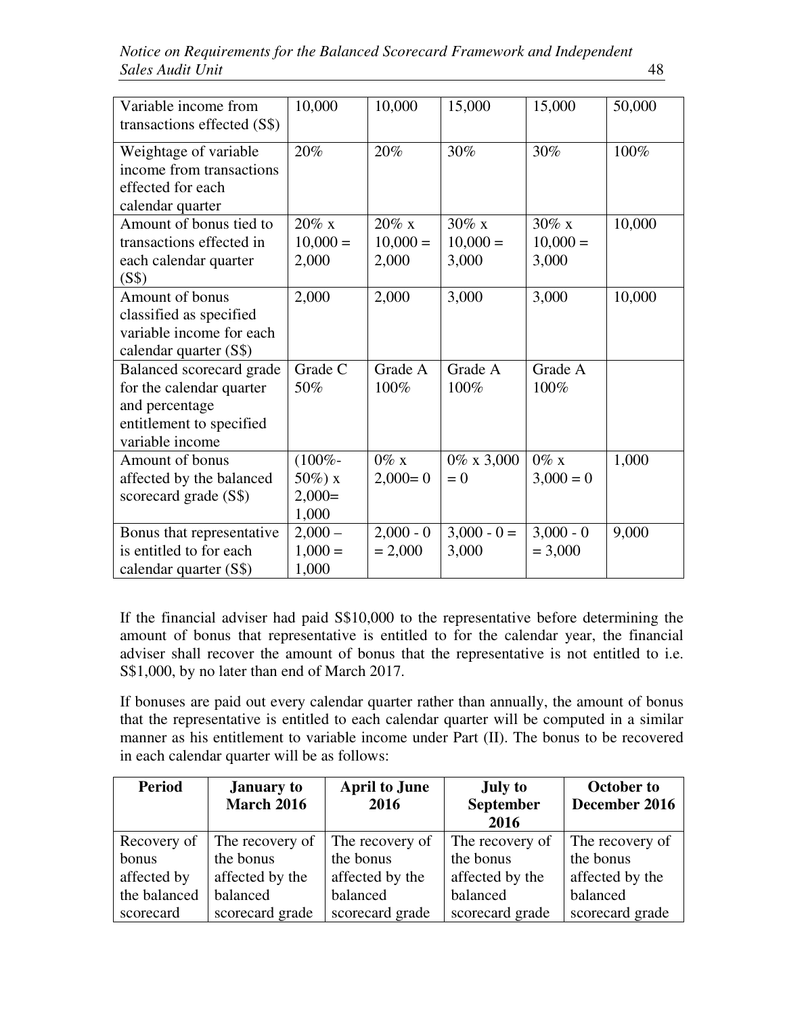| Variable income from<br>transactions effected (S\$)                                                                   | 10,000                                        | 10,000                          | 15,000                          | 15,000                          | 50,000 |
|-----------------------------------------------------------------------------------------------------------------------|-----------------------------------------------|---------------------------------|---------------------------------|---------------------------------|--------|
| Weightage of variable<br>income from transactions<br>effected for each<br>calendar quarter                            | 20%                                           | 20%                             | 30%                             | 30%                             | 100%   |
| Amount of bonus tied to<br>transactions effected in<br>each calendar quarter<br>(S\$)                                 | $20\% \times$<br>$10,000 =$<br>2,000          | $20\%$ x<br>$10,000 =$<br>2,000 | $30\%$ x<br>$10,000 =$<br>3,000 | $30\%$ x<br>$10,000 =$<br>3,000 | 10,000 |
| Amount of bonus<br>classified as specified<br>variable income for each<br>calendar quarter (S\$)                      | 2,000                                         | 2,000                           | 3,000                           | 3,000                           | 10,000 |
| Balanced scorecard grade<br>for the calendar quarter<br>and percentage<br>entitlement to specified<br>variable income | Grade C<br>50%                                | Grade A<br>100%                 | Grade A<br>100%                 | Grade A<br>100%                 |        |
| Amount of bonus<br>affected by the balanced<br>scorecard grade (S\$)                                                  | $(100\% -$<br>$50\%$ ) x<br>$2,000=$<br>1,000 | $0\%$ x<br>$2,000 = 0$          | $0\% \times 3,000$<br>$= 0$     | $0\%$ x<br>$3,000 = 0$          | 1,000  |
| Bonus that representative<br>is entitled to for each<br>calendar quarter (S\$)                                        | $2,000-$<br>$1,000 =$<br>1,000                | $2,000 - 0$<br>$= 2,000$        | $3,000 - 0 =$<br>3,000          | $3,000 - 0$<br>$= 3,000$        | 9,000  |

If the financial adviser had paid S\$10,000 to the representative before determining the amount of bonus that representative is entitled to for the calendar year, the financial adviser shall recover the amount of bonus that the representative is not entitled to i.e. S\$1,000, by no later than end of March 2017.

If bonuses are paid out every calendar quarter rather than annually, the amount of bonus that the representative is entitled to each calendar quarter will be computed in a similar manner as his entitlement to variable income under Part (II). The bonus to be recovered in each calendar quarter will be as follows:

| <b>Period</b> | <b>January to</b> | <b>April to June</b> | <b>July to</b>   | <b>October to</b> |
|---------------|-------------------|----------------------|------------------|-------------------|
|               | <b>March 2016</b> | 2016                 | <b>September</b> | December 2016     |
|               |                   |                      | 2016             |                   |
| Recovery of   | The recovery of   | The recovery of      | The recovery of  | The recovery of   |
| bonus         | the bonus         | the bonus            | the bonus        | the bonus         |
| affected by   | affected by the   | affected by the      | affected by the  | affected by the   |
| the balanced  | balanced          | balanced             | balanced         | balanced          |
| scorecard     | scorecard grade   | scorecard grade      | scorecard grade  | scorecard grade   |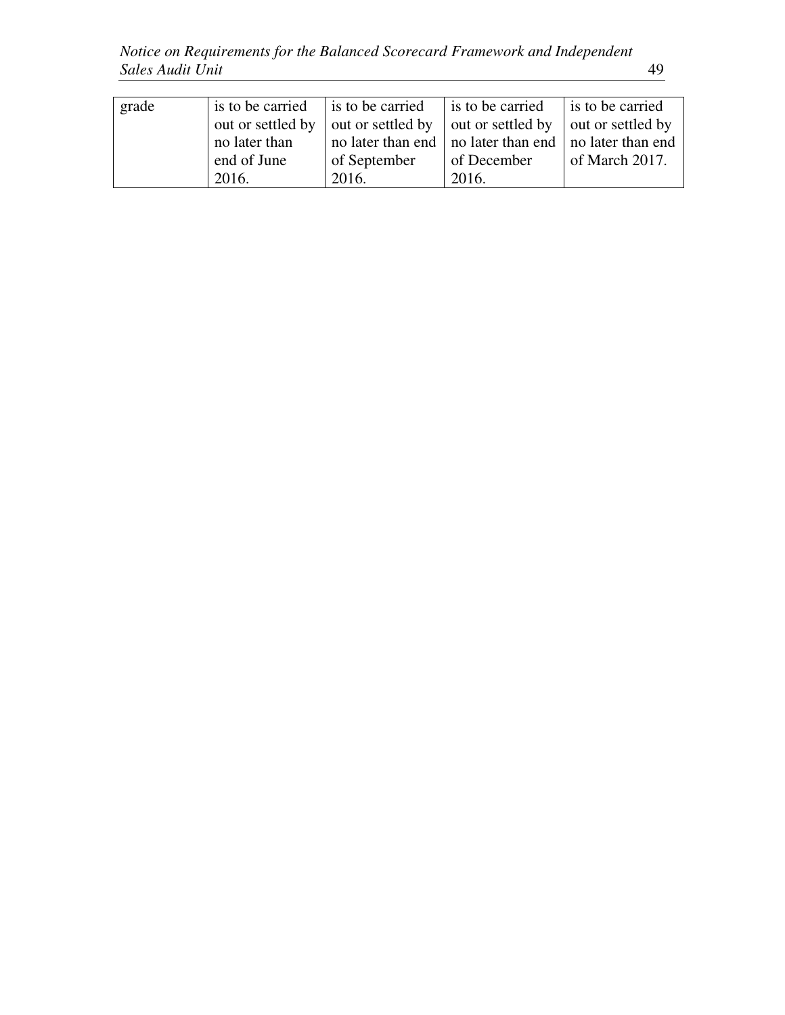*Notice on Requirements for the Balanced Scorecard Framework and Independent Sales Audit Unit* 49

| grade | is to be carried  | is to be carried  | is to be carried                                          | is to be carried  |
|-------|-------------------|-------------------|-----------------------------------------------------------|-------------------|
|       | out or settled by | out or settled by | out or settled by                                         | out or settled by |
|       | no later than     |                   | no later than end   no later than end   no later than end |                   |
|       | end of June       | of September      | of December                                               | of March $2017$ . |
|       | 2016.             | 2016.             | 2016.                                                     |                   |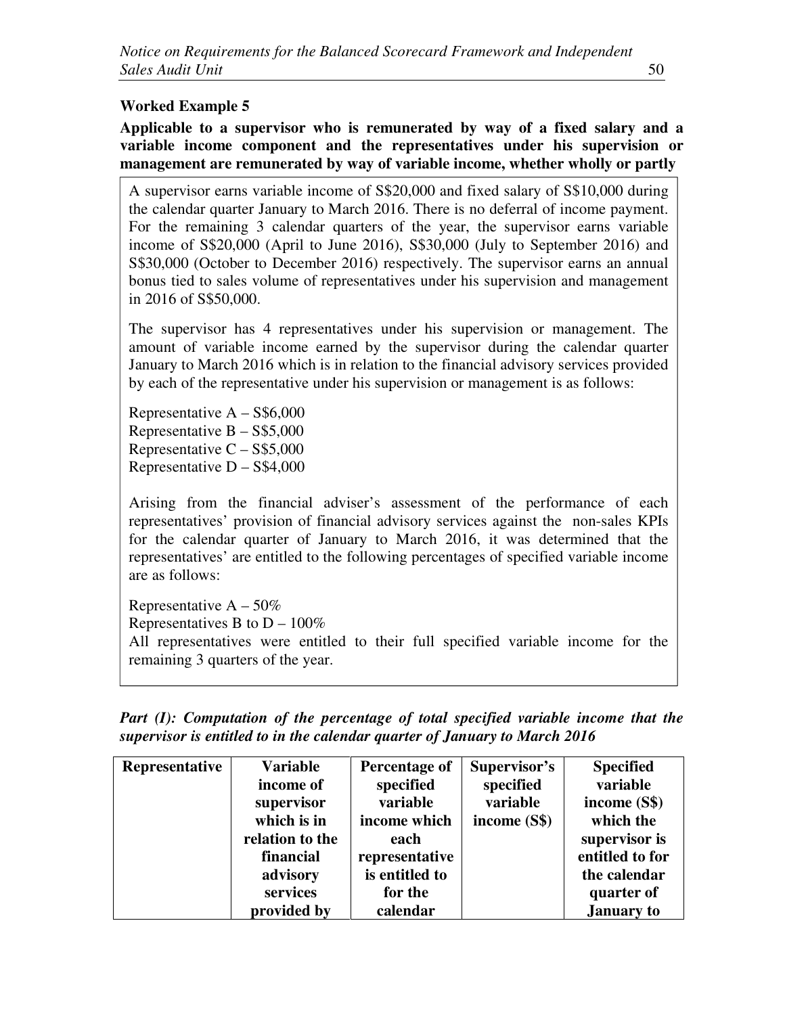# **Worked Example 5**

**Applicable to a supervisor who is remunerated by way of a fixed salary and a variable income component and the representatives under his supervision or management are remunerated by way of variable income, whether wholly or partly** 

A supervisor earns variable income of S\$20,000 and fixed salary of S\$10,000 during the calendar quarter January to March 2016. There is no deferral of income payment. For the remaining 3 calendar quarters of the year, the supervisor earns variable income of S\$20,000 (April to June 2016), S\$30,000 (July to September 2016) and S\$30,000 (October to December 2016) respectively. The supervisor earns an annual bonus tied to sales volume of representatives under his supervision and management in 2016 of S\$50,000.

The supervisor has 4 representatives under his supervision or management. The amount of variable income earned by the supervisor during the calendar quarter January to March 2016 which is in relation to the financial advisory services provided by each of the representative under his supervision or management is as follows:

Representative  $A - S$6,000$ Representative  $B - S$ \$5,000 Representative  $C - S$ \$5,000 Representative  $D - S$4,000$ 

Arising from the financial adviser's assessment of the performance of each representatives' provision of financial advisory services against the non-sales KPIs for the calendar quarter of January to March 2016, it was determined that the representatives' are entitled to the following percentages of specified variable income are as follows:

Representative  $A - 50\%$ Representatives B to  $D - 100\%$ All representatives were entitled to their full specified variable income for the remaining 3 quarters of the year.

|  | Part (I): Computation of the percentage of total specified variable income that the |  |  |  |  |
|--|-------------------------------------------------------------------------------------|--|--|--|--|
|  | supervisor is entitled to in the calendar quarter of January to March 2016          |  |  |  |  |

| Representative | <b>Variable</b> | Percentage of  | Supervisor's | <b>Specified</b>  |
|----------------|-----------------|----------------|--------------|-------------------|
|                | income of       | specified      | specified    | variable          |
|                | supervisor      | variable       | variable     | income (S\$)      |
|                | which is in     | income which   | income (S\$) | which the         |
|                | relation to the | each           |              | supervisor is     |
|                | financial       | representative |              | entitled to for   |
|                | advisory        | is entitled to |              | the calendar      |
|                | services        | for the        |              | quarter of        |
|                | provided by     | calendar       |              | <b>January to</b> |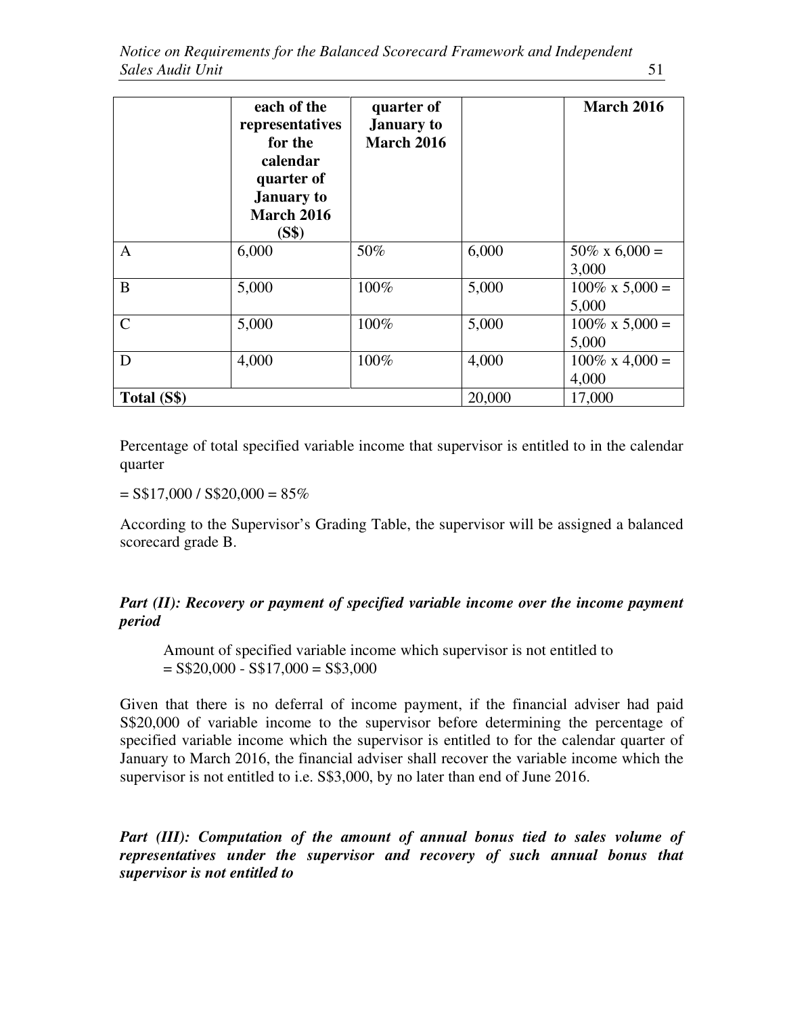|               | each of the<br>representatives<br>for the<br>calendar<br>quarter of<br><b>January</b> to<br><b>March 2016</b><br>(S\$) | quarter of<br><b>January</b> to<br><b>March 2016</b> |        | <b>March 2016</b>                 |
|---------------|------------------------------------------------------------------------------------------------------------------------|------------------------------------------------------|--------|-----------------------------------|
| $\mathbf{A}$  | 6,000                                                                                                                  | 50%                                                  | 6,000  | $50\% \times 6,000 =$<br>3,000    |
| B             | 5,000                                                                                                                  | 100%                                                 | 5,000  | $100\% \times 5{,}000 =$<br>5,000 |
| $\mathcal{C}$ | 5,000                                                                                                                  | 100%                                                 | 5,000  | $100\% \times 5{,}000 =$<br>5,000 |
| D             | 4,000                                                                                                                  | 100%                                                 | 4,000  | $100\% \times 4,000 =$<br>4,000   |
| Total (S\$)   |                                                                                                                        |                                                      | 20,000 | 17,000                            |

Percentage of total specified variable income that supervisor is entitled to in the calendar quarter

 $=$  S\$17,000 / S\$20,000 = 85%

According to the Supervisor's Grading Table, the supervisor will be assigned a balanced scorecard grade B.

# *Part (II): Recovery or payment of specified variable income over the income payment period*

Amount of specified variable income which supervisor is not entitled to  $=$  S\$20,000 - S\$17,000 = S\$3,000

Given that there is no deferral of income payment, if the financial adviser had paid S\$20,000 of variable income to the supervisor before determining the percentage of specified variable income which the supervisor is entitled to for the calendar quarter of January to March 2016, the financial adviser shall recover the variable income which the supervisor is not entitled to i.e. S\$3,000, by no later than end of June 2016.

Part (III): Computation of the amount of annual bonus tied to sales volume of *representatives under the supervisor and recovery of such annual bonus that supervisor is not entitled to*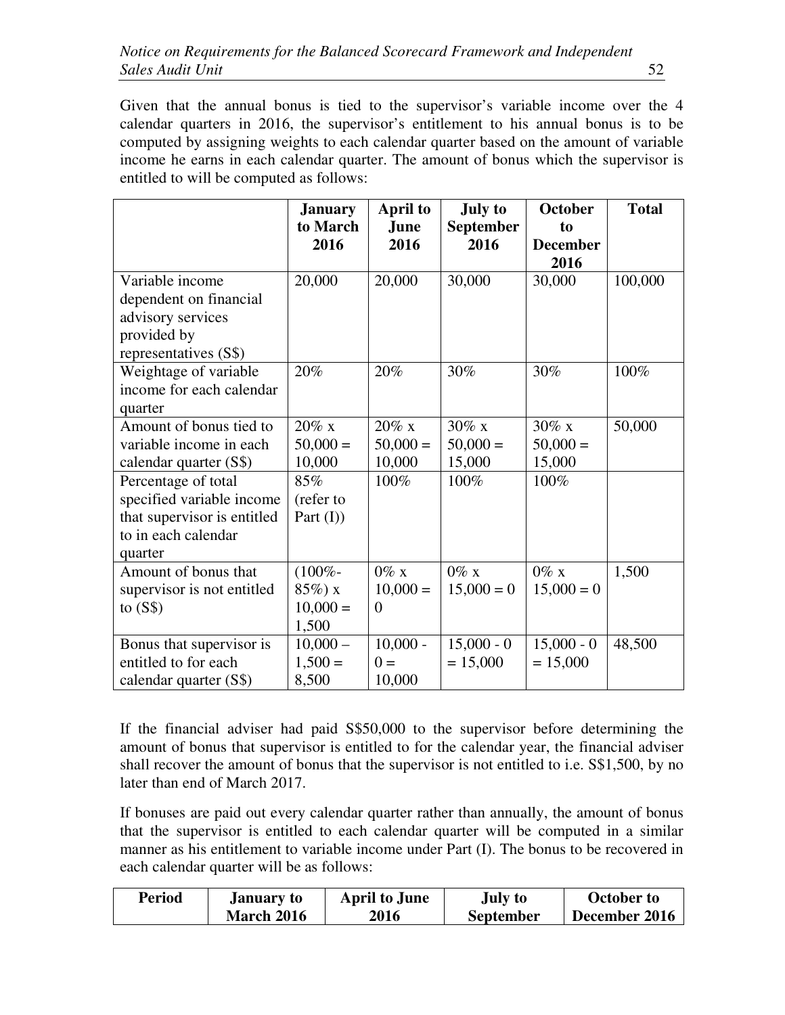Given that the annual bonus is tied to the supervisor's variable income over the 4 calendar quarters in 2016, the supervisor's entitlement to his annual bonus is to be computed by assigning weights to each calendar quarter based on the amount of variable income he earns in each calendar quarter. The amount of bonus which the supervisor is entitled to will be computed as follows:

|                             | <b>January</b> | <b>April to</b> | <b>July to</b>   | <b>October</b>  | <b>Total</b> |
|-----------------------------|----------------|-----------------|------------------|-----------------|--------------|
|                             | to March       | June            | <b>September</b> | to              |              |
|                             | 2016           | 2016            | 2016             | <b>December</b> |              |
|                             |                |                 |                  | 2016            |              |
| Variable income             | 20,000         | 20,000          | 30,000           | 30,000          | 100,000      |
| dependent on financial      |                |                 |                  |                 |              |
| advisory services           |                |                 |                  |                 |              |
| provided by                 |                |                 |                  |                 |              |
| representatives (S\$)       |                |                 |                  |                 |              |
| Weightage of variable       | 20%            | 20%             | 30%              | 30%             | 100%         |
| income for each calendar    |                |                 |                  |                 |              |
| quarter                     |                |                 |                  |                 |              |
| Amount of bonus tied to     | $20\%$ x       | $20\%$ x        | $30\%$ x         | $30\%$ x        | 50,000       |
| variable income in each     | $50,000 =$     | $50,000 =$      | $50,000 =$       | $50,000 =$      |              |
| calendar quarter (S\$)      | 10,000         | 10,000          | 15,000           | 15,000          |              |
| Percentage of total         | 85%            | 100%            | 100%             | 100%            |              |
| specified variable income   | (refer to      |                 |                  |                 |              |
| that supervisor is entitled | Part $(I)$     |                 |                  |                 |              |
| to in each calendar         |                |                 |                  |                 |              |
| quarter                     |                |                 |                  |                 |              |
| Amount of bonus that        | $(100\% -$     | $0\%$ x         | $0\%$ x          | $0\%$ x         | 1,500        |
| supervisor is not entitled  | $85\%) x$      | $10,000 =$      | $15,000 = 0$     | $15,000 = 0$    |              |
| to $(S$)$                   | $10,000 =$     | $\overline{0}$  |                  |                 |              |
|                             | 1,500          |                 |                  |                 |              |
| Bonus that supervisor is    | $10,000 -$     | $10,000 -$      | $15,000 - 0$     | $15,000 - 0$    | 48,500       |
| entitled to for each        | $1,500 =$      | $0 =$           | $= 15,000$       | $= 15,000$      |              |
| calendar quarter (S\$)      | 8,500          | 10,000          |                  |                 |              |

If the financial adviser had paid S\$50,000 to the supervisor before determining the amount of bonus that supervisor is entitled to for the calendar year, the financial adviser shall recover the amount of bonus that the supervisor is not entitled to i.e. S\$1,500, by no later than end of March 2017.

If bonuses are paid out every calendar quarter rather than annually, the amount of bonus that the supervisor is entitled to each calendar quarter will be computed in a similar manner as his entitlement to variable income under Part (I). The bonus to be recovered in each calendar quarter will be as follows:

| <b>Period</b> | <b>January to</b> | <b>April to June</b> | July to          | October to    |
|---------------|-------------------|----------------------|------------------|---------------|
|               | <b>March 2016</b> | 2016                 | <b>September</b> | December 2016 |